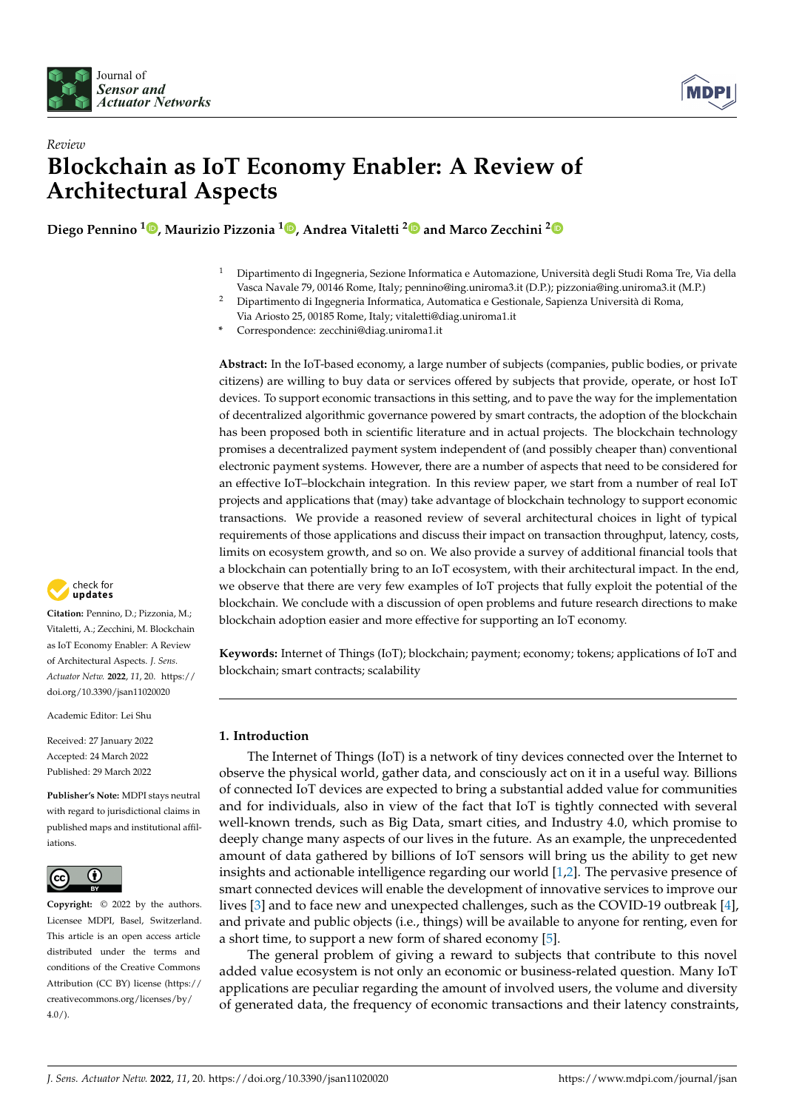



# *Review* **Blockchain as IoT Economy Enabler: A Review of Architectural Aspects**

**Diego Pennino <sup>1</sup> [,](https://orcid.org/0000-0001-5339-4531) Maurizio Pizzonia <sup>1</sup> [,](https://orcid.org/0000-0001-8758-3437) Andrea Vitaletti [2](https://orcid.org/0000-0003-1074-5068) and Marco Zecchini [2](https://orcid.org/0000-0002-2280-9543)**

- <sup>1</sup> Dipartimento di Ingegneria, Sezione Informatica e Automazione, Università degli Studi Roma Tre, Via della Vasca Navale 79, 00146 Rome, Italy; pennino@ing.uniroma3.it (D.P.); pizzonia@ing.uniroma3.it (M.P.)
- <sup>2</sup> Dipartimento di Ingegneria Informatica, Automatica e Gestionale, Sapienza Università di Roma, Via Ariosto 25, 00185 Rome, Italy; vitaletti@diag.uniroma1.it
- **\*** Correspondence: zecchini@diag.uniroma1.it

**Abstract:** In the IoT-based economy, a large number of subjects (companies, public bodies, or private citizens) are willing to buy data or services offered by subjects that provide, operate, or host IoT devices. To support economic transactions in this setting, and to pave the way for the implementation of decentralized algorithmic governance powered by smart contracts, the adoption of the blockchain has been proposed both in scientific literature and in actual projects. The blockchain technology promises a decentralized payment system independent of (and possibly cheaper than) conventional electronic payment systems. However, there are a number of aspects that need to be considered for an effective IoT–blockchain integration. In this review paper, we start from a number of real IoT projects and applications that (may) take advantage of blockchain technology to support economic transactions. We provide a reasoned review of several architectural choices in light of typical requirements of those applications and discuss their impact on transaction throughput, latency, costs, limits on ecosystem growth, and so on. We also provide a survey of additional financial tools that a blockchain can potentially bring to an IoT ecosystem, with their architectural impact. In the end, we observe that there are very few examples of IoT projects that fully exploit the potential of the blockchain. We conclude with a discussion of open problems and future research directions to make blockchain adoption easier and more effective for supporting an IoT economy.

**Keywords:** Internet of Things (IoT); blockchain; payment; economy; tokens; applications of IoT and blockchain; smart contracts; scalability

## <span id="page-0-0"></span>**1. Introduction**

The Internet of Things (IoT) is a network of tiny devices connected over the Internet to observe the physical world, gather data, and consciously act on it in a useful way. Billions of connected IoT devices are expected to bring a substantial added value for communities and for individuals, also in view of the fact that IoT is tightly connected with several well-known trends, such as Big Data, smart cities, and Industry 4.0, which promise to deeply change many aspects of our lives in the future. As an example, the unprecedented amount of data gathered by billions of IoT sensors will bring us the ability to get new insights and actionable intelligence regarding our world [\[1](#page-29-0)[,2\]](#page-29-1). The pervasive presence of smart connected devices will enable the development of innovative services to improve our lives [\[3\]](#page-29-2) and to face new and unexpected challenges, such as the COVID-19 outbreak [\[4\]](#page-29-3), and private and public objects (i.e., things) will be available to anyone for renting, even for a short time, to support a new form of shared economy [\[5\]](#page-29-4).

The general problem of giving a reward to subjects that contribute to this novel added value ecosystem is not only an economic or business-related question. Many IoT applications are peculiar regarding the amount of involved users, the volume and diversity of generated data, the frequency of economic transactions and their latency constraints,



**Citation:** Pennino, D.; Pizzonia, M.; Vitaletti, A.; Zecchini, M. Blockchain as IoT Economy Enabler: A Review of Architectural Aspects. *J. Sens. Actuator Netw.* **2022**, *11*, 20. [https://](https://doi.org/10.3390/jsan11020020) [doi.org/10.3390/jsan11020020](https://doi.org/10.3390/jsan11020020)

Academic Editor: Lei Shu

Received: 27 January 2022 Accepted: 24 March 2022 Published: 29 March 2022

**Publisher's Note:** MDPI stays neutral with regard to jurisdictional claims in published maps and institutional affiliations.



**Copyright:** © 2022 by the authors. Licensee MDPI, Basel, Switzerland. This article is an open access article distributed under the terms and conditions of the Creative Commons Attribution (CC BY) license [\(https://](https://creativecommons.org/licenses/by/4.0/) [creativecommons.org/licenses/by/](https://creativecommons.org/licenses/by/4.0/)  $4.0/$ ).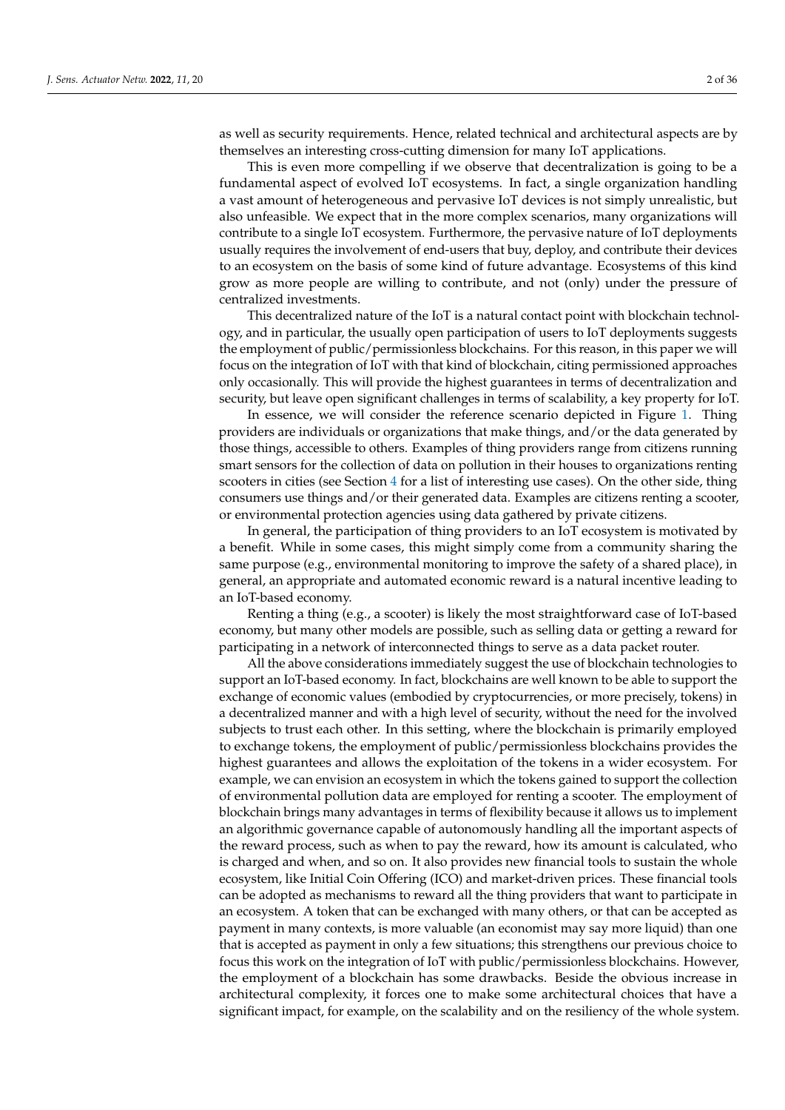as well as security requirements. Hence, related technical and architectural aspects are by themselves an interesting cross-cutting dimension for many IoT applications.

This is even more compelling if we observe that decentralization is going to be a fundamental aspect of evolved IoT ecosystems. In fact, a single organization handling a vast amount of heterogeneous and pervasive IoT devices is not simply unrealistic, but also unfeasible. We expect that in the more complex scenarios, many organizations will contribute to a single IoT ecosystem. Furthermore, the pervasive nature of IoT deployments usually requires the involvement of end-users that buy, deploy, and contribute their devices to an ecosystem on the basis of some kind of future advantage. Ecosystems of this kind grow as more people are willing to contribute, and not (only) under the pressure of centralized investments.

This decentralized nature of the IoT is a natural contact point with blockchain technology, and in particular, the usually open participation of users to IoT deployments suggests the employment of public/permissionless blockchains. For this reason, in this paper we will focus on the integration of IoT with that kind of blockchain, citing permissioned approaches only occasionally. This will provide the highest guarantees in terms of decentralization and security, but leave open significant challenges in terms of scalability, a key property for IoT.

In essence, we will consider the reference scenario depicted in Figure [1.](#page-2-0) Thing providers are individuals or organizations that make things, and/or the data generated by those things, accessible to others. Examples of thing providers range from citizens running smart sensors for the collection of data on pollution in their houses to organizations renting scooters in cities (see Section [4](#page-10-0) for a list of interesting use cases). On the other side, thing consumers use things and/or their generated data. Examples are citizens renting a scooter, or environmental protection agencies using data gathered by private citizens.

In general, the participation of thing providers to an IoT ecosystem is motivated by a benefit. While in some cases, this might simply come from a community sharing the same purpose (e.g., environmental monitoring to improve the safety of a shared place), in general, an appropriate and automated economic reward is a natural incentive leading to an IoT-based economy.

Renting a thing (e.g., a scooter) is likely the most straightforward case of IoT-based economy, but many other models are possible, such as selling data or getting a reward for participating in a network of interconnected things to serve as a data packet router.

All the above considerations immediately suggest the use of blockchain technologies to support an IoT-based economy. In fact, blockchains are well known to be able to support the exchange of economic values (embodied by cryptocurrencies, or more precisely, tokens) in a decentralized manner and with a high level of security, without the need for the involved subjects to trust each other. In this setting, where the blockchain is primarily employed to exchange tokens, the employment of public/permissionless blockchains provides the highest guarantees and allows the exploitation of the tokens in a wider ecosystem. For example, we can envision an ecosystem in which the tokens gained to support the collection of environmental pollution data are employed for renting a scooter. The employment of blockchain brings many advantages in terms of flexibility because it allows us to implement an algorithmic governance capable of autonomously handling all the important aspects of the reward process, such as when to pay the reward, how its amount is calculated, who is charged and when, and so on. It also provides new financial tools to sustain the whole ecosystem, like Initial Coin Offering (ICO) and market-driven prices. These financial tools can be adopted as mechanisms to reward all the thing providers that want to participate in an ecosystem. A token that can be exchanged with many others, or that can be accepted as payment in many contexts, is more valuable (an economist may say more liquid) than one that is accepted as payment in only a few situations; this strengthens our previous choice to focus this work on the integration of IoT with public/permissionless blockchains. However, the employment of a blockchain has some drawbacks. Beside the obvious increase in architectural complexity, it forces one to make some architectural choices that have a significant impact, for example, on the scalability and on the resiliency of the whole system.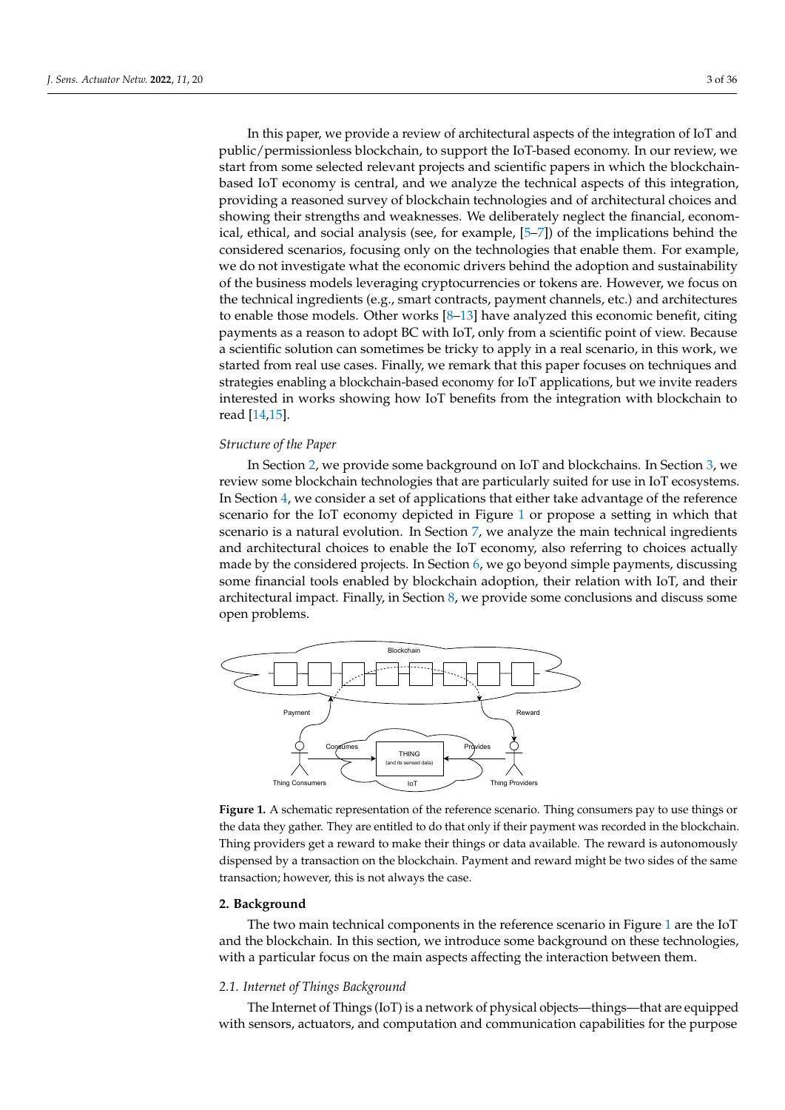In this paper, we provide a review of architectural aspects of the integration of IoT and public/permissionless blockchain, to support the IoT-based economy. In our review, we start from some selected relevant projects and scientific papers in which the blockchainbased IoT economy is central, and we analyze the technical aspects of this integration, providing a reasoned survey of blockchain technologies and of architectural choices and showing their strengths and weaknesses. We deliberately neglect the financial, economical, ethical, and social analysis (see, for example, [\[5–](#page-29-4)[7\]](#page-29-5)) of the implications behind the considered scenarios, focusing only on the technologies that enable them. For example, we do not investigate what the economic drivers behind the adoption and sustainability of the business models leveraging cryptocurrencies or tokens are. However, we focus on the technical ingredients (e.g., smart contracts, payment channels, etc.) and architectures to enable those models. Other works [\[8](#page-29-6)[–13\]](#page-30-0) have analyzed this economic benefit, citing payments as a reason to adopt BC with IoT, only from a scientific point of view. Because a scientific solution can sometimes be tricky to apply in a real scenario, in this work, we started from real use cases. Finally, we remark that this paper focuses on techniques and strategies enabling a blockchain-based economy for IoT applications, but we invite readers interested in works showing how IoT benefits from the integration with blockchain to read [\[14](#page-30-1)[,15\]](#page-30-2).

#### *Structure of the Paper*

In Section [2,](#page-2-1) we provide some background on IoT and blockchains. In Section [3,](#page-9-0) we review some blockchain technologies that are particularly suited for use in IoT ecosystems. In Section [4,](#page-10-0) we consider a set of applications that either take advantage of the reference scenario for the IoT economy depicted in Figure [1](#page-2-0) or propose a setting in which that scenario is a natural evolution. In Section [7,](#page-21-0) we analyze the main technical ingredients and architectural choices to enable the IoT economy, also referring to choices actually made by the considered projects. In Section [6,](#page-18-0) we go beyond simple payments, discussing some financial tools enabled by blockchain adoption, their relation with IoT, and their architectural impact. Finally, in Section [8,](#page-28-0) we provide some conclusions and discuss some open problems.

<span id="page-2-0"></span>

**Figure 1.** A schematic representation of the reference scenario. Thing consumers pay to use things or the data they gather. They are entitled to do that only if their payment was recorded in the blockchain. Thing providers get a reward to make their things or data available. The reward is autonomously dispensed by a transaction on the blockchain. Payment and reward might be two sides of the same transaction; however, this is not always the case.

#### <span id="page-2-1"></span>**2. Background**

The two main technical components in the reference scenario in Figure [1](#page-2-0) are the IoT and the blockchain. In this section, we introduce some background on these technologies, with a particular focus on the main aspects affecting the interaction between them.

## <span id="page-2-2"></span>*2.1. Internet of Things Background*

The Internet of Things (IoT) is a network of physical objects—things—that are equipped with sensors, actuators, and computation and communication capabilities for the purpose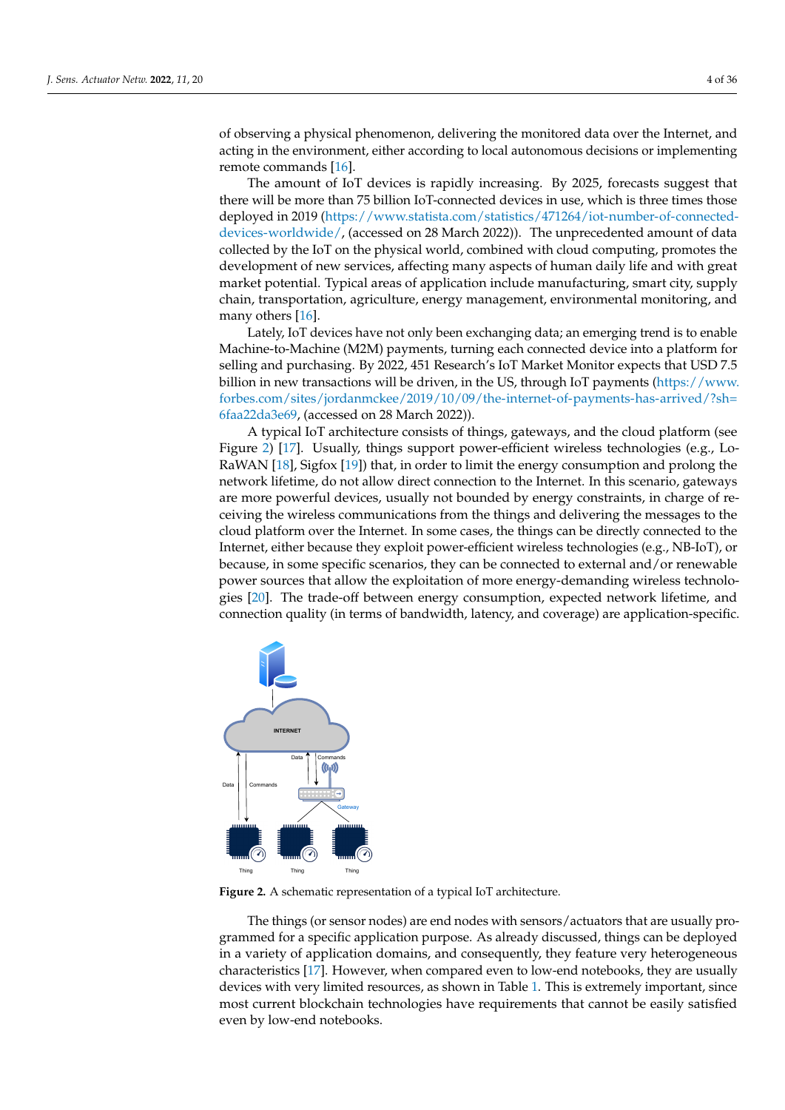of observing a physical phenomenon, delivering the monitored data over the Internet, and acting in the environment, either according to local autonomous decisions or implementing remote commands [\[16\]](#page-30-3).

The amount of IoT devices is rapidly increasing. By 2025, forecasts suggest that there will be more than 75 billion IoT-connected devices in use, which is three times those deployed in 2019 [\(https://www.statista.com/statistics/471264/iot-number-of-connected](https://www.statista.com/statistics/471264/iot-number-of-connected-devices-worldwide/)[devices-worldwide/,](https://www.statista.com/statistics/471264/iot-number-of-connected-devices-worldwide/) (accessed on 28 March 2022)). The unprecedented amount of data collected by the IoT on the physical world, combined with cloud computing, promotes the development of new services, affecting many aspects of human daily life and with great market potential. Typical areas of application include manufacturing, smart city, supply chain, transportation, agriculture, energy management, environmental monitoring, and many others [\[16\]](#page-30-3).

Lately, IoT devices have not only been exchanging data; an emerging trend is to enable Machine-to-Machine (M2M) payments, turning each connected device into a platform for selling and purchasing. By 2022, 451 Research's IoT Market Monitor expects that USD 7.5 billion in new transactions will be driven, in the US, through IoT payments [\(https://www.](https://www.forbes.com/sites/jordanmckee/2019/10/09/the-internet-of-payments-has-arrived/?sh=6faa22da3e69) [forbes.com/sites/jordanmckee/2019/10/09/the-internet-of-payments-has-arrived/?sh=](https://www.forbes.com/sites/jordanmckee/2019/10/09/the-internet-of-payments-has-arrived/?sh=6faa22da3e69) [6faa22da3e69,](https://www.forbes.com/sites/jordanmckee/2019/10/09/the-internet-of-payments-has-arrived/?sh=6faa22da3e69) (accessed on 28 March 2022)).

A typical IoT architecture consists of things, gateways, and the cloud platform (see Figure [2\)](#page-3-0) [\[17\]](#page-30-4). Usually, things support power-efficient wireless technologies (e.g., Lo-RaWAN [\[18\]](#page-30-5), Sigfox [\[19\]](#page-30-6)) that, in order to limit the energy consumption and prolong the network lifetime, do not allow direct connection to the Internet. In this scenario, gateways are more powerful devices, usually not bounded by energy constraints, in charge of receiving the wireless communications from the things and delivering the messages to the cloud platform over the Internet. In some cases, the things can be directly connected to the Internet, either because they exploit power-efficient wireless technologies (e.g., NB-IoT), or because, in some specific scenarios, they can be connected to external and/or renewable power sources that allow the exploitation of more energy-demanding wireless technologies [\[20\]](#page-30-7). The trade-off between energy consumption, expected network lifetime, and connection quality (in terms of bandwidth, latency, and coverage) are application-specific.

<span id="page-3-0"></span>

**Figure 2.** A schematic representation of a typical IoT architecture.

The things (or sensor nodes) are end nodes with sensors/actuators that are usually programmed for a specific application purpose. As already discussed, things can be deployed in a variety of application domains, and consequently, they feature very heterogeneous characteristics [\[17\]](#page-30-4). However, when compared even to low-end notebooks, they are usually devices with very limited resources, as shown in Table [1.](#page-5-0) This is extremely important, since most current blockchain technologies have requirements that cannot be easily satisfied even by low-end notebooks.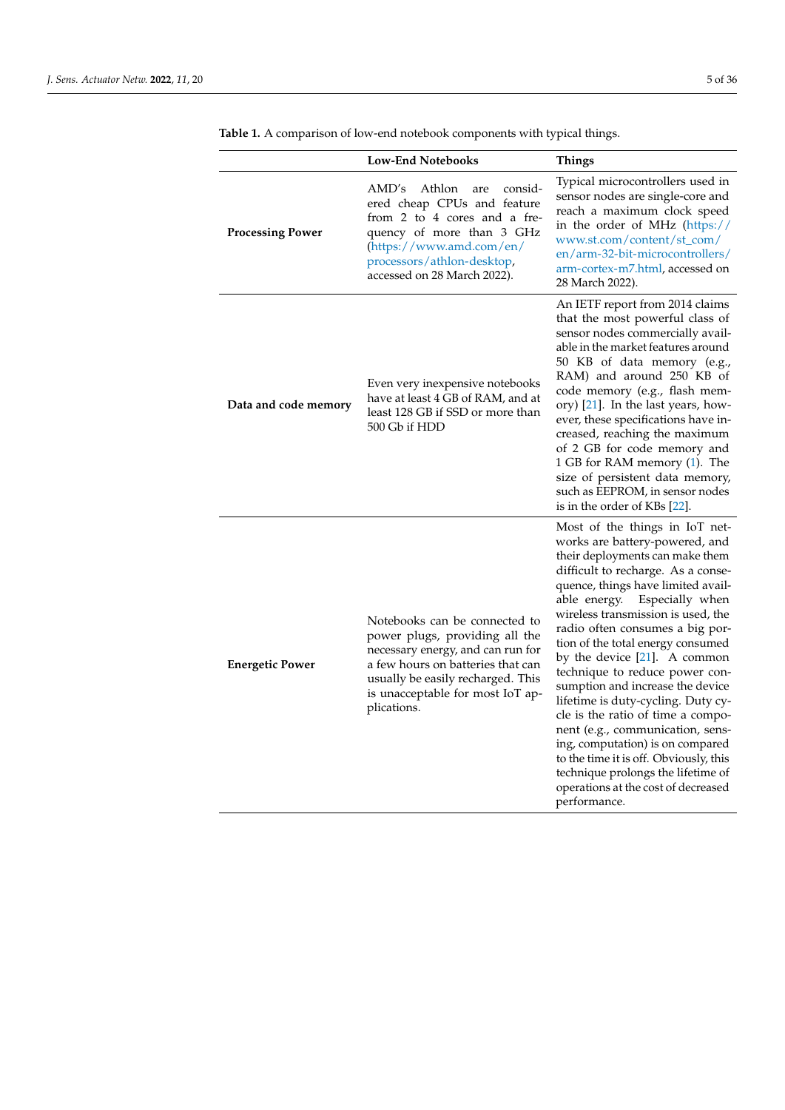|                         | <b>Low-End Notebooks</b>                                                                                                                                                                                                          | <b>Things</b>                                                                                                                                                                                                                                                                                                                                                                                                                                                                                                                                                                                                                                                                                                                    |
|-------------------------|-----------------------------------------------------------------------------------------------------------------------------------------------------------------------------------------------------------------------------------|----------------------------------------------------------------------------------------------------------------------------------------------------------------------------------------------------------------------------------------------------------------------------------------------------------------------------------------------------------------------------------------------------------------------------------------------------------------------------------------------------------------------------------------------------------------------------------------------------------------------------------------------------------------------------------------------------------------------------------|
| <b>Processing Power</b> | AMD's<br>Athlon<br>consid-<br>are<br>ered cheap CPUs and feature<br>from 2 to 4 cores and a fre-<br>quency of more than 3 GHz<br>(https://www.amd.com/en/<br>processors/athlon-desktop,<br>accessed on 28 March 2022).            | Typical microcontrollers used in<br>sensor nodes are single-core and<br>reach a maximum clock speed<br>in the order of MHz (https://<br>www.st.com/content/st_com/<br>en/arm-32-bit-microcontrollers/<br>arm-cortex-m7.html, accessed on<br>28 March 2022).                                                                                                                                                                                                                                                                                                                                                                                                                                                                      |
| Data and code memory    | Even very inexpensive notebooks<br>have at least 4 GB of RAM, and at<br>least 128 GB if SSD or more than<br>500 Gb if HDD                                                                                                         | An IETF report from 2014 claims<br>that the most powerful class of<br>sensor nodes commercially avail-<br>able in the market features around<br>50 KB of data memory (e.g.,<br>RAM) and around 250 KB of<br>code memory (e.g., flash mem-<br>ory) [21]. In the last years, how-<br>ever, these specifications have in-<br>creased, reaching the maximum<br>of 2 GB for code memory and<br>1 GB for RAM memory (1). The<br>size of persistent data memory,<br>such as EEPROM, in sensor nodes<br>is in the order of KBs [22].                                                                                                                                                                                                     |
| <b>Energetic Power</b>  | Notebooks can be connected to<br>power plugs, providing all the<br>necessary energy, and can run for<br>a few hours on batteries that can<br>usually be easily recharged. This<br>is unacceptable for most IoT ap-<br>plications. | Most of the things in IoT net-<br>works are battery-powered, and<br>their deployments can make them<br>difficult to recharge. As a conse-<br>quence, things have limited avail-<br>Especially when<br>able energy.<br>wireless transmission is used, the<br>radio often consumes a big por-<br>tion of the total energy consumed<br>by the device [21]. A common<br>technique to reduce power con-<br>sumption and increase the device<br>lifetime is duty-cycling. Duty cy-<br>cle is the ratio of time a compo-<br>nent (e.g., communication, sens-<br>ing, computation) is on compared<br>to the time it is off. Obviously, this<br>technique prolongs the lifetime of<br>operations at the cost of decreased<br>performance. |

<span id="page-4-0"></span>**Table 1.** A comparison of low-end notebook components with typical things.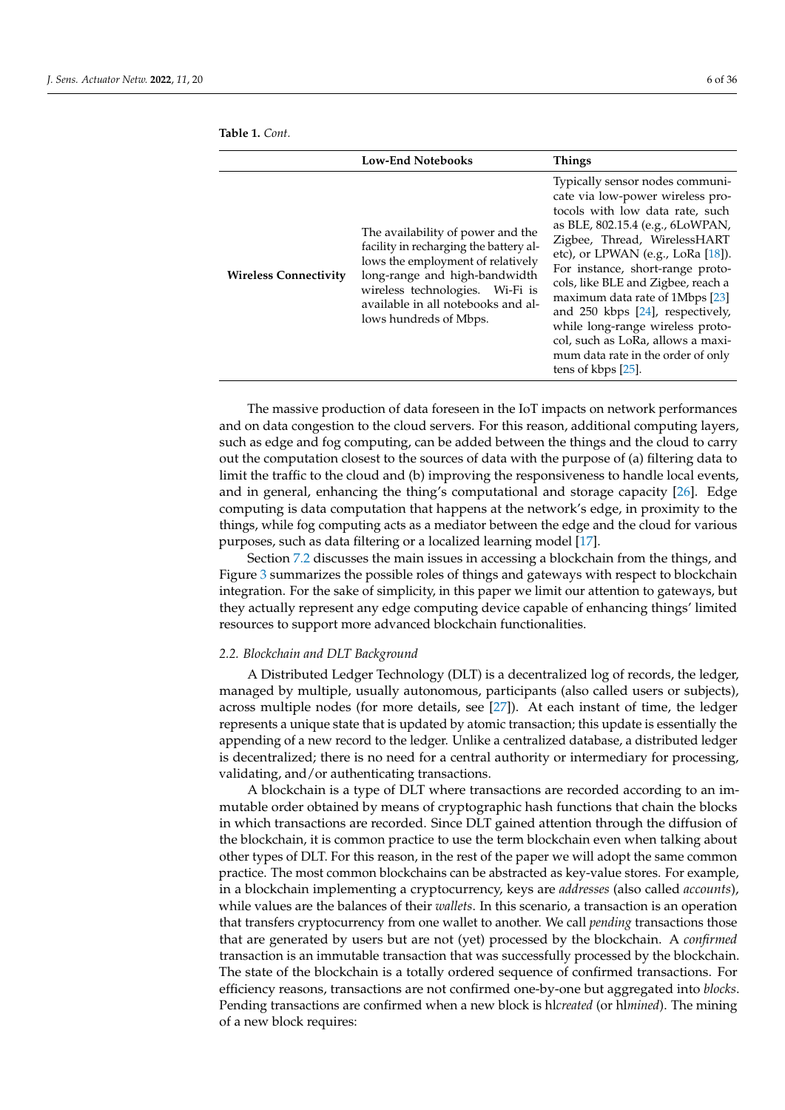|                              | <b>Low-End Notebooks</b>                                                                                                                                                                                                                             | <b>Things</b>                                                                                                                                                                                                                                                                                                                                                                                                                                                                                                    |
|------------------------------|------------------------------------------------------------------------------------------------------------------------------------------------------------------------------------------------------------------------------------------------------|------------------------------------------------------------------------------------------------------------------------------------------------------------------------------------------------------------------------------------------------------------------------------------------------------------------------------------------------------------------------------------------------------------------------------------------------------------------------------------------------------------------|
| <b>Wireless Connectivity</b> | The availability of power and the<br>facility in recharging the battery al-<br>lows the employment of relatively<br>long-range and high-bandwidth<br>wireless technologies. Wi-Fi is<br>available in all notebooks and al-<br>lows hundreds of Mbps. | Typically sensor nodes communi-<br>cate via low-power wireless pro-<br>tocols with low data rate, such<br>as BLE, 802.15.4 (e.g., 6LoWPAN,<br>Zigbee, Thread, WirelessHART<br>etc), or LPWAN (e.g., LoRa $[18]$ ).<br>For instance, short-range proto-<br>cols, like BLE and Zigbee, reach a<br>maximum data rate of 1Mbps [23]<br>and $250$ kbps $[24]$ , respectively,<br>while long-range wireless proto-<br>col, such as LoRa, allows a maxi-<br>mum data rate in the order of only<br>tens of kbps $[25]$ . |

<span id="page-5-0"></span>**Table 1.** *Cont.*

The massive production of data foreseen in the IoT impacts on network performances and on data congestion to the cloud servers. For this reason, additional computing layers, such as edge and fog computing, can be added between the things and the cloud to carry out the computation closest to the sources of data with the purpose of (a) filtering data to limit the traffic to the cloud and (b) improving the responsiveness to handle local events, and in general, enhancing the thing's computational and storage capacity [\[26\]](#page-30-13). Edge computing is data computation that happens at the network's edge, in proximity to the things, while fog computing acts as a mediator between the edge and the cloud for various purposes, such as data filtering or a localized learning model [\[17\]](#page-30-4).

Section [7.2](#page-22-0) discusses the main issues in accessing a blockchain from the things, and Figure [3](#page-23-0) summarizes the possible roles of things and gateways with respect to blockchain integration. For the sake of simplicity, in this paper we limit our attention to gateways, but they actually represent any edge computing device capable of enhancing things' limited resources to support more advanced blockchain functionalities.

### <span id="page-5-1"></span>*2.2. Blockchain and DLT Background*

A Distributed Ledger Technology (DLT) is a decentralized log of records, the ledger, managed by multiple, usually autonomous, participants (also called users or subjects), across multiple nodes (for more details, see [\[27\]](#page-30-14)). At each instant of time, the ledger represents a unique state that is updated by atomic transaction; this update is essentially the appending of a new record to the ledger. Unlike a centralized database, a distributed ledger is decentralized; there is no need for a central authority or intermediary for processing, validating, and/or authenticating transactions.

A blockchain is a type of DLT where transactions are recorded according to an immutable order obtained by means of cryptographic hash functions that chain the blocks in which transactions are recorded. Since DLT gained attention through the diffusion of the blockchain, it is common practice to use the term blockchain even when talking about other types of DLT. For this reason, in the rest of the paper we will adopt the same common practice. The most common blockchains can be abstracted as key-value stores. For example, in a blockchain implementing a cryptocurrency, keys are *addresses* (also called *accounts*), while values are the balances of their *wallets*. In this scenario, a transaction is an operation that transfers cryptocurrency from one wallet to another. We call *pending* transactions those that are generated by users but are not (yet) processed by the blockchain. A *confirmed* transaction is an immutable transaction that was successfully processed by the blockchain. The state of the blockchain is a totally ordered sequence of confirmed transactions. For efficiency reasons, transactions are not confirmed one-by-one but aggregated into *blocks*. Pending transactions are confirmed when a new block is hl*created* (or hl*mined*). The mining of a new block requires: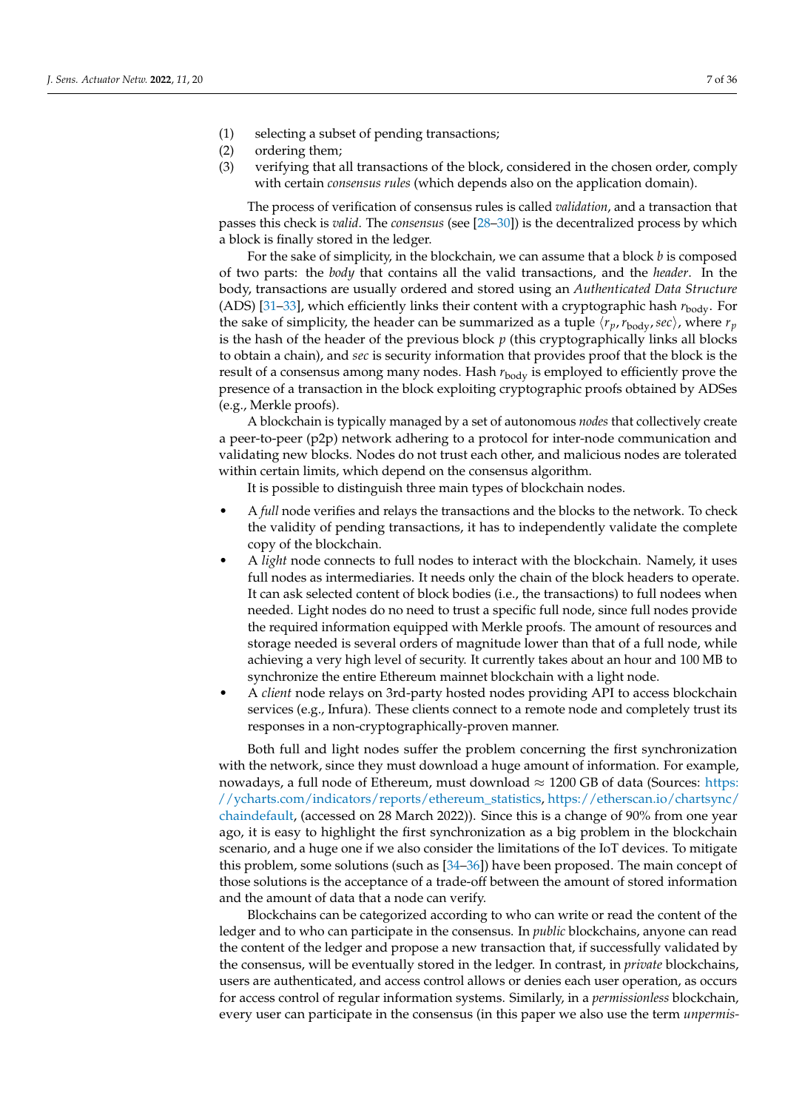- (1) selecting a subset of pending transactions;
- (2) ordering them;
- (3) verifying that all transactions of the block, considered in the chosen order, comply with certain *consensus rules* (which depends also on the application domain).

The process of verification of consensus rules is called *validation*, and a transaction that passes this check is *valid*. The *consensus* (see [\[28](#page-30-15)[–30\]](#page-30-16)) is the decentralized process by which a block is finally stored in the ledger.

For the sake of simplicity, in the blockchain, we can assume that a block *b* is composed of two parts: the *body* that contains all the valid transactions, and the *header*. In the body, transactions are usually ordered and stored using an *Authenticated Data Structure* (ADS) [31-[33\]](#page-30-18), which efficiently links their content with a cryptographic hash  $r_{body}$ . For the sake of simplicity, the header can be summarized as a tuple  $\langle r_p, r_{body}, sec \rangle$ , where  $r_p$ is the hash of the header of the previous block *p* (this cryptographically links all blocks to obtain a chain), and *sec* is security information that provides proof that the block is the result of a consensus among many nodes. Hash  $r_{\text{body}}$  is employed to efficiently prove the presence of a transaction in the block exploiting cryptographic proofs obtained by ADSes (e.g., Merkle proofs).

A blockchain is typically managed by a set of autonomous *nodes* that collectively create a peer-to-peer (p2p) network adhering to a protocol for inter-node communication and validating new blocks. Nodes do not trust each other, and malicious nodes are tolerated within certain limits, which depend on the consensus algorithm.

It is possible to distinguish three main types of blockchain nodes.

- A *full* node verifies and relays the transactions and the blocks to the network. To check the validity of pending transactions, it has to independently validate the complete copy of the blockchain.
- A *light* node connects to full nodes to interact with the blockchain. Namely, it uses full nodes as intermediaries. It needs only the chain of the block headers to operate. It can ask selected content of block bodies (i.e., the transactions) to full nodees when needed. Light nodes do no need to trust a specific full node, since full nodes provide the required information equipped with Merkle proofs. The amount of resources and storage needed is several orders of magnitude lower than that of a full node, while achieving a very high level of security. It currently takes about an hour and 100 MB to synchronize the entire Ethereum mainnet blockchain with a light node.
- A *client* node relays on 3rd-party hosted nodes providing API to access blockchain services (e.g., Infura). These clients connect to a remote node and completely trust its responses in a non-cryptographically-proven manner.

Both full and light nodes suffer the problem concerning the first synchronization with the network, since they must download a huge amount of information. For example, nowadays, a full node of Ethereum, must download  $\approx 1200$  GB of data (Sources: [https:](https://ycharts.com/indicators/reports/ethereum_statistics) [//ycharts.com/indicators/reports/ethereum\\_statistics,](https://ycharts.com/indicators/reports/ethereum_statistics) [https://etherscan.io/chartsync/](https://etherscan.io/chartsync/chaindefault) [chaindefault,](https://etherscan.io/chartsync/chaindefault) (accessed on 28 March 2022)). Since this is a change of 90% from one year ago, it is easy to highlight the first synchronization as a big problem in the blockchain scenario, and a huge one if we also consider the limitations of the IoT devices. To mitigate this problem, some solutions (such as [\[34–](#page-30-19)[36\]](#page-30-20)) have been proposed. The main concept of those solutions is the acceptance of a trade-off between the amount of stored information and the amount of data that a node can verify.

Blockchains can be categorized according to who can write or read the content of the ledger and to who can participate in the consensus. In *public* blockchains, anyone can read the content of the ledger and propose a new transaction that, if successfully validated by the consensus, will be eventually stored in the ledger. In contrast, in *private* blockchains, users are authenticated, and access control allows or denies each user operation, as occurs for access control of regular information systems. Similarly, in a *permissionless* blockchain, every user can participate in the consensus (in this paper we also use the term *unpermis-*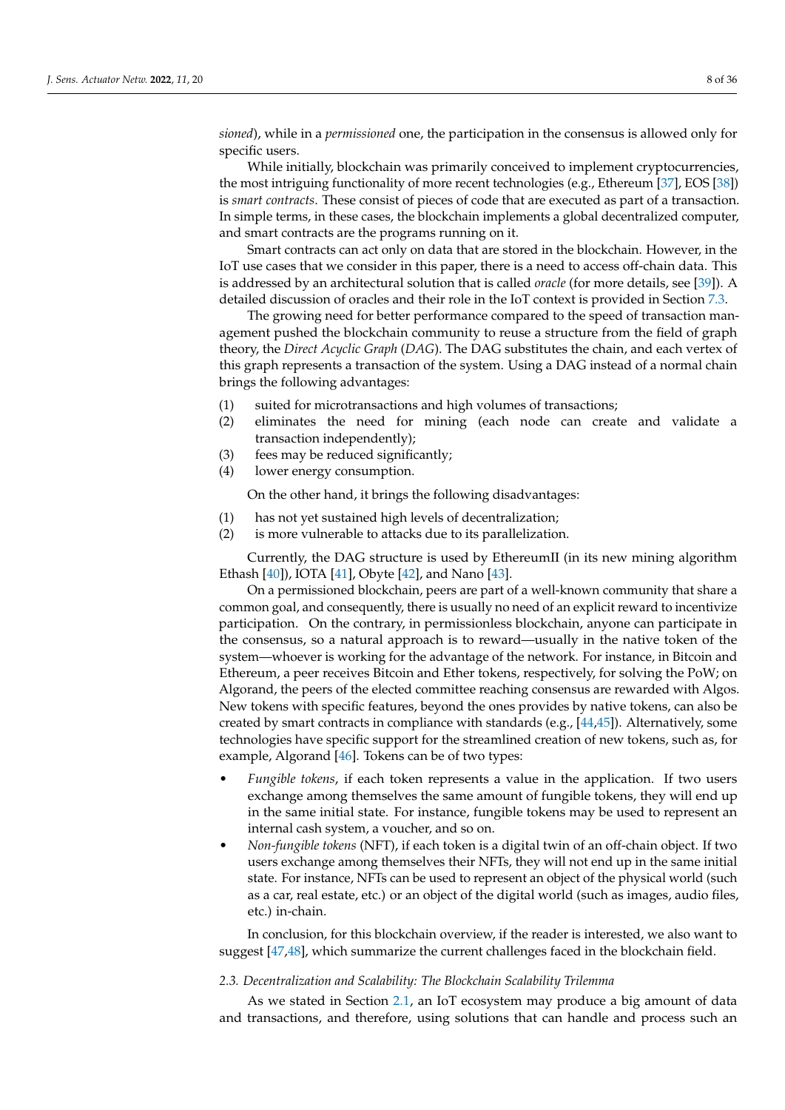*sioned*), while in a *permissioned* one, the participation in the consensus is allowed only for specific users.

While initially, blockchain was primarily conceived to implement cryptocurrencies, the most intriguing functionality of more recent technologies (e.g., Ethereum [\[37\]](#page-30-21), EOS [\[38\]](#page-30-22)) is *smart contracts*. These consist of pieces of code that are executed as part of a transaction. In simple terms, in these cases, the blockchain implements a global decentralized computer, and smart contracts are the programs running on it.

Smart contracts can act only on data that are stored in the blockchain. However, in the IoT use cases that we consider in this paper, there is a need to access off-chain data. This is addressed by an architectural solution that is called *oracle* (for more details, see [\[39\]](#page-30-23)). A detailed discussion of oracles and their role in the IoT context is provided in Section [7.3.](#page-24-0)

The growing need for better performance compared to the speed of transaction management pushed the blockchain community to reuse a structure from the field of graph theory, the *Direct Acyclic Graph* (*DAG*). The DAG substitutes the chain, and each vertex of this graph represents a transaction of the system. Using a DAG instead of a normal chain brings the following advantages:

- (1) suited for microtransactions and high volumes of transactions;
- (2) eliminates the need for mining (each node can create and validate a transaction independently);
- (3) fees may be reduced significantly;
- (4) lower energy consumption.

On the other hand, it brings the following disadvantages:

- (1) has not yet sustained high levels of decentralization;
- (2) is more vulnerable to attacks due to its parallelization.

Currently, the DAG structure is used by EthereumII (in its new mining algorithm Ethash [\[40\]](#page-30-24)), IOTA [\[41\]](#page-30-25), Obyte [\[42\]](#page-30-26), and Nano [\[43\]](#page-31-0).

On a permissioned blockchain, peers are part of a well-known community that share a common goal, and consequently, there is usually no need of an explicit reward to incentivize participation. On the contrary, in permissionless blockchain, anyone can participate in the consensus, so a natural approach is to reward—usually in the native token of the system—whoever is working for the advantage of the network. For instance, in Bitcoin and Ethereum, a peer receives Bitcoin and Ether tokens, respectively, for solving the PoW; on Algorand, the peers of the elected committee reaching consensus are rewarded with Algos. New tokens with specific features, beyond the ones provides by native tokens, can also be created by smart contracts in compliance with standards (e.g.,  $[44,45]$  $[44,45]$ ). Alternatively, some technologies have specific support for the streamlined creation of new tokens, such as, for example, Algorand [\[46\]](#page-31-3). Tokens can be of two types:

- *Fungible tokens*, if each token represents a value in the application. If two users exchange among themselves the same amount of fungible tokens, they will end up in the same initial state. For instance, fungible tokens may be used to represent an internal cash system, a voucher, and so on.
- *Non-fungible tokens* (NFT), if each token is a digital twin of an off-chain object. If two users exchange among themselves their NFTs, they will not end up in the same initial state. For instance, NFTs can be used to represent an object of the physical world (such as a car, real estate, etc.) or an object of the digital world (such as images, audio files, etc.) in-chain.

In conclusion, for this blockchain overview, if the reader is interested, we also want to suggest [\[47,](#page-31-4)[48\]](#page-31-5), which summarize the current challenges faced in the blockchain field.

#### <span id="page-7-0"></span>*2.3. Decentralization and Scalability: The Blockchain Scalability Trilemma*

As we stated in Section [2.1,](#page-2-2) an IoT ecosystem may produce a big amount of data and transactions, and therefore, using solutions that can handle and process such an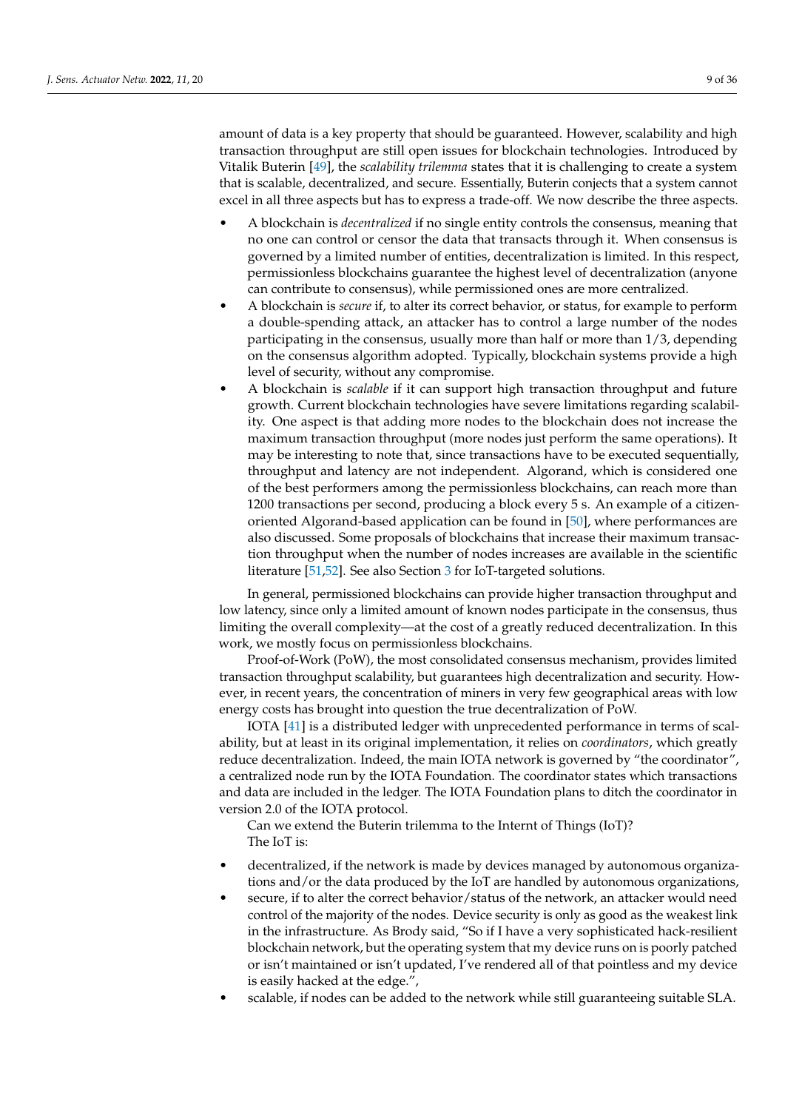amount of data is a key property that should be guaranteed. However, scalability and high transaction throughput are still open issues for blockchain technologies. Introduced by Vitalik Buterin [\[49\]](#page-31-6), the *scalability trilemma* states that it is challenging to create a system that is scalable, decentralized, and secure. Essentially, Buterin conjects that a system cannot excel in all three aspects but has to express a trade-off. We now describe the three aspects.

- A blockchain is *decentralized* if no single entity controls the consensus, meaning that no one can control or censor the data that transacts through it. When consensus is governed by a limited number of entities, decentralization is limited. In this respect, permissionless blockchains guarantee the highest level of decentralization (anyone can contribute to consensus), while permissioned ones are more centralized.
- A blockchain is *secure* if, to alter its correct behavior, or status, for example to perform a double-spending attack, an attacker has to control a large number of the nodes participating in the consensus, usually more than half or more than 1/3, depending on the consensus algorithm adopted. Typically, blockchain systems provide a high level of security, without any compromise.
- A blockchain is *scalable* if it can support high transaction throughput and future growth. Current blockchain technologies have severe limitations regarding scalability. One aspect is that adding more nodes to the blockchain does not increase the maximum transaction throughput (more nodes just perform the same operations). It may be interesting to note that, since transactions have to be executed sequentially, throughput and latency are not independent. Algorand, which is considered one of the best performers among the permissionless blockchains, can reach more than 1200 transactions per second, producing a block every 5 s. An example of a citizenoriented Algorand-based application can be found in [\[50\]](#page-31-7), where performances are also discussed. Some proposals of blockchains that increase their maximum transaction throughput when the number of nodes increases are available in the scientific literature [\[51](#page-31-8)[,52\]](#page-31-9). See also Section [3](#page-9-0) for IoT-targeted solutions.

In general, permissioned blockchains can provide higher transaction throughput and low latency, since only a limited amount of known nodes participate in the consensus, thus limiting the overall complexity—at the cost of a greatly reduced decentralization. In this work, we mostly focus on permissionless blockchains.

Proof-of-Work (PoW), the most consolidated consensus mechanism, provides limited transaction throughput scalability, but guarantees high decentralization and security. However, in recent years, the concentration of miners in very few geographical areas with low energy costs has brought into question the true decentralization of PoW.

IOTA [\[41\]](#page-30-25) is a distributed ledger with unprecedented performance in terms of scalability, but at least in its original implementation, it relies on *coordinators*, which greatly reduce decentralization. Indeed, the main IOTA network is governed by "the coordinator", a centralized node run by the IOTA Foundation. The coordinator states which transactions and data are included in the ledger. The IOTA Foundation plans to ditch the coordinator in version 2.0 of the IOTA protocol.

Can we extend the Buterin trilemma to the Internt of Things (IoT)? The IoT is:

- decentralized, if the network is made by devices managed by autonomous organizations and/or the data produced by the IoT are handled by autonomous organizations,
- secure, if to alter the correct behavior/status of the network, an attacker would need control of the majority of the nodes. Device security is only as good as the weakest link in the infrastructure. As Brody said, "So if I have a very sophisticated hack-resilient blockchain network, but the operating system that my device runs on is poorly patched or isn't maintained or isn't updated, I've rendered all of that pointless and my device is easily hacked at the edge.",
- scalable, if nodes can be added to the network while still guaranteeing suitable SLA.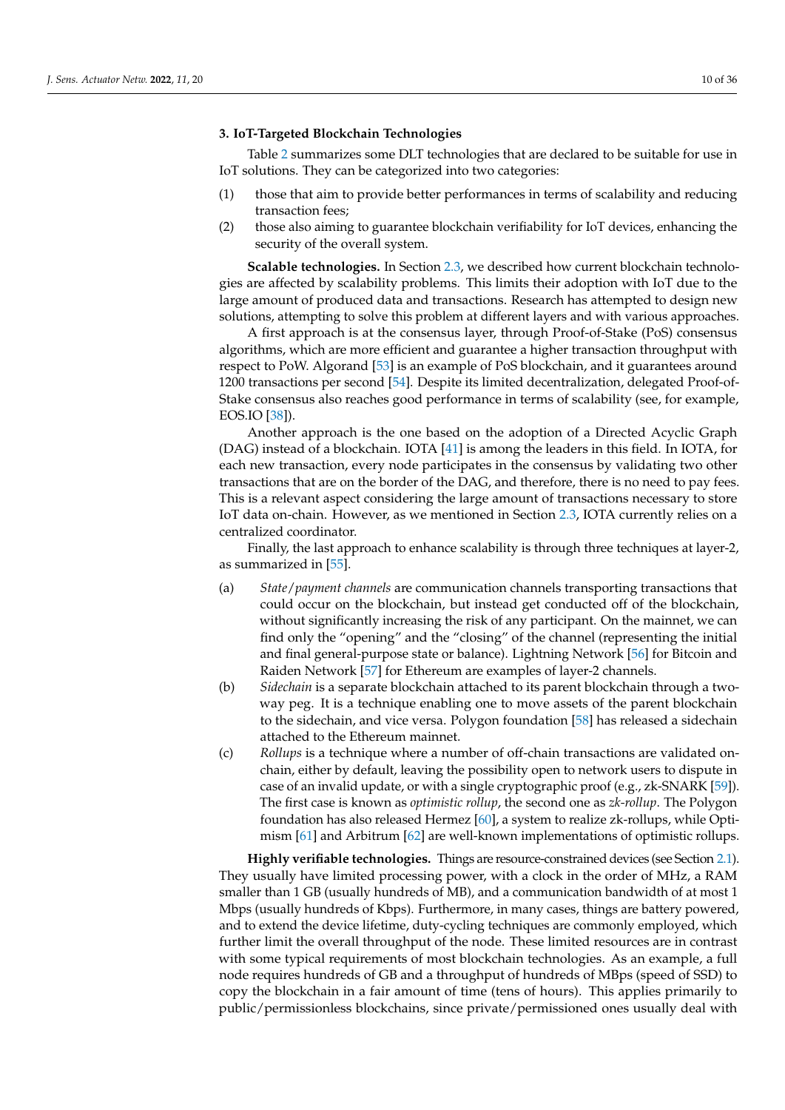#### <span id="page-9-0"></span>**3. IoT-Targeted Blockchain Technologies**

Table [2](#page-10-1) summarizes some DLT technologies that are declared to be suitable for use in IoT solutions. They can be categorized into two categories:

- (1) those that aim to provide better performances in terms of scalability and reducing transaction fees;
- (2) those also aiming to guarantee blockchain verifiability for IoT devices, enhancing the security of the overall system.

**Scalable technologies.** In Section [2.3,](#page-7-0) we described how current blockchain technologies are affected by scalability problems. This limits their adoption with IoT due to the large amount of produced data and transactions. Research has attempted to design new solutions, attempting to solve this problem at different layers and with various approaches.

A first approach is at the consensus layer, through Proof-of-Stake (PoS) consensus algorithms, which are more efficient and guarantee a higher transaction throughput with respect to PoW. Algorand [\[53\]](#page-31-10) is an example of PoS blockchain, and it guarantees around 1200 transactions per second [\[54\]](#page-31-11). Despite its limited decentralization, delegated Proof-of-Stake consensus also reaches good performance in terms of scalability (see, for example, EOS.IO [\[38\]](#page-30-22)).

Another approach is the one based on the adoption of a Directed Acyclic Graph (DAG) instead of a blockchain. IOTA [\[41\]](#page-30-25) is among the leaders in this field. In IOTA, for each new transaction, every node participates in the consensus by validating two other transactions that are on the border of the DAG, and therefore, there is no need to pay fees. This is a relevant aspect considering the large amount of transactions necessary to store IoT data on-chain. However, as we mentioned in Section [2.3,](#page-7-0) IOTA currently relies on a centralized coordinator.

Finally, the last approach to enhance scalability is through three techniques at layer-2, as summarized in [\[55\]](#page-31-12).

- (a) *State*/*payment channels* are communication channels transporting transactions that could occur on the blockchain, but instead get conducted off of the blockchain, without significantly increasing the risk of any participant. On the mainnet, we can find only the "opening" and the "closing" of the channel (representing the initial and final general-purpose state or balance). Lightning Network [\[56\]](#page-31-13) for Bitcoin and Raiden Network [\[57\]](#page-31-14) for Ethereum are examples of layer-2 channels.
- (b) *Sidechain* is a separate blockchain attached to its parent blockchain through a twoway peg. It is a technique enabling one to move assets of the parent blockchain to the sidechain, and vice versa. Polygon foundation [\[58\]](#page-31-15) has released a sidechain attached to the Ethereum mainnet.
- (c) *Rollups* is a technique where a number of off-chain transactions are validated onchain, either by default, leaving the possibility open to network users to dispute in case of an invalid update, or with a single cryptographic proof (e.g., zk-SNARK [\[59\]](#page-31-16)). The first case is known as *optimistic rollup*, the second one as *zk-rollup*. The Polygon foundation has also released Hermez [\[60\]](#page-31-17), a system to realize zk-rollups, while Optimism [\[61\]](#page-31-18) and Arbitrum [\[62\]](#page-31-19) are well-known implementations of optimistic rollups.

**Highly verifiable technologies.** Things are resource-constrained devices (see Section [2.1\)](#page-2-2). They usually have limited processing power, with a clock in the order of MHz, a RAM smaller than 1 GB (usually hundreds of MB), and a communication bandwidth of at most 1 Mbps (usually hundreds of Kbps). Furthermore, in many cases, things are battery powered, and to extend the device lifetime, duty-cycling techniques are commonly employed, which further limit the overall throughput of the node. These limited resources are in contrast with some typical requirements of most blockchain technologies. As an example, a full node requires hundreds of GB and a throughput of hundreds of MBps (speed of SSD) to copy the blockchain in a fair amount of time (tens of hours). This applies primarily to public/permissionless blockchains, since private/permissioned ones usually deal with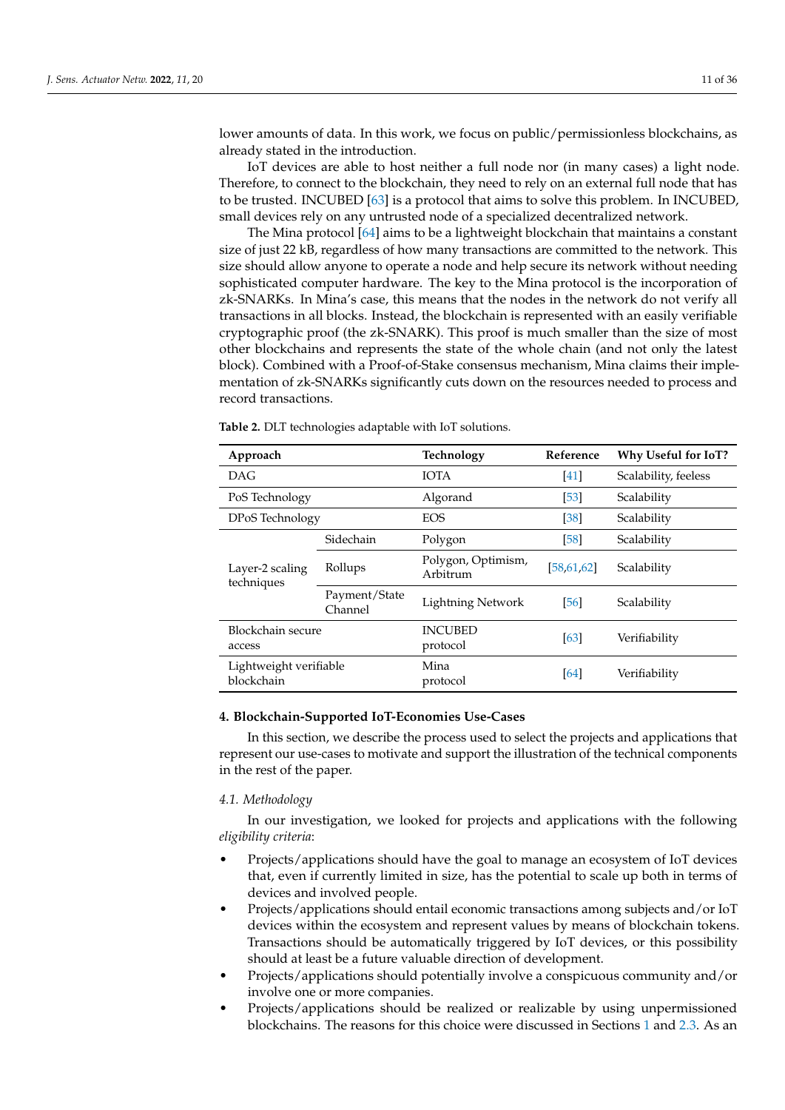lower amounts of data. In this work, we focus on public/permissionless blockchains, as already stated in the introduction.

IoT devices are able to host neither a full node nor (in many cases) a light node. Therefore, to connect to the blockchain, they need to rely on an external full node that has to be trusted. INCUBED [\[63\]](#page-31-20) is a protocol that aims to solve this problem. In INCUBED, small devices rely on any untrusted node of a specialized decentralized network.

The Mina protocol [\[64\]](#page-31-21) aims to be a lightweight blockchain that maintains a constant size of just 22 kB, regardless of how many transactions are committed to the network. This size should allow anyone to operate a node and help secure its network without needing sophisticated computer hardware. The key to the Mina protocol is the incorporation of zk-SNARKs. In Mina's case, this means that the nodes in the network do not verify all transactions in all blocks. Instead, the blockchain is represented with an easily verifiable cryptographic proof (the zk-SNARK). This proof is much smaller than the size of most other blockchains and represents the state of the whole chain (and not only the latest block). Combined with a Proof-of-Stake consensus mechanism, Mina claims their implementation of zk-SNARKs significantly cuts down on the resources needed to process and record transactions.

| Approach                             |                          | Technology                     | Reference    | Why Useful for IoT?  |
|--------------------------------------|--------------------------|--------------------------------|--------------|----------------------|
| <b>DAG</b>                           |                          | <b>IOTA</b>                    | [41]         | Scalability, feeless |
| PoS Technology                       |                          | Algorand                       | [53]         | Scalability          |
| DPoS Technology                      |                          | <b>EOS</b>                     | [38]         | Scalability          |
|                                      | Sidechain                | Polygon                        | [58]         | Scalability          |
| Layer-2 scaling<br>techniques        | Rollups                  | Polygon, Optimism,<br>Arbitrum | [58, 61, 62] | Scalability          |
|                                      | Payment/State<br>Channel | <b>Lightning Network</b>       | [56]         | Scalability          |
| Blockchain secure<br>access          |                          | <b>INCUBED</b><br>protocol     | [63]         | Verifiability        |
| Lightweight verifiable<br>blockchain |                          | Mina<br>protocol               | [64]         | Verifiability        |

<span id="page-10-1"></span>**Table 2.** DLT technologies adaptable with IoT solutions.

#### <span id="page-10-0"></span>**4. Blockchain-Supported IoT-Economies Use-Cases**

In this section, we describe the process used to select the projects and applications that represent our use-cases to motivate and support the illustration of the technical components in the rest of the paper.

#### <span id="page-10-2"></span>*4.1. Methodology*

In our investigation, we looked for projects and applications with the following *eligibility criteria*:

- Projects/applications should have the goal to manage an ecosystem of IoT devices that, even if currently limited in size, has the potential to scale up both in terms of devices and involved people.
- Projects/applications should entail economic transactions among subjects and/or IoT devices within the ecosystem and represent values by means of blockchain tokens. Transactions should be automatically triggered by IoT devices, or this possibility should at least be a future valuable direction of development.
- Projects/applications should potentially involve a conspicuous community and/or involve one or more companies.
- Projects/applications should be realized or realizable by using unpermissioned blockchains. The reasons for this choice were discussed in Sections [1](#page-0-0) and [2.3.](#page-7-0) As an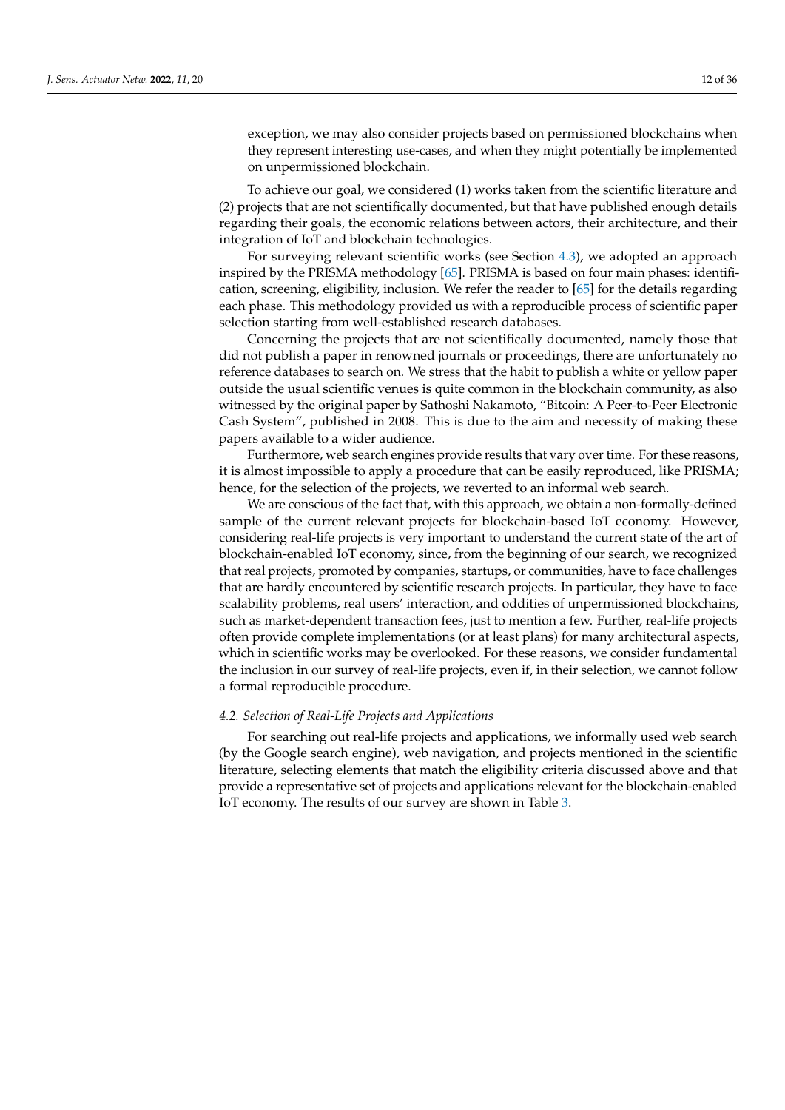exception, we may also consider projects based on permissioned blockchains when they represent interesting use-cases, and when they might potentially be implemented on unpermissioned blockchain.

To achieve our goal, we considered (1) works taken from the scientific literature and (2) projects that are not scientifically documented, but that have published enough details regarding their goals, the economic relations between actors, their architecture, and their integration of IoT and blockchain technologies.

For surveying relevant scientific works (see Section [4.3\)](#page-14-0), we adopted an approach inspired by the PRISMA methodology [\[65\]](#page-31-22). PRISMA is based on four main phases: identification, screening, eligibility, inclusion. We refer the reader to [\[65\]](#page-31-22) for the details regarding each phase. This methodology provided us with a reproducible process of scientific paper selection starting from well-established research databases.

Concerning the projects that are not scientifically documented, namely those that did not publish a paper in renowned journals or proceedings, there are unfortunately no reference databases to search on. We stress that the habit to publish a white or yellow paper outside the usual scientific venues is quite common in the blockchain community, as also witnessed by the original paper by Sathoshi Nakamoto, "Bitcoin: A Peer-to-Peer Electronic Cash System", published in 2008. This is due to the aim and necessity of making these papers available to a wider audience.

Furthermore, web search engines provide results that vary over time. For these reasons, it is almost impossible to apply a procedure that can be easily reproduced, like PRISMA; hence, for the selection of the projects, we reverted to an informal web search.

We are conscious of the fact that, with this approach, we obtain a non-formally-defined sample of the current relevant projects for blockchain-based IoT economy. However, considering real-life projects is very important to understand the current state of the art of blockchain-enabled IoT economy, since, from the beginning of our search, we recognized that real projects, promoted by companies, startups, or communities, have to face challenges that are hardly encountered by scientific research projects. In particular, they have to face scalability problems, real users' interaction, and oddities of unpermissioned blockchains, such as market-dependent transaction fees, just to mention a few. Further, real-life projects often provide complete implementations (or at least plans) for many architectural aspects, which in scientific works may be overlooked. For these reasons, we consider fundamental the inclusion in our survey of real-life projects, even if, in their selection, we cannot follow a formal reproducible procedure.

#### *4.2. Selection of Real-Life Projects and Applications*

For searching out real-life projects and applications, we informally used web search (by the Google search engine), web navigation, and projects mentioned in the scientific literature, selecting elements that match the eligibility criteria discussed above and that provide a representative set of projects and applications relevant for the blockchain-enabled IoT economy. The results of our survey are shown in Table [3.](#page-14-1)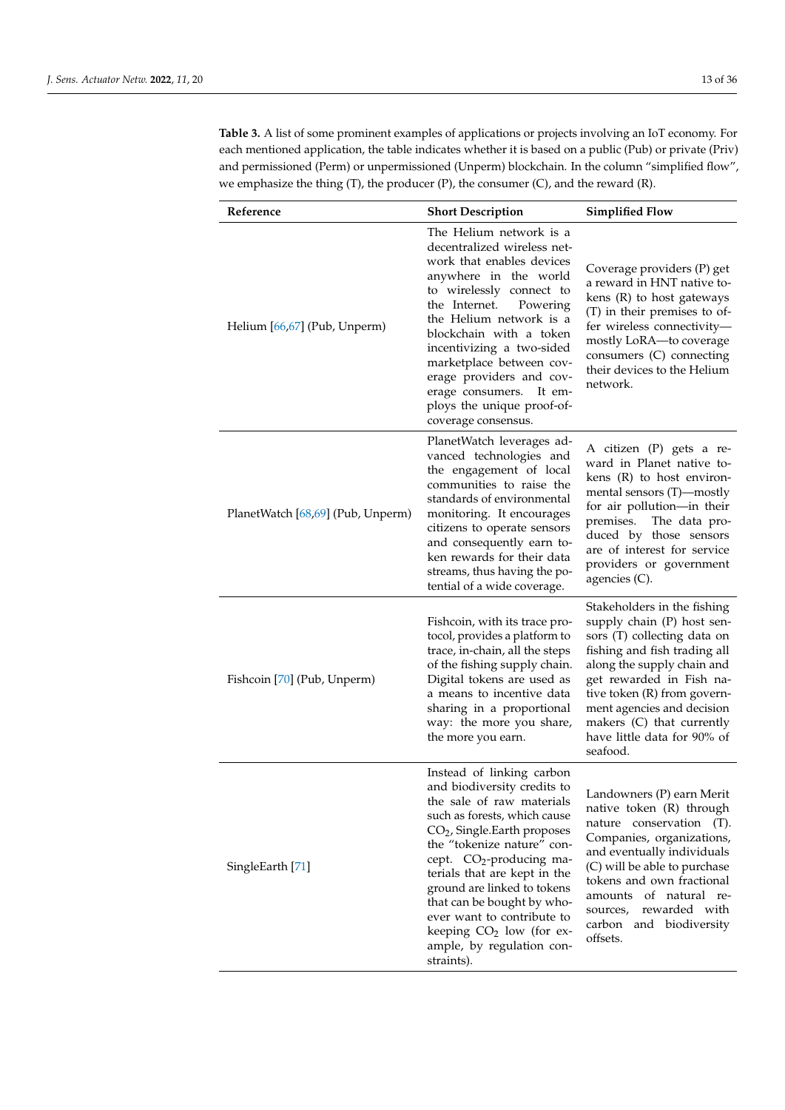**Table 3.** A list of some prominent examples of applications or projects involving an IoT economy. For each mentioned application, the table indicates whether it is based on a public (Pub) or private (Priv) and permissioned (Perm) or unpermissioned (Unperm) blockchain. In the column "simplified flow", we emphasize the thing (T), the producer (P), the consumer (C), and the reward (R).

| Reference                         | <b>Short Description</b>                                                                                                                                                                                                                                                                                                                                                                                                                   | <b>Simplified Flow</b>                                                                                                                                                                                                                                                                                                  |
|-----------------------------------|--------------------------------------------------------------------------------------------------------------------------------------------------------------------------------------------------------------------------------------------------------------------------------------------------------------------------------------------------------------------------------------------------------------------------------------------|-------------------------------------------------------------------------------------------------------------------------------------------------------------------------------------------------------------------------------------------------------------------------------------------------------------------------|
| Helium [66,67] (Pub, Unperm)      | The Helium network is a<br>decentralized wireless net-<br>work that enables devices<br>anywhere in the world<br>to wirelessly connect to<br>the Internet.<br>Powering<br>the Helium network is a<br>blockchain with a token<br>incentivizing a two-sided<br>marketplace between cov-<br>erage providers and cov-<br>erage consumers.<br>It em-<br>ploys the unique proof-of-<br>coverage consensus.                                        | Coverage providers (P) get<br>a reward in HNT native to-<br>kens $(R)$ to host gateways<br>(T) in their premises to of-<br>fer wireless connectivity-<br>mostly LoRA-to coverage<br>consumers (C) connecting<br>their devices to the Helium<br>network.                                                                 |
| PlanetWatch [68,69] (Pub, Unperm) | PlanetWatch leverages ad-<br>vanced technologies and<br>the engagement of local<br>communities to raise the<br>standards of environmental<br>monitoring. It encourages<br>citizens to operate sensors<br>and consequently earn to-<br>ken rewards for their data<br>streams, thus having the po-<br>tential of a wide coverage.                                                                                                            | A citizen (P) gets a re-<br>ward in Planet native to-<br>kens $(R)$ to host environ-<br>mental sensors (T)—mostly<br>for air pollution-in their<br>premises.<br>The data pro-<br>duced by those sensors<br>are of interest for service<br>providers or government<br>agencies $(C)$ .                                   |
| Fishcoin [70] (Pub, Unperm)       | Fishcoin, with its trace pro-<br>tocol, provides a platform to<br>trace, in-chain, all the steps<br>of the fishing supply chain.<br>Digital tokens are used as<br>a means to incentive data<br>sharing in a proportional<br>way: the more you share,<br>the more you earn.                                                                                                                                                                 | Stakeholders in the fishing<br>supply chain (P) host sen-<br>sors (T) collecting data on<br>fishing and fish trading all<br>along the supply chain and<br>get rewarded in Fish na-<br>tive token (R) from govern-<br>ment agencies and decision<br>makers (C) that currently<br>have little data for 90% of<br>seafood. |
| SingleEarth [71]                  | Instead of linking carbon<br>and biodiversity credits to<br>the sale of raw materials<br>such as forests, which cause<br>$CO2$ , Single.Earth proposes<br>the "tokenize nature" con-<br>cept. CO <sub>2</sub> -producing ma-<br>terials that are kept in the<br>ground are linked to tokens<br>that can be bought by who-<br>ever want to contribute to<br>keeping CO <sub>2</sub> low (for ex-<br>ample, by regulation con-<br>straints). | Landowners (P) earn Merit<br>native token (R) through<br>nature conservation<br>$(T)$ .<br>Companies, organizations,<br>and eventually individuals<br>(C) will be able to purchase<br>tokens and own fractional<br>amounts<br>of natural re-<br>rewarded with<br>sources,<br>carbon and biodiversity<br>offsets.        |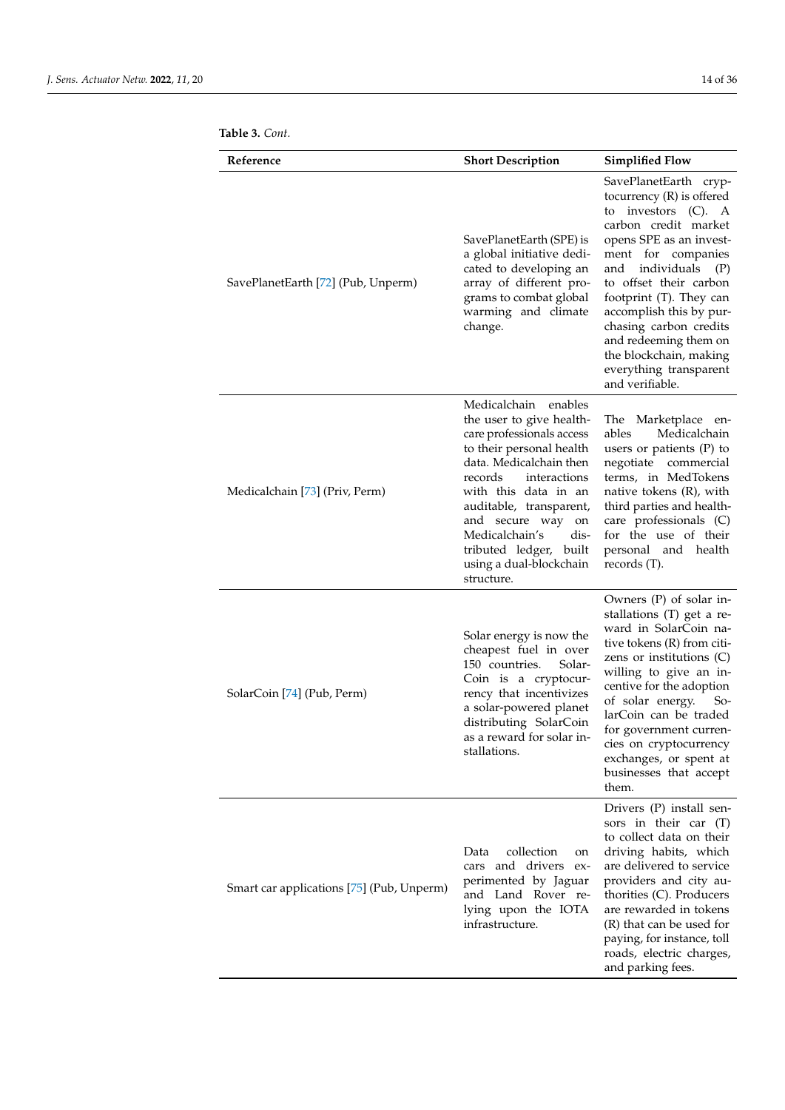|  | Table 3. Cont. |
|--|----------------|
|--|----------------|

| Reference                                 | <b>Short Description</b>                                                                                                                                                                                                                                                                                                             | <b>Simplified Flow</b>                                                                                                                                                                                                                                                                                                                                                                         |
|-------------------------------------------|--------------------------------------------------------------------------------------------------------------------------------------------------------------------------------------------------------------------------------------------------------------------------------------------------------------------------------------|------------------------------------------------------------------------------------------------------------------------------------------------------------------------------------------------------------------------------------------------------------------------------------------------------------------------------------------------------------------------------------------------|
| SavePlanetEarth [72] (Pub, Unperm)        | SavePlanetEarth (SPE) is<br>a global initiative dedi-<br>cated to developing an<br>array of different pro-<br>grams to combat global<br>warming and climate<br>change.                                                                                                                                                               | SavePlanetEarth cryp-<br>tocurrency $(R)$ is offered<br>investors $(C)$ . A<br>to<br>carbon credit market<br>opens SPE as an invest-<br>ment for companies<br>individuals (P)<br>and<br>to offset their carbon<br>footprint (T). They can<br>accomplish this by pur-<br>chasing carbon credits<br>and redeeming them on<br>the blockchain, making<br>everything transparent<br>and verifiable. |
| Medicalchain [73] (Priv, Perm)            | Medicalchain enables<br>the user to give health-<br>care professionals access<br>to their personal health<br>data. Medicalchain then<br>records<br>interactions<br>with this data in an<br>auditable, transparent,<br>and secure way on<br>Medicalchain's<br>dis-<br>tributed ledger, built<br>using a dual-blockchain<br>structure. | The Marketplace en-<br>Medicalchain<br>ables<br>users or patients $(P)$ to<br>negotiate commercial<br>terms, in MedTokens<br>native tokens (R), with<br>third parties and health-<br>care professionals (C)<br>for the use of their<br>personal and health<br>records $(T)$ .                                                                                                                  |
| SolarCoin [74] (Pub, Perm)                | Solar energy is now the<br>cheapest fuel in over<br>150 countries.<br>Solar-<br>Coin is a cryptocur-<br>rency that incentivizes<br>a solar-powered planet<br>distributing SolarCoin<br>as a reward for solar in-<br>stallations.                                                                                                     | Owners (P) of solar in-<br>stallations (T) get a re-<br>ward in SolarCoin na-<br>tive tokens (R) from citi-<br>zens or institutions $(C)$<br>willing to give an in-<br>centive for the adoption<br>of solar energy.<br>$So-$<br>larCoin can be traded<br>for government curren-<br>cies on cryptocurrency<br>exchanges, or spent at<br>businesses that accept<br>them.                         |
| Smart car applications [75] (Pub, Unperm) | collection<br>Data<br>on<br>cars and drivers ex-<br>perimented by Jaguar<br>and Land Rover re-<br>lying upon the IOTA<br>infrastructure.                                                                                                                                                                                             | Drivers (P) install sen-<br>sors in their car (T)<br>to collect data on their<br>driving habits, which<br>are delivered to service<br>providers and city au-<br>thorities (C). Producers<br>are rewarded in tokens<br>(R) that can be used for<br>paying, for instance, toll<br>roads, electric charges,<br>and parking fees.                                                                  |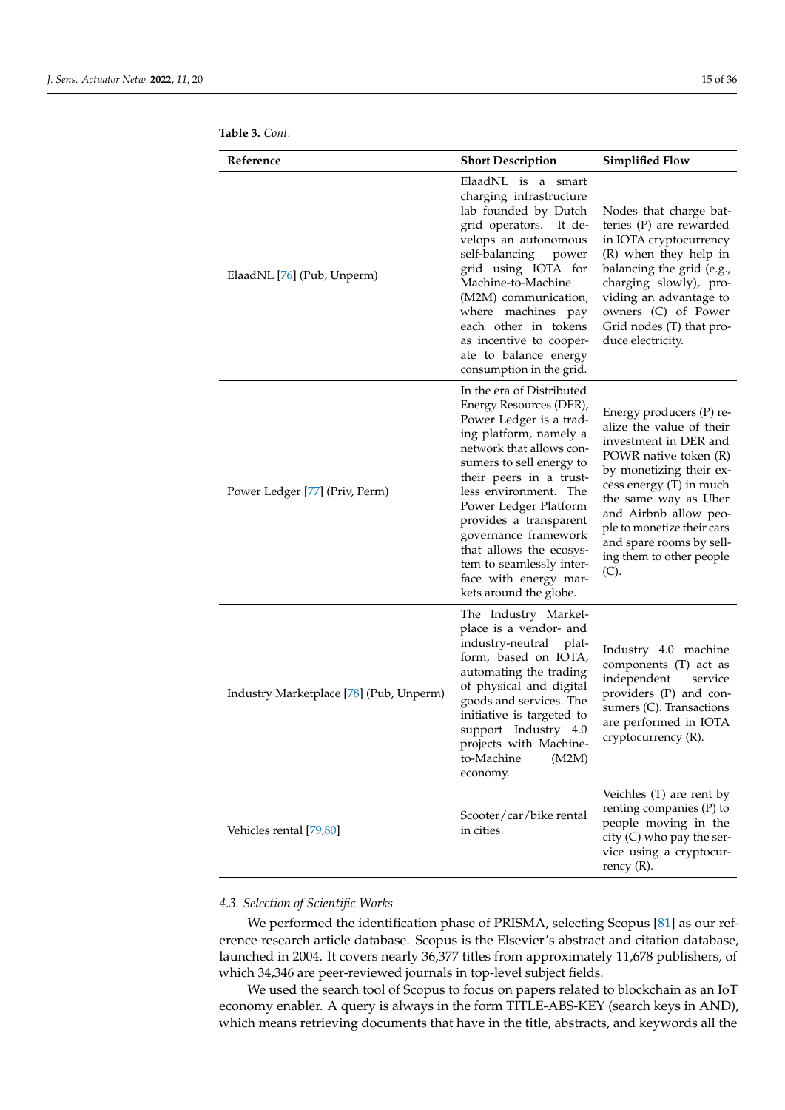<span id="page-14-1"></span>

|  | <b>Table 3.</b> Cont. |
|--|-----------------------|
|--|-----------------------|

| Reference                               | <b>Short Description</b>                                                                                                                                                                                                                                                                                                                                                                                   | <b>Simplified Flow</b>                                                                                                                                                                                                                                                                                      |
|-----------------------------------------|------------------------------------------------------------------------------------------------------------------------------------------------------------------------------------------------------------------------------------------------------------------------------------------------------------------------------------------------------------------------------------------------------------|-------------------------------------------------------------------------------------------------------------------------------------------------------------------------------------------------------------------------------------------------------------------------------------------------------------|
| ElaadNL [76] (Pub, Unperm)              | ElaadNL is a smart<br>charging infrastructure<br>lab founded by Dutch<br>grid operators.<br>It de-<br>velops an autonomous<br>self-balancing<br>power<br>grid using IOTA for<br>Machine-to-Machine<br>(M2M) communication,<br>where machines pay<br>each other in tokens<br>as incentive to cooper-<br>ate to balance energy<br>consumption in the grid.                                                   | Nodes that charge bat-<br>teries (P) are rewarded<br>in IOTA cryptocurrency<br>(R) when they help in<br>balancing the grid (e.g.,<br>charging slowly), pro-<br>viding an advantage to<br>owners (C) of Power<br>Grid nodes (T) that pro-<br>duce electricity.                                               |
| Power Ledger [77] (Priv, Perm)          | In the era of Distributed<br>Energy Resources (DER),<br>Power Ledger is a trad-<br>ing platform, namely a<br>network that allows con-<br>sumers to sell energy to<br>their peers in a trust-<br>less environment. The<br>Power Ledger Platform<br>provides a transparent<br>governance framework<br>that allows the ecosys-<br>tem to seamlessly inter-<br>face with energy mar-<br>kets around the globe. | Energy producers (P) re-<br>alize the value of their<br>investment in DER and<br>POWR native token (R)<br>by monetizing their ex-<br>cess energy (T) in much<br>the same way as Uber<br>and Airbnb allow peo-<br>ple to monetize their cars<br>and spare rooms by sell-<br>ing them to other people<br>(C). |
| Industry Marketplace [78] (Pub, Unperm) | The Industry Market-<br>place is a vendor- and<br>industry-neutral<br>plat-<br>form, based on IOTA,<br>automating the trading<br>of physical and digital<br>goods and services. The<br>initiative is targeted to<br>support Industry 4.0<br>projects with Machine-<br>to-Machine<br>(M2M)<br>economy.                                                                                                      | Industry 4.0 machine<br>components (T) act as<br>independent<br>service<br>providers (P) and con-<br>sumers (C). Transactions<br>are performed in IOTA<br>cryptocurrency (R).                                                                                                                               |
| Vehicles rental [79,80]                 | Scooter/car/bike rental<br>in cities.                                                                                                                                                                                                                                                                                                                                                                      | Veichles (T) are rent by<br>renting companies (P) to<br>people moving in the<br>city (C) who pay the ser-<br>vice using a cryptocur-<br>rency $(R)$ .                                                                                                                                                       |

## <span id="page-14-0"></span>*4.3. Selection of Scientific Works*

We performed the identification phase of PRISMA, selecting Scopus [\[81\]](#page-32-5) as our reference research article database. Scopus is the Elsevier's abstract and citation database, launched in 2004. It covers nearly 36,377 titles from approximately 11,678 publishers, of which 34,346 are peer-reviewed journals in top-level subject fields.

We used the search tool of Scopus to focus on papers related to blockchain as an IoT economy enabler. A query is always in the form TITLE-ABS-KEY (search keys in AND), which means retrieving documents that have in the title, abstracts, and keywords all the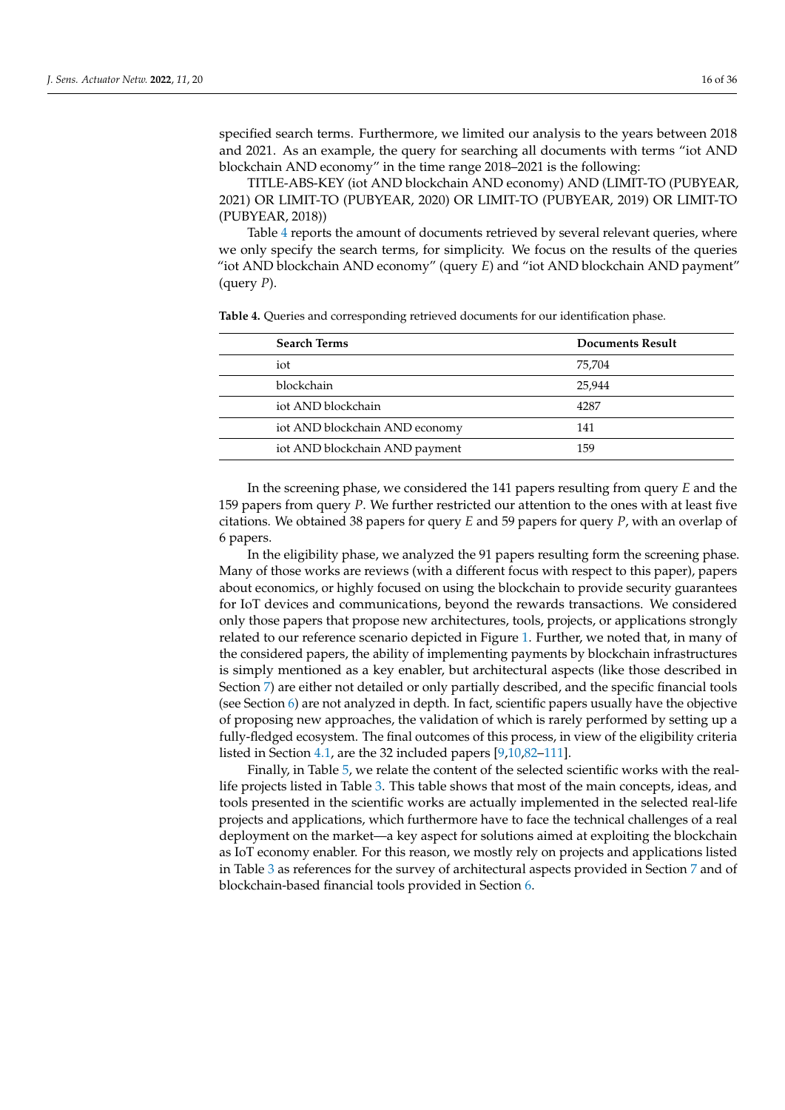specified search terms. Furthermore, we limited our analysis to the years between 2018 and 2021. As an example, the query for searching all documents with terms "iot AND blockchain AND economy" in the time range 2018–2021 is the following:

TITLE-ABS-KEY (iot AND blockchain AND economy) AND (LIMIT-TO (PUBYEAR, 2021) OR LIMIT-TO (PUBYEAR, 2020) OR LIMIT-TO (PUBYEAR, 2019) OR LIMIT-TO (PUBYEAR, 2018))

Table [4](#page-15-0) reports the amount of documents retrieved by several relevant queries, where we only specify the search terms, for simplicity. We focus on the results of the queries "iot AND blockchain AND economy" (query *E*) and "iot AND blockchain AND payment" (query *P*).

| <b>Search Terms</b>            | <b>Documents Result</b> |
|--------------------------------|-------------------------|
| iot                            | 75.704                  |
| blockchain                     | 25.944                  |
| iot AND blockchain             | 4287                    |
| iot AND blockchain AND economy | 141                     |
| iot AND blockchain AND payment | 159                     |

<span id="page-15-0"></span>**Table 4.** Queries and corresponding retrieved documents for our identification phase.

In the screening phase, we considered the 141 papers resulting from query *E* and the 159 papers from query *P*. We further restricted our attention to the ones with at least five citations. We obtained 38 papers for query *E* and 59 papers for query *P*, with an overlap of 6 papers.

In the eligibility phase, we analyzed the 91 papers resulting form the screening phase. Many of those works are reviews (with a different focus with respect to this paper), papers about economics, or highly focused on using the blockchain to provide security guarantees for IoT devices and communications, beyond the rewards transactions. We considered only those papers that propose new architectures, tools, projects, or applications strongly related to our reference scenario depicted in Figure [1.](#page-2-0) Further, we noted that, in many of the considered papers, the ability of implementing payments by blockchain infrastructures is simply mentioned as a key enabler, but architectural aspects (like those described in Section [7\)](#page-21-0) are either not detailed or only partially described, and the specific financial tools (see Section [6\)](#page-18-0) are not analyzed in depth. In fact, scientific papers usually have the objective of proposing new approaches, the validation of which is rarely performed by setting up a fully-fledged ecosystem. The final outcomes of this process, in view of the eligibility criteria listed in Section [4.1,](#page-10-2) are the 32 included papers [\[9](#page-29-7)[,10](#page-29-8)[,82–](#page-32-6)[111\]](#page-33-0).

Finally, in Table [5,](#page-16-0) we relate the content of the selected scientific works with the reallife projects listed in Table [3.](#page-14-1) This table shows that most of the main concepts, ideas, and tools presented in the scientific works are actually implemented in the selected real-life projects and applications, which furthermore have to face the technical challenges of a real deployment on the market—a key aspect for solutions aimed at exploiting the blockchain as IoT economy enabler. For this reason, we mostly rely on projects and applications listed in Table [3](#page-14-1) as references for the survey of architectural aspects provided in Section [7](#page-21-0) and of blockchain-based financial tools provided in Section [6.](#page-18-0)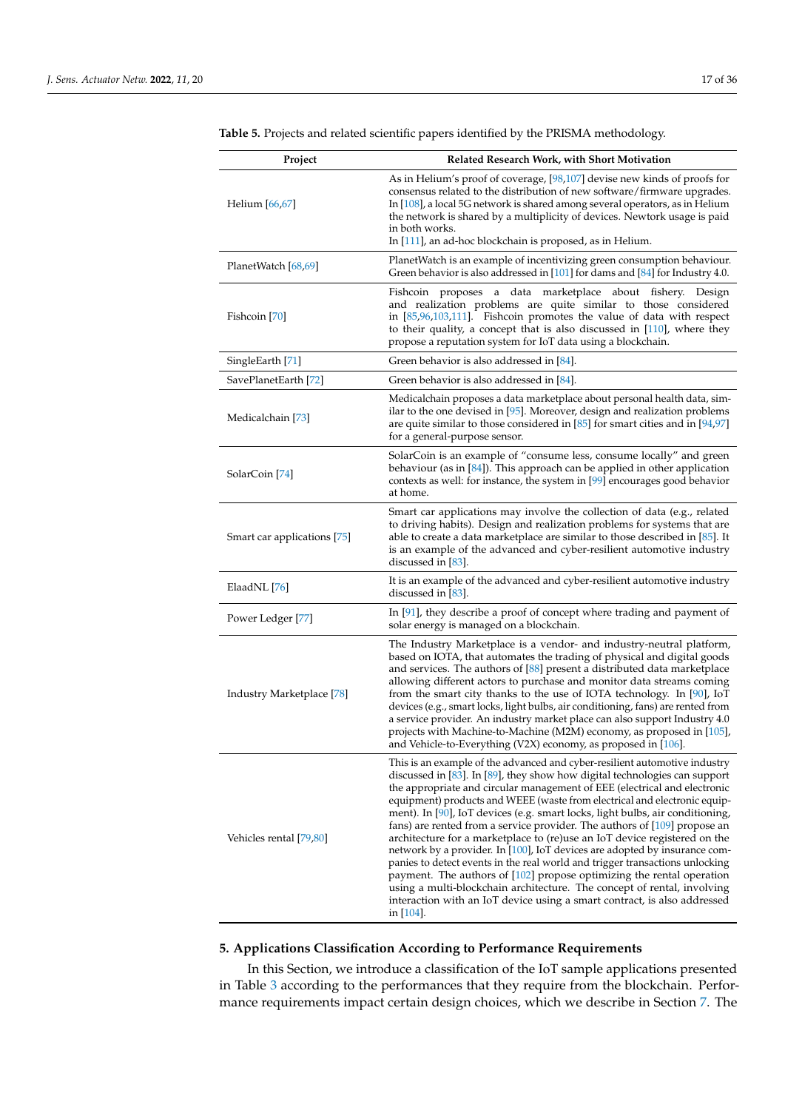| Project                     | <b>Related Research Work, with Short Motivation</b>                                                                                                                                                                                                                                                                                                                                                                                                                                                                                                                                                                                                                                                                                                                                                                                                                                                                                                                                   |
|-----------------------------|---------------------------------------------------------------------------------------------------------------------------------------------------------------------------------------------------------------------------------------------------------------------------------------------------------------------------------------------------------------------------------------------------------------------------------------------------------------------------------------------------------------------------------------------------------------------------------------------------------------------------------------------------------------------------------------------------------------------------------------------------------------------------------------------------------------------------------------------------------------------------------------------------------------------------------------------------------------------------------------|
| Helium $[66, 67]$           | As in Helium's proof of coverage, [98,107] devise new kinds of proofs for<br>consensus related to the distribution of new software/firmware upgrades.<br>In $[108]$ , a local 5G network is shared among several operators, as in Helium<br>the network is shared by a multiplicity of devices. Newtork usage is paid<br>in both works.<br>In [111], an ad-hoc blockchain is proposed, as in Helium.                                                                                                                                                                                                                                                                                                                                                                                                                                                                                                                                                                                  |
| PlanetWatch [68,69]         | PlanetWatch is an example of incentivizing green consumption behaviour.<br>Green behavior is also addressed in $[101]$ for dams and $[84]$ for Industry 4.0.                                                                                                                                                                                                                                                                                                                                                                                                                                                                                                                                                                                                                                                                                                                                                                                                                          |
| Fishcoin [70]               | Fishcoin proposes a data marketplace about fishery. Design<br>and realization problems are quite similar to those considered<br>in $[85,96,103,111]$ . Fishcoin promotes the value of data with respect<br>to their quality, a concept that is also discussed in $[110]$ , where they<br>propose a reputation system for IoT data using a blockchain.                                                                                                                                                                                                                                                                                                                                                                                                                                                                                                                                                                                                                                 |
| SingleEarth [71]            | Green behavior is also addressed in [84].                                                                                                                                                                                                                                                                                                                                                                                                                                                                                                                                                                                                                                                                                                                                                                                                                                                                                                                                             |
| SavePlanetEarth [72]        | Green behavior is also addressed in [84].                                                                                                                                                                                                                                                                                                                                                                                                                                                                                                                                                                                                                                                                                                                                                                                                                                                                                                                                             |
| Medicalchain [73]           | Medicalchain proposes a data marketplace about personal health data, sim-<br>ilar to the one devised in $[95]$ . Moreover, design and realization problems<br>are quite similar to those considered in $[85]$ for smart cities and in $[94,97]$<br>for a general-purpose sensor.                                                                                                                                                                                                                                                                                                                                                                                                                                                                                                                                                                                                                                                                                                      |
| SolarCoin [74]              | SolarCoin is an example of "consume less, consume locally" and green<br>behaviour (as in $[84]$ ). This approach can be applied in other application<br>contexts as well: for instance, the system in [99] encourages good behavior<br>at home.                                                                                                                                                                                                                                                                                                                                                                                                                                                                                                                                                                                                                                                                                                                                       |
| Smart car applications [75] | Smart car applications may involve the collection of data (e.g., related<br>to driving habits). Design and realization problems for systems that are<br>able to create a data marketplace are similar to those described in $[85]$ . It<br>is an example of the advanced and cyber-resilient automotive industry<br>discussed in $[83]$ .                                                                                                                                                                                                                                                                                                                                                                                                                                                                                                                                                                                                                                             |
| ElaadNL [76]                | It is an example of the advanced and cyber-resilient automotive industry<br>discussed in $[83]$ .                                                                                                                                                                                                                                                                                                                                                                                                                                                                                                                                                                                                                                                                                                                                                                                                                                                                                     |
| Power Ledger [77]           | In $[91]$ , they describe a proof of concept where trading and payment of<br>solar energy is managed on a blockchain.                                                                                                                                                                                                                                                                                                                                                                                                                                                                                                                                                                                                                                                                                                                                                                                                                                                                 |
| Industry Marketplace [78]   | The Industry Marketplace is a vendor- and industry-neutral platform,<br>based on IOTA, that automates the trading of physical and digital goods<br>and services. The authors of $[88]$ present a distributed data marketplace<br>allowing different actors to purchase and monitor data streams coming<br>from the smart city thanks to the use of IOTA technology. In $[90]$ , IoT<br>devices (e.g., smart locks, light bulbs, air conditioning, fans) are rented from<br>a service provider. An industry market place can also support Industry 4.0<br>projects with Machine-to-Machine (M2M) economy, as proposed in [105],<br>and Vehicle-to-Everything (V2X) economy, as proposed in [106].                                                                                                                                                                                                                                                                                      |
| Vehicles rental [79,80]     | This is an example of the advanced and cyber-resilient automotive industry<br>discussed in $[83]$ . In $[89]$ , they show how digital technologies can support<br>the appropriate and circular management of EEE (electrical and electronic<br>equipment) products and WEEE (waste from electrical and electronic equip-<br>ment). In [90], IoT devices (e.g. smart locks, light bulbs, air conditioning,<br>fans) are rented from a service provider. The authors of $[109]$ propose an<br>architecture for a marketplace to (re)use an IoT device registered on the<br>network by a provider. In [100], IoT devices are adopted by insurance com-<br>panies to detect events in the real world and trigger transactions unlocking<br>payment. The authors of $[102]$ propose optimizing the rental operation<br>using a multi-blockchain architecture. The concept of rental, involving<br>interaction with an IoT device using a smart contract, is also addressed<br>in $[104]$ . |

<span id="page-16-0"></span>**Table 5.** Projects and related scientific papers identified by the PRISMA methodology.

## <span id="page-16-1"></span>**5. Applications Classification According to Performance Requirements**

In this Section, we introduce a classification of the IoT sample applications presented in Table [3](#page-14-1) according to the performances that they require from the blockchain. Performance requirements impact certain design choices, which we describe in Section [7.](#page-21-0) The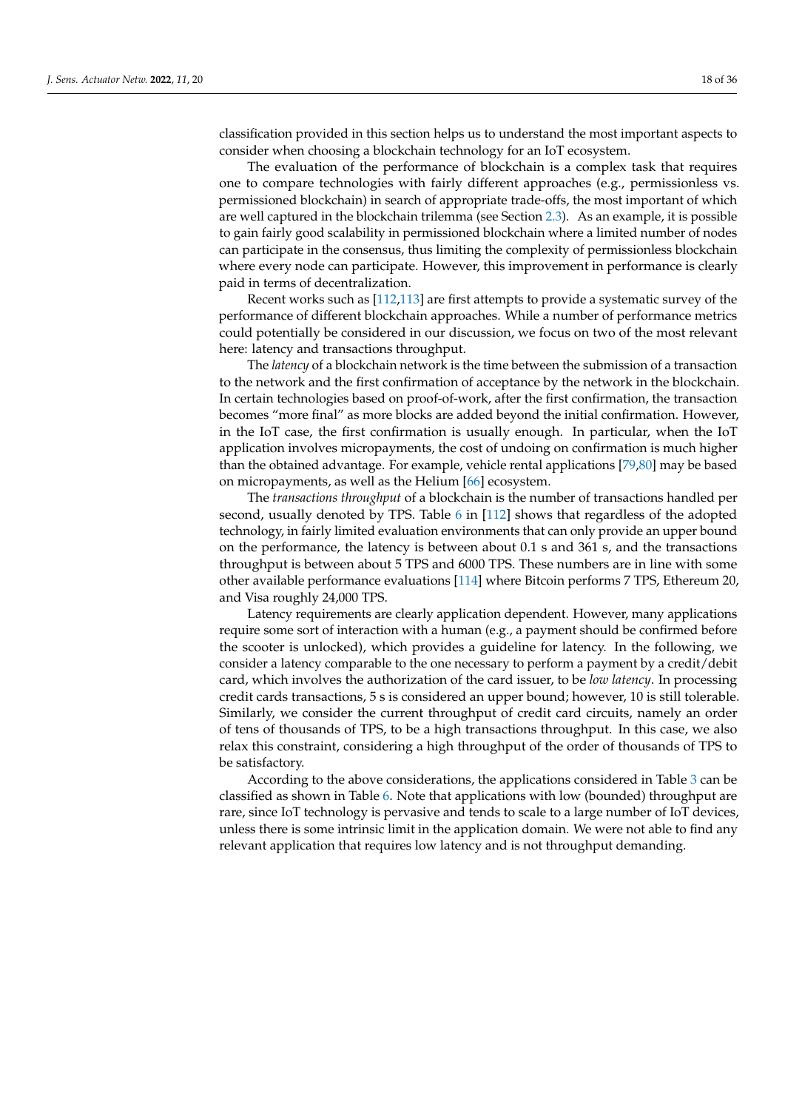classification provided in this section helps us to understand the most important aspects to consider when choosing a blockchain technology for an IoT ecosystem.

The evaluation of the performance of blockchain is a complex task that requires one to compare technologies with fairly different approaches (e.g., permissionless vs. permissioned blockchain) in search of appropriate trade-offs, the most important of which are well captured in the blockchain trilemma (see Section [2.3\)](#page-7-0). As an example, it is possible to gain fairly good scalability in permissioned blockchain where a limited number of nodes can participate in the consensus, thus limiting the complexity of permissionless blockchain where every node can participate. However, this improvement in performance is clearly paid in terms of decentralization.

Recent works such as [\[112](#page-33-11)[,113\]](#page-33-12) are first attempts to provide a systematic survey of the performance of different blockchain approaches. While a number of performance metrics could potentially be considered in our discussion, we focus on two of the most relevant here: latency and transactions throughput.

The *latency* of a blockchain network is the time between the submission of a transaction to the network and the first confirmation of acceptance by the network in the blockchain. In certain technologies based on proof-of-work, after the first confirmation, the transaction becomes "more final" as more blocks are added beyond the initial confirmation. However, in the IoT case, the first confirmation is usually enough. In particular, when the IoT application involves micropayments, the cost of undoing on confirmation is much higher than the obtained advantage. For example, vehicle rental applications [\[79](#page-32-3)[,80\]](#page-32-4) may be based on micropayments, as well as the Helium [\[66\]](#page-31-23) ecosystem.

The *transactions throughput* of a blockchain is the number of transactions handled per second, usually denoted by TPS. Table [6](#page-18-1) in [\[112\]](#page-33-11) shows that regardless of the adopted technology, in fairly limited evaluation environments that can only provide an upper bound on the performance, the latency is between about 0.1 s and 361 s, and the transactions throughput is between about 5 TPS and 6000 TPS. These numbers are in line with some other available performance evaluations [\[114\]](#page-33-13) where Bitcoin performs 7 TPS, Ethereum 20, and Visa roughly 24,000 TPS.

Latency requirements are clearly application dependent. However, many applications require some sort of interaction with a human (e.g., a payment should be confirmed before the scooter is unlocked), which provides a guideline for latency. In the following, we consider a latency comparable to the one necessary to perform a payment by a credit/debit card, which involves the authorization of the card issuer, to be *low latency*. In processing credit cards transactions, 5 s is considered an upper bound; however, 10 is still tolerable. Similarly, we consider the current throughput of credit card circuits, namely an order of tens of thousands of TPS, to be a high transactions throughput. In this case, we also relax this constraint, considering a high throughput of the order of thousands of TPS to be satisfactory.

According to the above considerations, the applications considered in Table [3](#page-14-1) can be classified as shown in Table [6.](#page-18-1) Note that applications with low (bounded) throughput are rare, since IoT technology is pervasive and tends to scale to a large number of IoT devices, unless there is some intrinsic limit in the application domain. We were not able to find any relevant application that requires low latency and is not throughput demanding.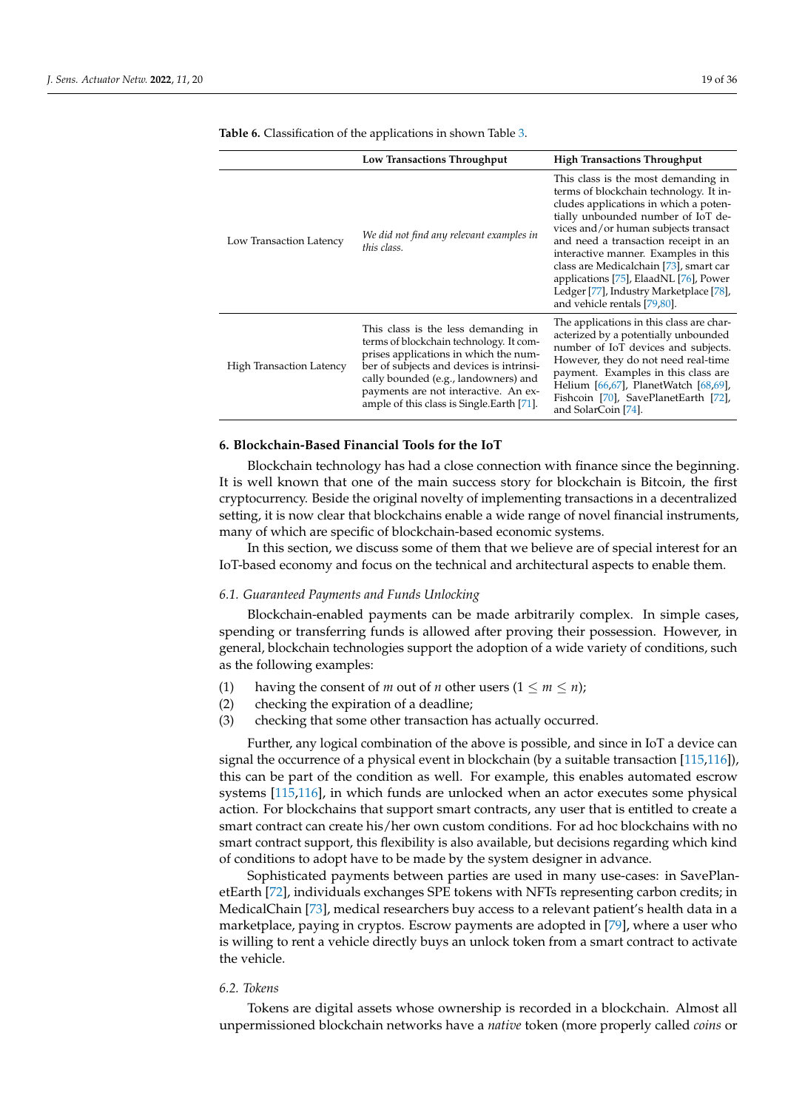|                                 | Low Transactions Throughput                                                                                                                                                                                                                                                                       | <b>High Transactions Throughput</b>                                                                                                                                                                                                                                                                                                                                                                                                                 |
|---------------------------------|---------------------------------------------------------------------------------------------------------------------------------------------------------------------------------------------------------------------------------------------------------------------------------------------------|-----------------------------------------------------------------------------------------------------------------------------------------------------------------------------------------------------------------------------------------------------------------------------------------------------------------------------------------------------------------------------------------------------------------------------------------------------|
| Low Transaction Latency         | We did not find any relevant examples in<br>this class.                                                                                                                                                                                                                                           | This class is the most demanding in<br>terms of blockchain technology. It in-<br>cludes applications in which a poten-<br>tially unbounded number of IoT de-<br>vices and/or human subjects transact<br>and need a transaction receipt in an<br>interactive manner. Examples in this<br>class are Medicalchain [73], smart car<br>applications [75], ElaadNL [76], Power<br>Ledger [77], Industry Marketplace [78],<br>and vehicle rentals [79,80]. |
| <b>High Transaction Latency</b> | This class is the less demanding in<br>terms of blockchain technology. It com-<br>prises applications in which the num-<br>ber of subjects and devices is intrinsi-<br>cally bounded (e.g., landowners) and<br>payments are not interactive. An ex-<br>ample of this class is Single. Earth [71]. | The applications in this class are char-<br>acterized by a potentially unbounded<br>number of IoT devices and subjects.<br>However, they do not need real-time<br>payment. Examples in this class are<br>Helium [66,67], PlanetWatch [68,69],<br>Fishcoin [70], SavePlanetEarth [72],<br>and SolarCoin [74].                                                                                                                                        |

<span id="page-18-1"></span>**Table 6.** Classification of the applications in shown Table [3.](#page-14-1)

## <span id="page-18-0"></span>**6. Blockchain-Based Financial Tools for the IoT**

Blockchain technology has had a close connection with finance since the beginning. It is well known that one of the main success story for blockchain is Bitcoin, the first cryptocurrency. Beside the original novelty of implementing transactions in a decentralized setting, it is now clear that blockchains enable a wide range of novel financial instruments, many of which are specific of blockchain-based economic systems.

In this section, we discuss some of them that we believe are of special interest for an IoT-based economy and focus on the technical and architectural aspects to enable them.

#### *6.1. Guaranteed Payments and Funds Unlocking*

Blockchain-enabled payments can be made arbitrarily complex. In simple cases, spending or transferring funds is allowed after proving their possession. However, in general, blockchain technologies support the adoption of a wide variety of conditions, such as the following examples:

- (1) having the consent of *m* out of *n* other users  $(1 \le m \le n);$
- (2) checking the expiration of a deadline;
- (3) checking that some other transaction has actually occurred.

Further, any logical combination of the above is possible, and since in IoT a device can signal the occurrence of a physical event in blockchain (by a suitable transaction [\[115,](#page-33-14)[116\]](#page-33-15)), this can be part of the condition as well. For example, this enables automated escrow systems [\[115,](#page-33-14)[116\]](#page-33-15), in which funds are unlocked when an actor executes some physical action. For blockchains that support smart contracts, any user that is entitled to create a smart contract can create his/her own custom conditions. For ad hoc blockchains with no smart contract support, this flexibility is also available, but decisions regarding which kind of conditions to adopt have to be made by the system designer in advance.

Sophisticated payments between parties are used in many use-cases: in SavePlanetEarth [\[72\]](#page-31-29), individuals exchanges SPE tokens with NFTs representing carbon credits; in MedicalChain [\[73\]](#page-31-30), medical researchers buy access to a relevant patient's health data in a marketplace, paying in cryptos. Escrow payments are adopted in [\[79\]](#page-32-3), where a user who is willing to rent a vehicle directly buys an unlock token from a smart contract to activate the vehicle.

## *6.2. Tokens*

Tokens are digital assets whose ownership is recorded in a blockchain. Almost all unpermissioned blockchain networks have a *native* token (more properly called *coins* or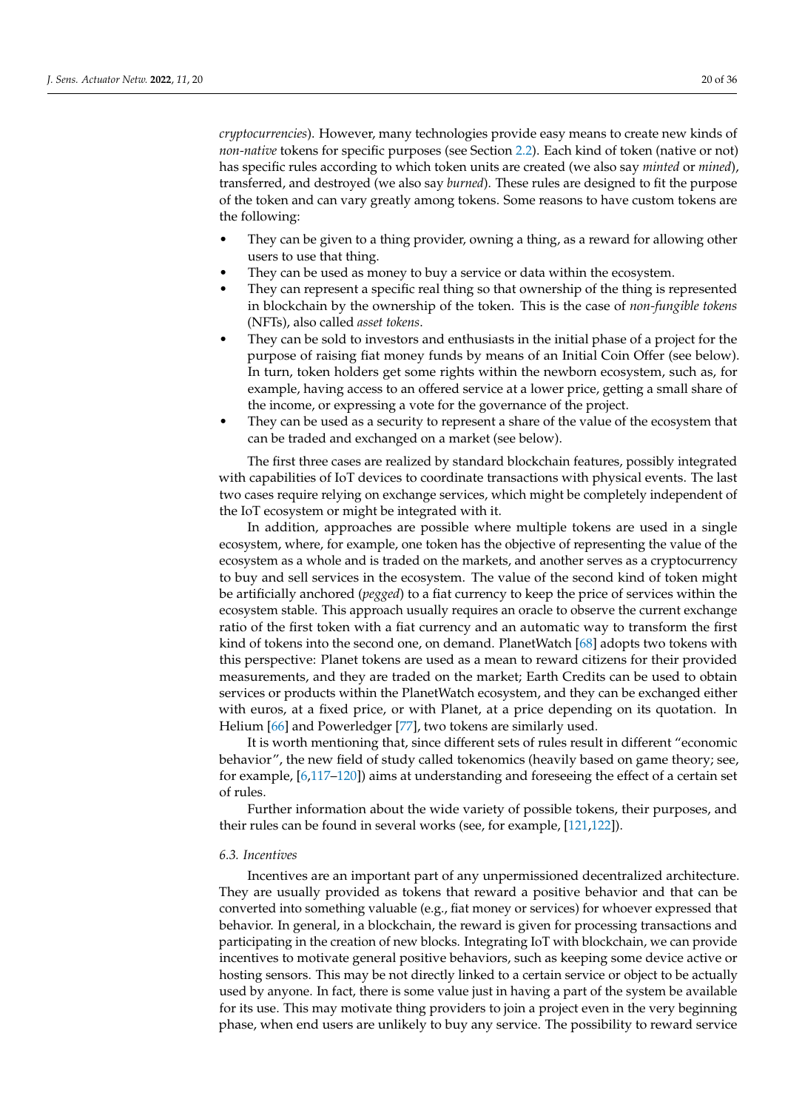*cryptocurrencies*). However, many technologies provide easy means to create new kinds of *non-native* tokens for specific purposes (see Section [2.2\)](#page-5-1). Each kind of token (native or not) has specific rules according to which token units are created (we also say *minted* or *mined*), transferred, and destroyed (we also say *burned*). These rules are designed to fit the purpose of the token and can vary greatly among tokens. Some reasons to have custom tokens are the following:

- They can be given to a thing provider, owning a thing, as a reward for allowing other users to use that thing.
- They can be used as money to buy a service or data within the ecosystem.
- They can represent a specific real thing so that ownership of the thing is represented in blockchain by the ownership of the token. This is the case of *non-fungible tokens* (NFTs), also called *asset tokens*.
- They can be sold to investors and enthusiasts in the initial phase of a project for the purpose of raising fiat money funds by means of an Initial Coin Offer (see below). In turn, token holders get some rights within the newborn ecosystem, such as, for example, having access to an offered service at a lower price, getting a small share of the income, or expressing a vote for the governance of the project.
- They can be used as a security to represent a share of the value of the ecosystem that can be traded and exchanged on a market (see below).

The first three cases are realized by standard blockchain features, possibly integrated with capabilities of IoT devices to coordinate transactions with physical events. The last two cases require relying on exchange services, which might be completely independent of the IoT ecosystem or might be integrated with it.

In addition, approaches are possible where multiple tokens are used in a single ecosystem, where, for example, one token has the objective of representing the value of the ecosystem as a whole and is traded on the markets, and another serves as a cryptocurrency to buy and sell services in the ecosystem. The value of the second kind of token might be artificially anchored (*pegged*) to a fiat currency to keep the price of services within the ecosystem stable. This approach usually requires an oracle to observe the current exchange ratio of the first token with a fiat currency and an automatic way to transform the first kind of tokens into the second one, on demand. PlanetWatch [\[68\]](#page-31-25) adopts two tokens with this perspective: Planet tokens are used as a mean to reward citizens for their provided measurements, and they are traded on the market; Earth Credits can be used to obtain services or products within the PlanetWatch ecosystem, and they can be exchanged either with euros, at a fixed price, or with Planet, at a price depending on its quotation. In Helium [\[66\]](#page-31-23) and Powerledger [\[77\]](#page-32-1), two tokens are similarly used.

It is worth mentioning that, since different sets of rules result in different "economic behavior", the new field of study called tokenomics (heavily based on game theory; see, for example, [\[6,](#page-29-9)[117–](#page-33-16)[120\]](#page-33-17)) aims at understanding and foreseeing the effect of a certain set of rules.

Further information about the wide variety of possible tokens, their purposes, and their rules can be found in several works (see, for example, [\[121,](#page-33-18)[122\]](#page-33-19)).

#### *6.3. Incentives*

Incentives are an important part of any unpermissioned decentralized architecture. They are usually provided as tokens that reward a positive behavior and that can be converted into something valuable (e.g., fiat money or services) for whoever expressed that behavior. In general, in a blockchain, the reward is given for processing transactions and participating in the creation of new blocks. Integrating IoT with blockchain, we can provide incentives to motivate general positive behaviors, such as keeping some device active or hosting sensors. This may be not directly linked to a certain service or object to be actually used by anyone. In fact, there is some value just in having a part of the system be available for its use. This may motivate thing providers to join a project even in the very beginning phase, when end users are unlikely to buy any service. The possibility to reward service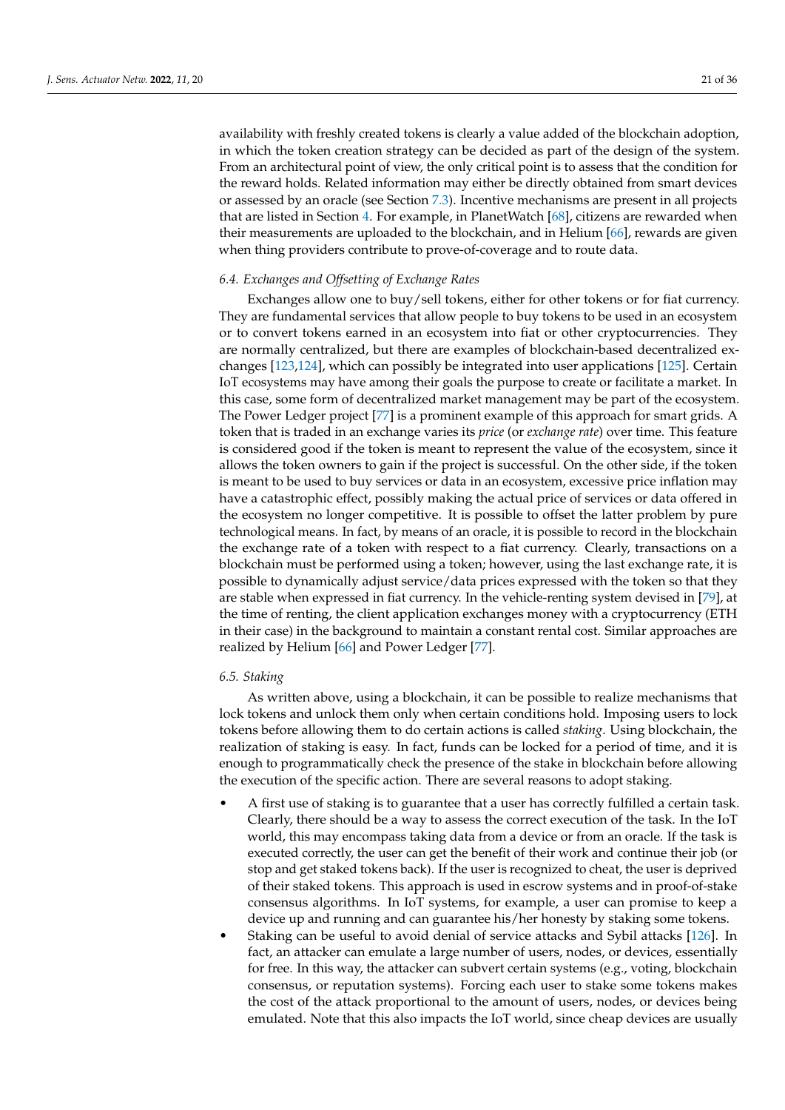availability with freshly created tokens is clearly a value added of the blockchain adoption, in which the token creation strategy can be decided as part of the design of the system. From an architectural point of view, the only critical point is to assess that the condition for the reward holds. Related information may either be directly obtained from smart devices or assessed by an oracle (see Section [7.3\)](#page-24-0). Incentive mechanisms are present in all projects that are listed in Section [4.](#page-10-0) For example, in PlanetWatch [\[68\]](#page-31-25), citizens are rewarded when their measurements are uploaded to the blockchain, and in Helium [\[66\]](#page-31-23), rewards are given when thing providers contribute to prove-of-coverage and to route data.

#### *6.4. Exchanges and Offsetting of Exchange Rates*

Exchanges allow one to buy/sell tokens, either for other tokens or for fiat currency. They are fundamental services that allow people to buy tokens to be used in an ecosystem or to convert tokens earned in an ecosystem into fiat or other cryptocurrencies. They are normally centralized, but there are examples of blockchain-based decentralized exchanges [\[123](#page-33-20)[,124\]](#page-33-21), which can possibly be integrated into user applications [\[125\]](#page-33-22). Certain IoT ecosystems may have among their goals the purpose to create or facilitate a market. In this case, some form of decentralized market management may be part of the ecosystem. The Power Ledger project [\[77\]](#page-32-1) is a prominent example of this approach for smart grids. A token that is traded in an exchange varies its *price* (or *exchange rate*) over time. This feature is considered good if the token is meant to represent the value of the ecosystem, since it allows the token owners to gain if the project is successful. On the other side, if the token is meant to be used to buy services or data in an ecosystem, excessive price inflation may have a catastrophic effect, possibly making the actual price of services or data offered in the ecosystem no longer competitive. It is possible to offset the latter problem by pure technological means. In fact, by means of an oracle, it is possible to record in the blockchain the exchange rate of a token with respect to a fiat currency. Clearly, transactions on a blockchain must be performed using a token; however, using the last exchange rate, it is possible to dynamically adjust service/data prices expressed with the token so that they are stable when expressed in fiat currency. In the vehicle-renting system devised in [\[79\]](#page-32-3), at the time of renting, the client application exchanges money with a cryptocurrency (ETH in their case) in the background to maintain a constant rental cost. Similar approaches are realized by Helium [\[66\]](#page-31-23) and Power Ledger [\[77\]](#page-32-1).

#### *6.5. Staking*

As written above, using a blockchain, it can be possible to realize mechanisms that lock tokens and unlock them only when certain conditions hold. Imposing users to lock tokens before allowing them to do certain actions is called *staking*. Using blockchain, the realization of staking is easy. In fact, funds can be locked for a period of time, and it is enough to programmatically check the presence of the stake in blockchain before allowing the execution of the specific action. There are several reasons to adopt staking.

- A first use of staking is to guarantee that a user has correctly fulfilled a certain task. Clearly, there should be a way to assess the correct execution of the task. In the IoT world, this may encompass taking data from a device or from an oracle. If the task is executed correctly, the user can get the benefit of their work and continue their job (or stop and get staked tokens back). If the user is recognized to cheat, the user is deprived of their staked tokens. This approach is used in escrow systems and in proof-of-stake consensus algorithms. In IoT systems, for example, a user can promise to keep a device up and running and can guarantee his/her honesty by staking some tokens.
- Staking can be useful to avoid denial of service attacks and Sybil attacks [\[126\]](#page-33-23). In fact, an attacker can emulate a large number of users, nodes, or devices, essentially for free. In this way, the attacker can subvert certain systems (e.g., voting, blockchain consensus, or reputation systems). Forcing each user to stake some tokens makes the cost of the attack proportional to the amount of users, nodes, or devices being emulated. Note that this also impacts the IoT world, since cheap devices are usually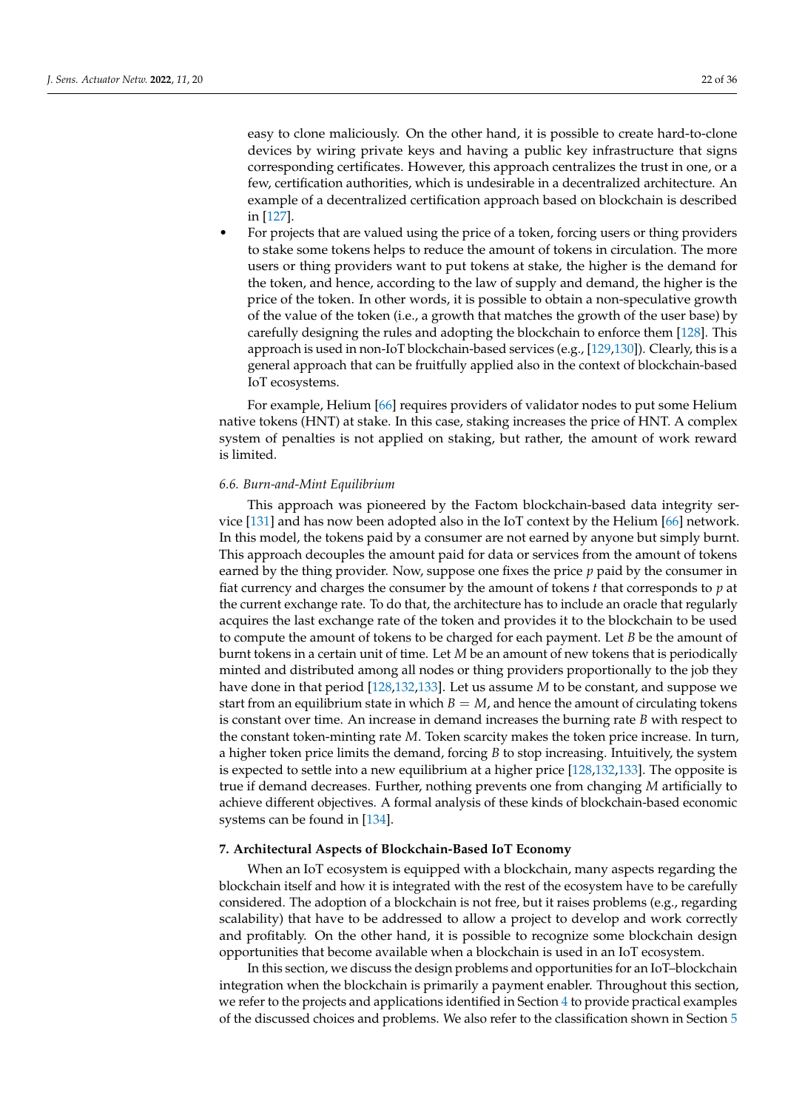easy to clone maliciously. On the other hand, it is possible to create hard-to-clone devices by wiring private keys and having a public key infrastructure that signs corresponding certificates. However, this approach centralizes the trust in one, or a few, certification authorities, which is undesirable in a decentralized architecture. An example of a decentralized certification approach based on blockchain is described in [\[127\]](#page-33-24).

• For projects that are valued using the price of a token, forcing users or thing providers to stake some tokens helps to reduce the amount of tokens in circulation. The more users or thing providers want to put tokens at stake, the higher is the demand for the token, and hence, according to the law of supply and demand, the higher is the price of the token. In other words, it is possible to obtain a non-speculative growth of the value of the token (i.e., a growth that matches the growth of the user base) by carefully designing the rules and adopting the blockchain to enforce them [\[128\]](#page-33-25). This approach is used in non-IoT blockchain-based services (e.g., [\[129](#page-33-26)[,130\]](#page-34-0)). Clearly, this is a general approach that can be fruitfully applied also in the context of blockchain-based IoT ecosystems.

For example, Helium [\[66\]](#page-31-23) requires providers of validator nodes to put some Helium native tokens (HNT) at stake. In this case, staking increases the price of HNT. A complex system of penalties is not applied on staking, but rather, the amount of work reward is limited.

#### *6.6. Burn-and-Mint Equilibrium*

This approach was pioneered by the Factom blockchain-based data integrity service [\[131\]](#page-34-1) and has now been adopted also in the IoT context by the Helium [\[66\]](#page-31-23) network. In this model, the tokens paid by a consumer are not earned by anyone but simply burnt. This approach decouples the amount paid for data or services from the amount of tokens earned by the thing provider. Now, suppose one fixes the price *p* paid by the consumer in fiat currency and charges the consumer by the amount of tokens *t* that corresponds to *p* at the current exchange rate. To do that, the architecture has to include an oracle that regularly acquires the last exchange rate of the token and provides it to the blockchain to be used to compute the amount of tokens to be charged for each payment. Let *B* be the amount of burnt tokens in a certain unit of time. Let *M* be an amount of new tokens that is periodically minted and distributed among all nodes or thing providers proportionally to the job they have done in that period [\[128,](#page-33-25)[132,](#page-34-2)[133\]](#page-34-3). Let us assume *M* to be constant, and suppose we start from an equilibrium state in which  $B = M$ , and hence the amount of circulating tokens is constant over time. An increase in demand increases the burning rate *B* with respect to the constant token-minting rate *M*. Token scarcity makes the token price increase. In turn, a higher token price limits the demand, forcing *B* to stop increasing. Intuitively, the system is expected to settle into a new equilibrium at a higher price [\[128,](#page-33-25)[132](#page-34-2)[,133\]](#page-34-3). The opposite is true if demand decreases. Further, nothing prevents one from changing *M* artificially to achieve different objectives. A formal analysis of these kinds of blockchain-based economic systems can be found in [\[134\]](#page-34-4).

#### <span id="page-21-0"></span>**7. Architectural Aspects of Blockchain-Based IoT Economy**

When an IoT ecosystem is equipped with a blockchain, many aspects regarding the blockchain itself and how it is integrated with the rest of the ecosystem have to be carefully considered. The adoption of a blockchain is not free, but it raises problems (e.g., regarding scalability) that have to be addressed to allow a project to develop and work correctly and profitably. On the other hand, it is possible to recognize some blockchain design opportunities that become available when a blockchain is used in an IoT ecosystem.

In this section, we discuss the design problems and opportunities for an IoT–blockchain integration when the blockchain is primarily a payment enabler. Throughout this section, we refer to the projects and applications identified in Section [4](#page-10-0) to provide practical examples of the discussed choices and problems. We also refer to the classification shown in Section [5](#page-16-1)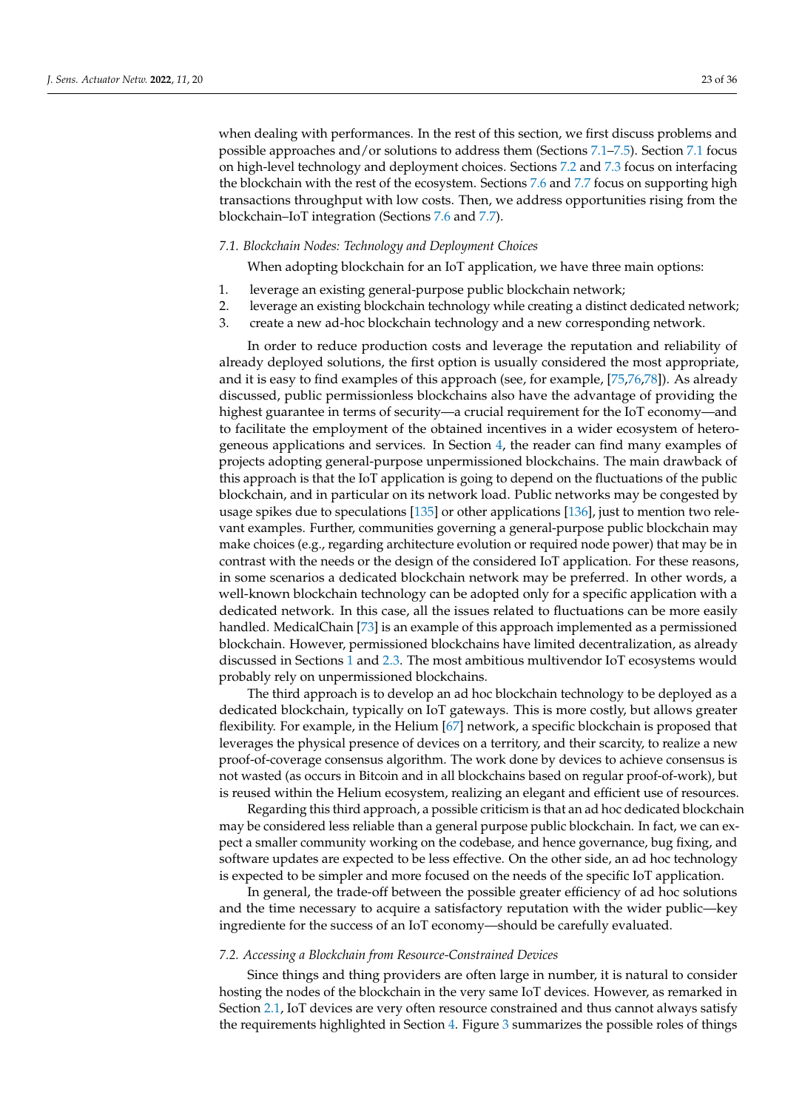when dealing with performances. In the rest of this section, we first discuss problems and possible approaches and/or solutions to address them (Sections [7.1–](#page-22-1)[7.5\)](#page-26-0). Section [7.1](#page-22-1) focus on high-level technology and deployment choices. Sections [7.2](#page-22-0) and [7.3](#page-24-0) focus on interfacing the blockchain with the rest of the ecosystem. Sections [7.6](#page-27-0) and [7.7](#page-27-1) focus on supporting high transactions throughput with low costs. Then, we address opportunities rising from the blockchain–IoT integration (Sections [7.6](#page-27-0) and [7.7\)](#page-27-1).

#### <span id="page-22-1"></span>*7.1. Blockchain Nodes: Technology and Deployment Choices*

When adopting blockchain for an IoT application, we have three main options:

- 1. leverage an existing general-purpose public blockchain network;
- 2. leverage an existing blockchain technology while creating a distinct dedicated network;
- 3. create a new ad-hoc blockchain technology and a new corresponding network.

In order to reduce production costs and leverage the reputation and reliability of already deployed solutions, the first option is usually considered the most appropriate, and it is easy to find examples of this approach (see, for example, [\[75](#page-31-32)[,76](#page-32-0)[,78\]](#page-32-2)). As already discussed, public permissionless blockchains also have the advantage of providing the highest guarantee in terms of security—a crucial requirement for the IoT economy—and to facilitate the employment of the obtained incentives in a wider ecosystem of heterogeneous applications and services. In Section [4,](#page-10-0) the reader can find many examples of projects adopting general-purpose unpermissioned blockchains. The main drawback of this approach is that the IoT application is going to depend on the fluctuations of the public blockchain, and in particular on its network load. Public networks may be congested by usage spikes due to speculations [\[135\]](#page-34-5) or other applications [\[136\]](#page-34-6), just to mention two relevant examples. Further, communities governing a general-purpose public blockchain may make choices (e.g., regarding architecture evolution or required node power) that may be in contrast with the needs or the design of the considered IoT application. For these reasons, in some scenarios a dedicated blockchain network may be preferred. In other words, a well-known blockchain technology can be adopted only for a specific application with a dedicated network. In this case, all the issues related to fluctuations can be more easily handled. MedicalChain [\[73\]](#page-31-30) is an example of this approach implemented as a permissioned blockchain. However, permissioned blockchains have limited decentralization, as already discussed in Sections [1](#page-0-0) and [2.3.](#page-7-0) The most ambitious multivendor IoT ecosystems would probably rely on unpermissioned blockchains.

The third approach is to develop an ad hoc blockchain technology to be deployed as a dedicated blockchain, typically on IoT gateways. This is more costly, but allows greater flexibility. For example, in the Helium [\[67\]](#page-31-24) network, a specific blockchain is proposed that leverages the physical presence of devices on a territory, and their scarcity, to realize a new proof-of-coverage consensus algorithm. The work done by devices to achieve consensus is not wasted (as occurs in Bitcoin and in all blockchains based on regular proof-of-work), but is reused within the Helium ecosystem, realizing an elegant and efficient use of resources.

Regarding this third approach, a possible criticism is that an ad hoc dedicated blockchain may be considered less reliable than a general purpose public blockchain. In fact, we can expect a smaller community working on the codebase, and hence governance, bug fixing, and software updates are expected to be less effective. On the other side, an ad hoc technology is expected to be simpler and more focused on the needs of the specific IoT application.

In general, the trade-off between the possible greater efficiency of ad hoc solutions and the time necessary to acquire a satisfactory reputation with the wider public—key ingrediente for the success of an IoT economy—should be carefully evaluated.

#### <span id="page-22-0"></span>*7.2. Accessing a Blockchain from Resource-Constrained Devices*

Since things and thing providers are often large in number, it is natural to consider hosting the nodes of the blockchain in the very same IoT devices. However, as remarked in Section [2.1,](#page-2-2) IoT devices are very often resource constrained and thus cannot always satisfy the requirements highlighted in Section [4.](#page-10-0) Figure [3](#page-23-0) summarizes the possible roles of things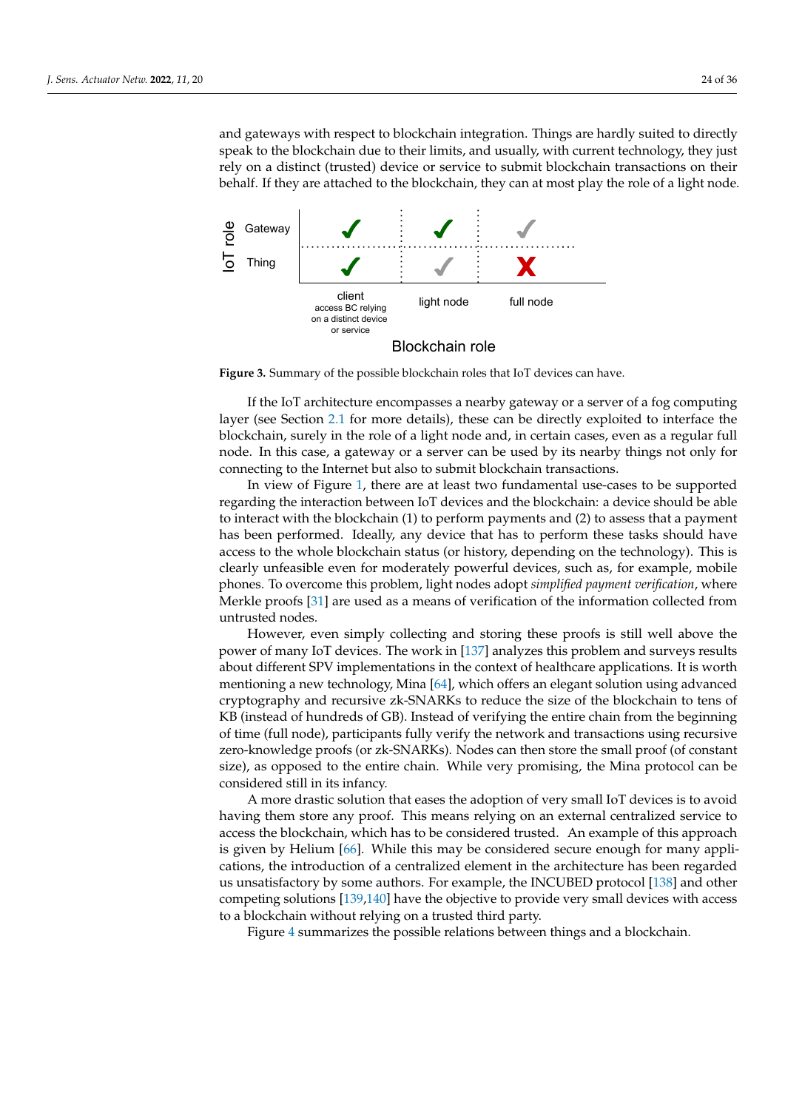and gateways with respect to blockchain integration. Things are hardly suited to directly speak to the blockchain due to their limits, and usually, with current technology, they just rely on a distinct (trusted) device or service to submit blockchain transactions on their behalf. If they are attached to the blockchain, they can at most play the role of a light node.

<span id="page-23-0"></span>

**Figure 3.** Summary of the possible blockchain roles that IoT devices can have.

If the IoT architecture encompasses a nearby gateway or a server of a fog computing layer (see Section [2.1](#page-2-2) for more details), these can be directly exploited to interface the blockchain, surely in the role of a light node and, in certain cases, even as a regular full node. In this case, a gateway or a server can be used by its nearby things not only for connecting to the Internet but also to submit blockchain transactions.

In view of Figure [1,](#page-2-0) there are at least two fundamental use-cases to be supported regarding the interaction between IoT devices and the blockchain: a device should be able to interact with the blockchain (1) to perform payments and (2) to assess that a payment has been performed. Ideally, any device that has to perform these tasks should have access to the whole blockchain status (or history, depending on the technology). This is clearly unfeasible even for moderately powerful devices, such as, for example, mobile phones. To overcome this problem, light nodes adopt *simplified payment verification*, where Merkle proofs [\[31\]](#page-30-17) are used as a means of verification of the information collected from untrusted nodes.

However, even simply collecting and storing these proofs is still well above the power of many IoT devices. The work in [\[137\]](#page-34-7) analyzes this problem and surveys results about different SPV implementations in the context of healthcare applications. It is worth mentioning a new technology, Mina [\[64\]](#page-31-21), which offers an elegant solution using advanced cryptography and recursive zk-SNARKs to reduce the size of the blockchain to tens of KB (instead of hundreds of GB). Instead of verifying the entire chain from the beginning of time (full node), participants fully verify the network and transactions using recursive zero-knowledge proofs (or zk-SNARKs). Nodes can then store the small proof (of constant size), as opposed to the entire chain. While very promising, the Mina protocol can be considered still in its infancy.

A more drastic solution that eases the adoption of very small IoT devices is to avoid having them store any proof. This means relying on an external centralized service to access the blockchain, which has to be considered trusted. An example of this approach is given by Helium [\[66\]](#page-31-23). While this may be considered secure enough for many applications, the introduction of a centralized element in the architecture has been regarded us unsatisfactory by some authors. For example, the INCUBED protocol [\[138\]](#page-34-8) and other competing solutions [\[139,](#page-34-9)[140\]](#page-34-10) have the objective to provide very small devices with access to a blockchain without relying on a trusted third party.

Figure [4](#page-24-1) summarizes the possible relations between things and a blockchain.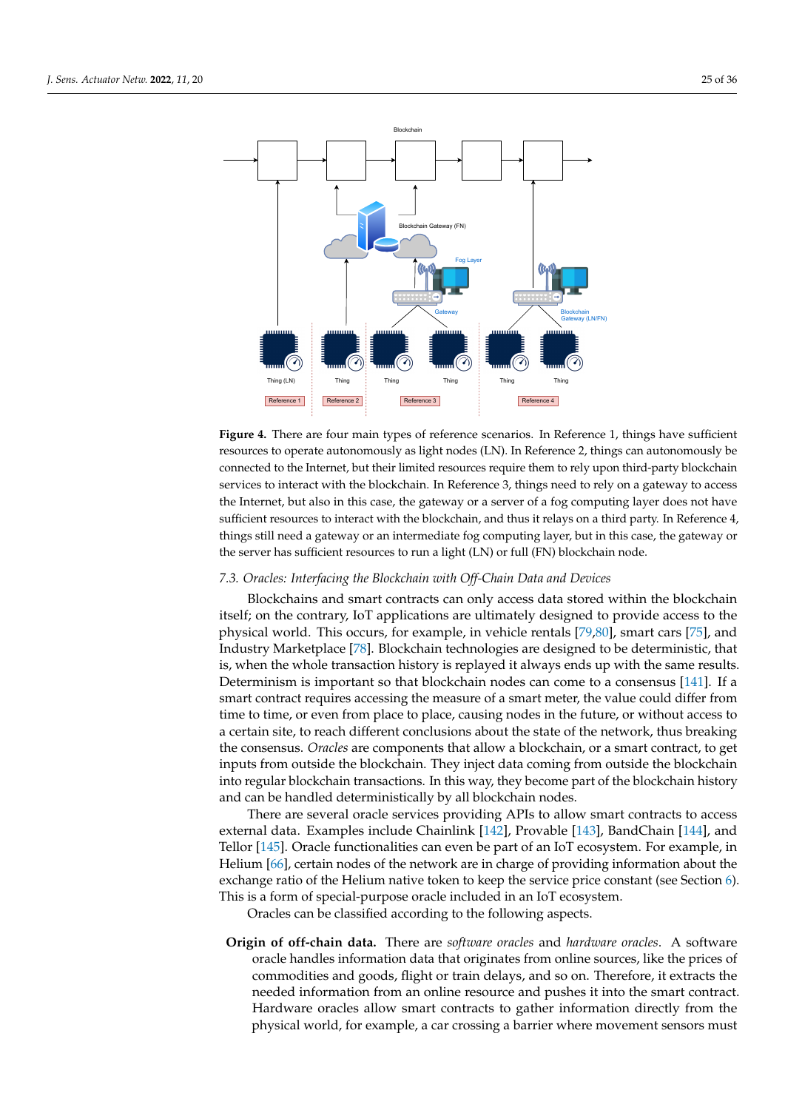<span id="page-24-1"></span>

Figure 4. There are four main types of reference scenarios. In Reference 1, things have sufficient resources to operate autonomously as light nodes (LN). In Reference 2, things can autonomously be connected to the Internet, but their limited resources require them to rely upon third-party blockchain services to interact with the blockchain. In Reference 3, things need to rely on a gateway to access the Internet, but also in this case, the gateway or a server of a fog computing layer does not have sufficient resources to interact with the blockchain, and thus it relays on a third party. In Reference 4, things still need a gateway or an intermediate fog computing layer, but in this case, the gateway or the server has sufficient resources to run a light (LN) or full (FN) blockchain node.

### <span id="page-24-0"></span>*7.3. Oracles: Interfacing the Blockchain with Off-Chain Data and Devices*

Blockchains and smart contracts can only access data stored within the blockchain itself; on the contrary, IoT applications are ultimately designed to provide access to the physical world. This occurs, for example, in vehicle rentals [\[79](#page-32-3)[,80\]](#page-32-4), smart cars [\[75\]](#page-31-32), and Industry Marketplace [\[78\]](#page-32-2). Blockchain technologies are designed to be deterministic, that is, when the whole transaction history is replayed it always ends up with the same results. Determinism is important so that blockchain nodes can come to a consensus [\[141\]](#page-34-11). If a smart contract requires accessing the measure of a smart meter, the value could differ from time to time, or even from place to place, causing nodes in the future, or without access to a certain site, to reach different conclusions about the state of the network, thus breaking the consensus. *Oracles* are components that allow a blockchain, or a smart contract, to get inputs from outside the blockchain. They inject data coming from outside the blockchain into regular blockchain transactions. In this way, they become part of the blockchain history and can be handled deterministically by all blockchain nodes.

There are several oracle services providing APIs to allow smart contracts to access external data. Examples include Chainlink [\[142\]](#page-34-12), Provable [\[143\]](#page-34-13), BandChain [\[144\]](#page-34-14), and Tellor [\[145\]](#page-34-15). Oracle functionalities can even be part of an IoT ecosystem. For example, in Helium [\[66\]](#page-31-23), certain nodes of the network are in charge of providing information about the exchange ratio of the Helium native token to keep the service price constant (see Section [6\)](#page-18-0). This is a form of special-purpose oracle included in an IoT ecosystem.

Oracles can be classified according to the following aspects.

**Origin of off-chain data.** There are *software oracles* and *hardware oracles*. A software oracle handles information data that originates from online sources, like the prices of commodities and goods, flight or train delays, and so on. Therefore, it extracts the needed information from an online resource and pushes it into the smart contract. Hardware oracles allow smart contracts to gather information directly from the physical world, for example, a car crossing a barrier where movement sensors must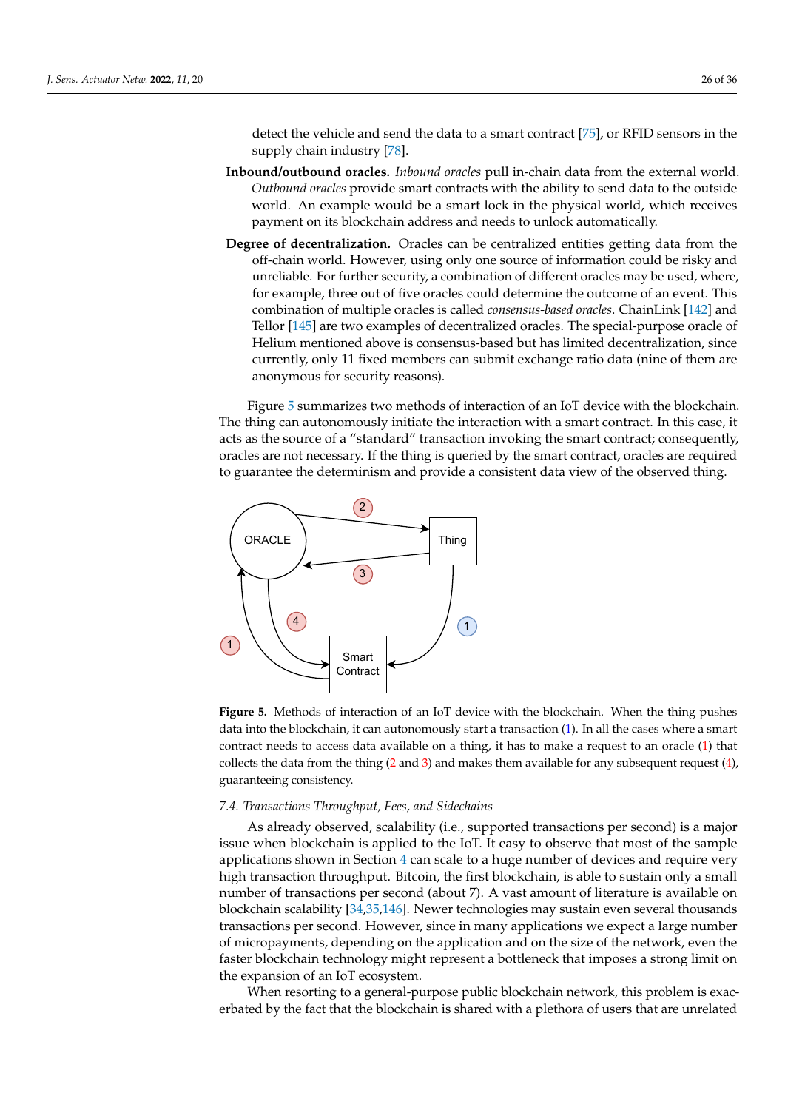detect the vehicle and send the data to a smart contract [\[75\]](#page-31-32), or RFID sensors in the supply chain industry [\[78\]](#page-32-2).

- **Inbound/outbound oracles.** *Inbound oracles* pull in-chain data from the external world. *Outbound oracles* provide smart contracts with the ability to send data to the outside world. An example would be a smart lock in the physical world, which receives payment on its blockchain address and needs to unlock automatically.
- **Degree of decentralization.** Oracles can be centralized entities getting data from the off-chain world. However, using only one source of information could be risky and unreliable. For further security, a combination of different oracles may be used, where, for example, three out of five oracles could determine the outcome of an event. This combination of multiple oracles is called *consensus-based oracles*. ChainLink [\[142\]](#page-34-12) and Tellor [\[145\]](#page-34-15) are two examples of decentralized oracles. The special-purpose oracle of Helium mentioned above is consensus-based but has limited decentralization, since currently, only 11 fixed members can submit exchange ratio data (nine of them are anonymous for security reasons).

Figure [5](#page-25-0) summarizes two methods of interaction of an IoT device with the blockchain. The thing can autonomously initiate the interaction with a smart contract. In this case, it acts as the source of a "standard" transaction invoking the smart contract; consequently, oracles are not necessary. If the thing is queried by the smart contract, oracles are required to guarantee the determinism and provide a consistent data view of the observed thing.

<span id="page-25-0"></span>

**Figure 5.** Methods of interaction of an IoT device with the blockchain. When the thing pushes data into the blockchain, it can autonomously start a transaction (1). In all the cases where a smart contract needs to access data available on a thing, it has to make a request to an oracle (1) that collects the data from the thing  $(2 \text{ and } 3)$  and makes them available for any subsequent request  $(4)$ , guaranteeing consistency.

#### <span id="page-25-1"></span>*7.4. Transactions Throughput, Fees, and Sidechains*

As already observed, scalability (i.e., supported transactions per second) is a major issue when blockchain is applied to the IoT. It easy to observe that most of the sample applications shown in Section [4](#page-10-0) can scale to a huge number of devices and require very high transaction throughput. Bitcoin, the first blockchain, is able to sustain only a small number of transactions per second (about 7). A vast amount of literature is available on blockchain scalability [\[34](#page-30-19)[,35,](#page-30-27)[146\]](#page-34-16). Newer technologies may sustain even several thousands transactions per second. However, since in many applications we expect a large number of micropayments, depending on the application and on the size of the network, even the faster blockchain technology might represent a bottleneck that imposes a strong limit on the expansion of an IoT ecosystem.

When resorting to a general-purpose public blockchain network, this problem is exacerbated by the fact that the blockchain is shared with a plethora of users that are unrelated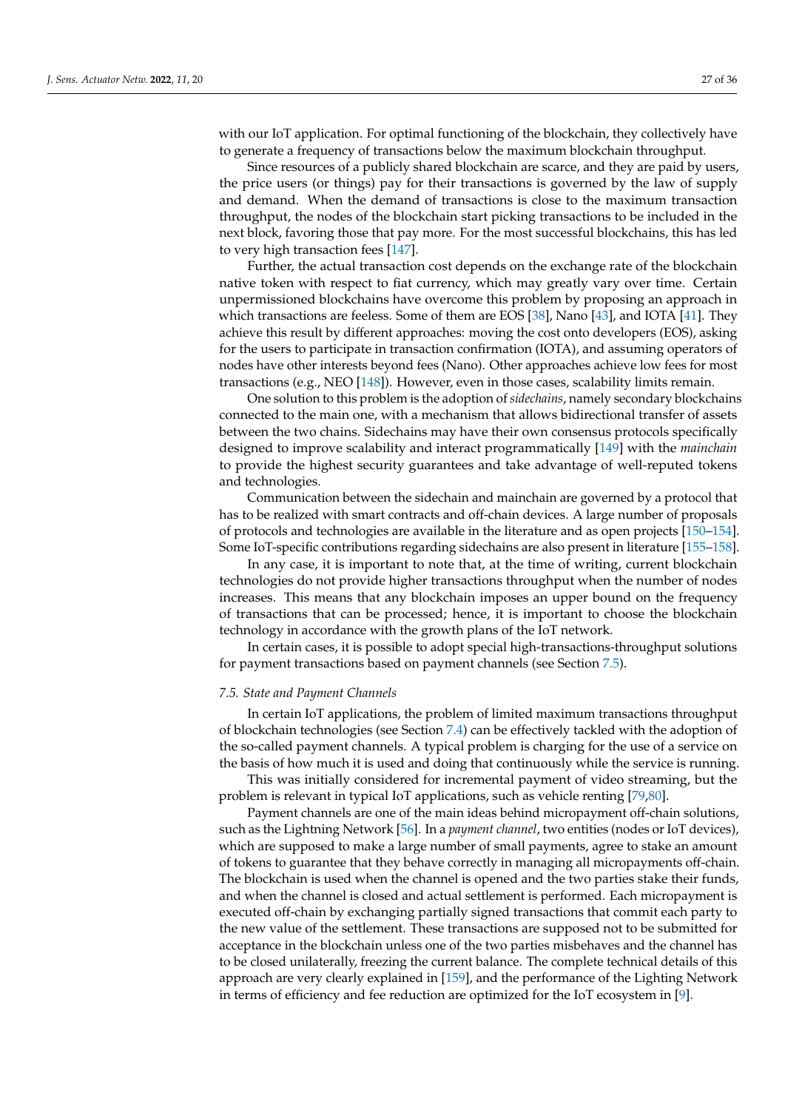with our IoT application. For optimal functioning of the blockchain, they collectively have to generate a frequency of transactions below the maximum blockchain throughput.

Since resources of a publicly shared blockchain are scarce, and they are paid by users, the price users (or things) pay for their transactions is governed by the law of supply and demand. When the demand of transactions is close to the maximum transaction throughput, the nodes of the blockchain start picking transactions to be included in the next block, favoring those that pay more. For the most successful blockchains, this has led to very high transaction fees [\[147\]](#page-34-17).

Further, the actual transaction cost depends on the exchange rate of the blockchain native token with respect to fiat currency, which may greatly vary over time. Certain unpermissioned blockchains have overcome this problem by proposing an approach in which transactions are feeless. Some of them are EOS [\[38\]](#page-30-22), Nano [\[43\]](#page-31-0), and IOTA [\[41\]](#page-30-25). They achieve this result by different approaches: moving the cost onto developers (EOS), asking for the users to participate in transaction confirmation (IOTA), and assuming operators of nodes have other interests beyond fees (Nano). Other approaches achieve low fees for most transactions (e.g., NEO [\[148\]](#page-34-18)). However, even in those cases, scalability limits remain.

One solution to this problem is the adoption of*sidechains*, namely secondary blockchains connected to the main one, with a mechanism that allows bidirectional transfer of assets between the two chains. Sidechains may have their own consensus protocols specifically designed to improve scalability and interact programmatically [\[149\]](#page-34-19) with the *mainchain* to provide the highest security guarantees and take advantage of well-reputed tokens and technologies.

Communication between the sidechain and mainchain are governed by a protocol that has to be realized with smart contracts and off-chain devices. A large number of proposals of protocols and technologies are available in the literature and as open projects [\[150](#page-34-20)[–154\]](#page-34-21). Some IoT-specific contributions regarding sidechains are also present in literature [\[155](#page-34-22)[–158\]](#page-34-23).

In any case, it is important to note that, at the time of writing, current blockchain technologies do not provide higher transactions throughput when the number of nodes increases. This means that any blockchain imposes an upper bound on the frequency of transactions that can be processed; hence, it is important to choose the blockchain technology in accordance with the growth plans of the IoT network.

In certain cases, it is possible to adopt special high-transactions-throughput solutions for payment transactions based on payment channels (see Section [7.5\)](#page-26-0).

#### <span id="page-26-0"></span>*7.5. State and Payment Channels*

In certain IoT applications, the problem of limited maximum transactions throughput of blockchain technologies (see Section [7.4\)](#page-25-1) can be effectively tackled with the adoption of the so-called payment channels. A typical problem is charging for the use of a service on the basis of how much it is used and doing that continuously while the service is running.

This was initially considered for incremental payment of video streaming, but the problem is relevant in typical IoT applications, such as vehicle renting [\[79](#page-32-3)[,80\]](#page-32-4).

Payment channels are one of the main ideas behind micropayment off-chain solutions, such as the Lightning Network [\[56\]](#page-31-13). In a *payment channel*, two entities (nodes or IoT devices), which are supposed to make a large number of small payments, agree to stake an amount of tokens to guarantee that they behave correctly in managing all micropayments off-chain. The blockchain is used when the channel is opened and the two parties stake their funds, and when the channel is closed and actual settlement is performed. Each micropayment is executed off-chain by exchanging partially signed transactions that commit each party to the new value of the settlement. These transactions are supposed not to be submitted for acceptance in the blockchain unless one of the two parties misbehaves and the channel has to be closed unilaterally, freezing the current balance. The complete technical details of this approach are very clearly explained in [\[159\]](#page-34-24), and the performance of the Lighting Network in terms of efficiency and fee reduction are optimized for the IoT ecosystem in [\[9\]](#page-29-7).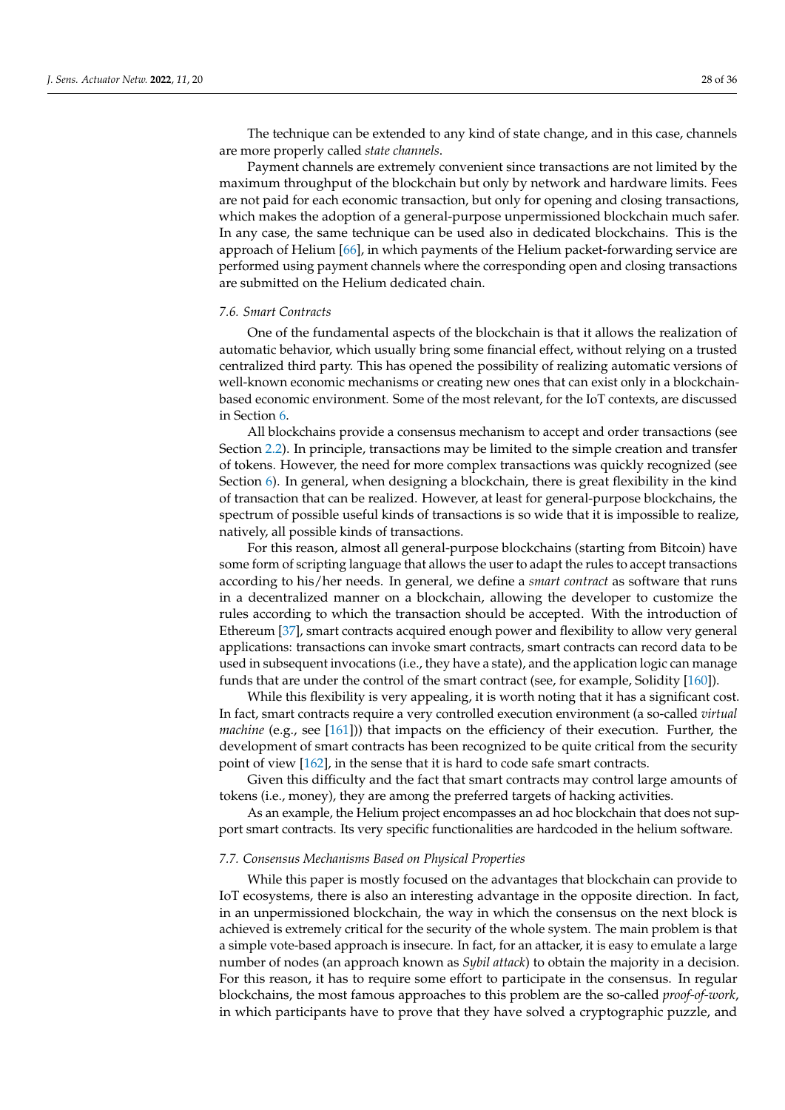The technique can be extended to any kind of state change, and in this case, channels are more properly called *state channels*.

Payment channels are extremely convenient since transactions are not limited by the maximum throughput of the blockchain but only by network and hardware limits. Fees are not paid for each economic transaction, but only for opening and closing transactions, which makes the adoption of a general-purpose unpermissioned blockchain much safer. In any case, the same technique can be used also in dedicated blockchains. This is the approach of Helium [\[66\]](#page-31-23), in which payments of the Helium packet-forwarding service are performed using payment channels where the corresponding open and closing transactions are submitted on the Helium dedicated chain.

## <span id="page-27-0"></span>*7.6. Smart Contracts*

One of the fundamental aspects of the blockchain is that it allows the realization of automatic behavior, which usually bring some financial effect, without relying on a trusted centralized third party. This has opened the possibility of realizing automatic versions of well-known economic mechanisms or creating new ones that can exist only in a blockchainbased economic environment. Some of the most relevant, for the IoT contexts, are discussed in Section [6.](#page-18-0)

All blockchains provide a consensus mechanism to accept and order transactions (see Section [2.2\)](#page-5-1). In principle, transactions may be limited to the simple creation and transfer of tokens. However, the need for more complex transactions was quickly recognized (see Section [6\)](#page-18-0). In general, when designing a blockchain, there is great flexibility in the kind of transaction that can be realized. However, at least for general-purpose blockchains, the spectrum of possible useful kinds of transactions is so wide that it is impossible to realize, natively, all possible kinds of transactions.

For this reason, almost all general-purpose blockchains (starting from Bitcoin) have some form of scripting language that allows the user to adapt the rules to accept transactions according to his/her needs. In general, we define a *smart contract* as software that runs in a decentralized manner on a blockchain, allowing the developer to customize the rules according to which the transaction should be accepted. With the introduction of Ethereum [\[37\]](#page-30-21), smart contracts acquired enough power and flexibility to allow very general applications: transactions can invoke smart contracts, smart contracts can record data to be used in subsequent invocations (i.e., they have a state), and the application logic can manage funds that are under the control of the smart contract (see, for example, Solidity [\[160\]](#page-34-25)).

While this flexibility is very appealing, it is worth noting that it has a significant cost. In fact, smart contracts require a very controlled execution environment (a so-called *virtual machine* (e.g., see [\[161\]](#page-34-26))) that impacts on the efficiency of their execution. Further, the development of smart contracts has been recognized to be quite critical from the security point of view [\[162\]](#page-34-27), in the sense that it is hard to code safe smart contracts.

Given this difficulty and the fact that smart contracts may control large amounts of tokens (i.e., money), they are among the preferred targets of hacking activities.

As an example, the Helium project encompasses an ad hoc blockchain that does not support smart contracts. Its very specific functionalities are hardcoded in the helium software.

#### <span id="page-27-1"></span>*7.7. Consensus Mechanisms Based on Physical Properties*

While this paper is mostly focused on the advantages that blockchain can provide to IoT ecosystems, there is also an interesting advantage in the opposite direction. In fact, in an unpermissioned blockchain, the way in which the consensus on the next block is achieved is extremely critical for the security of the whole system. The main problem is that a simple vote-based approach is insecure. In fact, for an attacker, it is easy to emulate a large number of nodes (an approach known as *Sybil attack*) to obtain the majority in a decision. For this reason, it has to require some effort to participate in the consensus. In regular blockchains, the most famous approaches to this problem are the so-called *proof-of-work*, in which participants have to prove that they have solved a cryptographic puzzle, and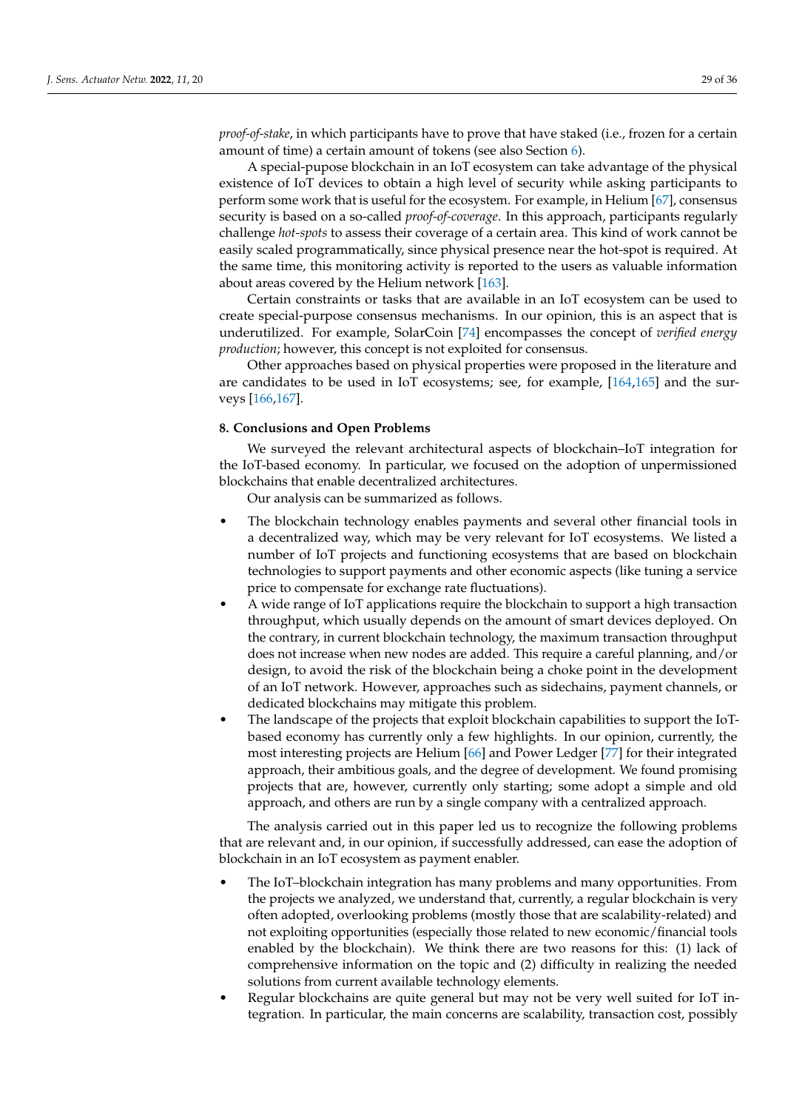*proof-of-stake*, in which participants have to prove that have staked (i.e., frozen for a certain amount of time) a certain amount of tokens (see also Section [6\)](#page-18-0).

A special-pupose blockchain in an IoT ecosystem can take advantage of the physical existence of IoT devices to obtain a high level of security while asking participants to perform some work that is useful for the ecosystem. For example, in Helium [\[67\]](#page-31-24), consensus security is based on a so-called *proof-of-coverage*. In this approach, participants regularly challenge *hot-spots* to assess their coverage of a certain area. This kind of work cannot be easily scaled programmatically, since physical presence near the hot-spot is required. At the same time, this monitoring activity is reported to the users as valuable information about areas covered by the Helium network [\[163\]](#page-35-0).

Certain constraints or tasks that are available in an IoT ecosystem can be used to create special-purpose consensus mechanisms. In our opinion, this is an aspect that is underutilized. For example, SolarCoin [\[74\]](#page-31-31) encompasses the concept of *verified energy production*; however, this concept is not exploited for consensus.

Other approaches based on physical properties were proposed in the literature and are candidates to be used in IoT ecosystems; see, for example, [\[164](#page-35-1)[,165\]](#page-35-2) and the surveys [\[166,](#page-35-3)[167\]](#page-35-4).

## <span id="page-28-0"></span>**8. Conclusions and Open Problems**

We surveyed the relevant architectural aspects of blockchain–IoT integration for the IoT-based economy. In particular, we focused on the adoption of unpermissioned blockchains that enable decentralized architectures.

Our analysis can be summarized as follows.

- The blockchain technology enables payments and several other financial tools in a decentralized way, which may be very relevant for IoT ecosystems. We listed a number of IoT projects and functioning ecosystems that are based on blockchain technologies to support payments and other economic aspects (like tuning a service price to compensate for exchange rate fluctuations).
- A wide range of IoT applications require the blockchain to support a high transaction throughput, which usually depends on the amount of smart devices deployed. On the contrary, in current blockchain technology, the maximum transaction throughput does not increase when new nodes are added. This require a careful planning, and/or design, to avoid the risk of the blockchain being a choke point in the development of an IoT network. However, approaches such as sidechains, payment channels, or dedicated blockchains may mitigate this problem.
- The landscape of the projects that exploit blockchain capabilities to support the IoTbased economy has currently only a few highlights. In our opinion, currently, the most interesting projects are Helium [\[66\]](#page-31-23) and Power Ledger [\[77\]](#page-32-1) for their integrated approach, their ambitious goals, and the degree of development. We found promising projects that are, however, currently only starting; some adopt a simple and old approach, and others are run by a single company with a centralized approach.

The analysis carried out in this paper led us to recognize the following problems that are relevant and, in our opinion, if successfully addressed, can ease the adoption of blockchain in an IoT ecosystem as payment enabler.

- The IoT–blockchain integration has many problems and many opportunities. From the projects we analyzed, we understand that, currently, a regular blockchain is very often adopted, overlooking problems (mostly those that are scalability-related) and not exploiting opportunities (especially those related to new economic/financial tools enabled by the blockchain). We think there are two reasons for this: (1) lack of comprehensive information on the topic and (2) difficulty in realizing the needed solutions from current available technology elements.
- Regular blockchains are quite general but may not be very well suited for IoT integration. In particular, the main concerns are scalability, transaction cost, possibly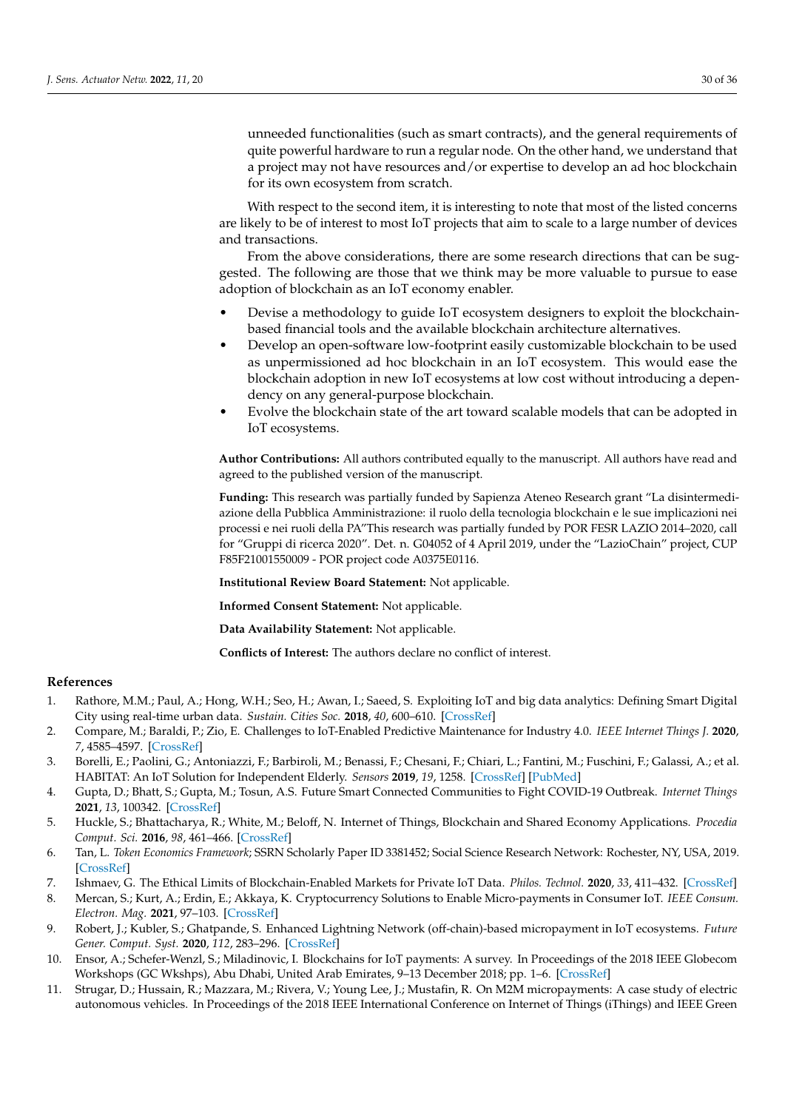unneeded functionalities (such as smart contracts), and the general requirements of quite powerful hardware to run a regular node. On the other hand, we understand that a project may not have resources and/or expertise to develop an ad hoc blockchain for its own ecosystem from scratch.

With respect to the second item, it is interesting to note that most of the listed concerns are likely to be of interest to most IoT projects that aim to scale to a large number of devices and transactions.

From the above considerations, there are some research directions that can be suggested. The following are those that we think may be more valuable to pursue to ease adoption of blockchain as an IoT economy enabler.

- Devise a methodology to guide IoT ecosystem designers to exploit the blockchainbased financial tools and the available blockchain architecture alternatives.
- Develop an open-software low-footprint easily customizable blockchain to be used as unpermissioned ad hoc blockchain in an IoT ecosystem. This would ease the blockchain adoption in new IoT ecosystems at low cost without introducing a dependency on any general-purpose blockchain.
- Evolve the blockchain state of the art toward scalable models that can be adopted in IoT ecosystems.

**Author Contributions:** All authors contributed equally to the manuscript. All authors have read and agreed to the published version of the manuscript.

**Funding:** This research was partially funded by Sapienza Ateneo Research grant "La disintermediazione della Pubblica Amministrazione: il ruolo della tecnologia blockchain e le sue implicazioni nei processi e nei ruoli della PA"This research was partially funded by POR FESR LAZIO 2014–2020, call for "Gruppi di ricerca 2020". Det. n. G04052 of 4 April 2019, under the "LazioChain" project, CUP F85F21001550009 - POR project code A0375E0116.

**Institutional Review Board Statement:** Not applicable.

**Informed Consent Statement:** Not applicable.

**Data Availability Statement:** Not applicable.

**Conflicts of Interest:** The authors declare no conflict of interest.

## **References**

- <span id="page-29-0"></span>1. Rathore, M.M.; Paul, A.; Hong, W.H.; Seo, H.; Awan, I.; Saeed, S. Exploiting IoT and big data analytics: Defining Smart Digital City using real-time urban data. *Sustain. Cities Soc.* **2018**, *40*, 600–610. [\[CrossRef\]](http://doi.org/10.1016/j.scs.2017.12.022)
- <span id="page-29-1"></span>2. Compare, M.; Baraldi, P.; Zio, E. Challenges to IoT-Enabled Predictive Maintenance for Industry 4.0. *IEEE Internet Things J.* **2020**, *7*, 4585–4597. [\[CrossRef\]](http://dx.doi.org/10.1109/JIOT.2019.2957029)
- <span id="page-29-2"></span>3. Borelli, E.; Paolini, G.; Antoniazzi, F.; Barbiroli, M.; Benassi, F.; Chesani, F.; Chiari, L.; Fantini, M.; Fuschini, F.; Galassi, A.; et al. HABITAT: An IoT Solution for Independent Elderly. *Sensors* **2019**, *19*, 1258. [\[CrossRef\]](http://dx.doi.org/10.3390/s19051258) [\[PubMed\]](http://www.ncbi.nlm.nih.gov/pubmed/30871107)
- <span id="page-29-3"></span>4. Gupta, D.; Bhatt, S.; Gupta, M.; Tosun, A.S. Future Smart Connected Communities to Fight COVID-19 Outbreak. *Internet Things* **2021**, *13*, 100342. [\[CrossRef\]](http://dx.doi.org/10.1016/j.iot.2020.100342)
- <span id="page-29-4"></span>5. Huckle, S.; Bhattacharya, R.; White, M.; Beloff, N. Internet of Things, Blockchain and Shared Economy Applications. *Procedia Comput. Sci.* **2016**, *98*, 461–466. [\[CrossRef\]](http://dx.doi.org/10.1016/j.procs.2016.09.074)
- <span id="page-29-9"></span>6. Tan, L. *Token Economics Framework*; SSRN Scholarly Paper ID 3381452; Social Science Research Network: Rochester, NY, USA, 2019. [\[CrossRef\]](http://dx.doi.org/10.2139/ssrn.3381452)
- <span id="page-29-5"></span>7. Ishmaev, G. The Ethical Limits of Blockchain-Enabled Markets for Private IoT Data. *Philos. Technol.* **2020**, *33*, 411–432. [\[CrossRef\]](http://dx.doi.org/10.1007/s13347-019-00361-y)
- <span id="page-29-6"></span>8. Mercan, S.; Kurt, A.; Erdin, E.; Akkaya, K. Cryptocurrency Solutions to Enable Micro-payments in Consumer IoT. *IEEE Consum. Electron. Mag.* **2021**, 97–103. [\[CrossRef\]](http://dx.doi.org/10.1109/MCE.2021.3060720)
- <span id="page-29-7"></span>9. Robert, J.; Kubler, S.; Ghatpande, S. Enhanced Lightning Network (off-chain)-based micropayment in IoT ecosystems. *Future Gener. Comput. Syst.* **2020**, *112*, 283–296. [\[CrossRef\]](http://dx.doi.org/10.1016/j.future.2020.05.033)
- <span id="page-29-8"></span>10. Ensor, A.; Schefer-Wenzl, S.; Miladinovic, I. Blockchains for IoT payments: A survey. In Proceedings of the 2018 IEEE Globecom Workshops (GC Wkshps), Abu Dhabi, United Arab Emirates, 9–13 December 2018; pp. 1–6. [\[CrossRef\]](http://dx.doi.org/10.1109/ GLOCOMW.2018.8644522)
- 11. Strugar, D.; Hussain, R.; Mazzara, M.; Rivera, V.; Young Lee, J.; Mustafin, R. On M2M micropayments: A case study of electric autonomous vehicles. In Proceedings of the 2018 IEEE International Conference on Internet of Things (iThings) and IEEE Green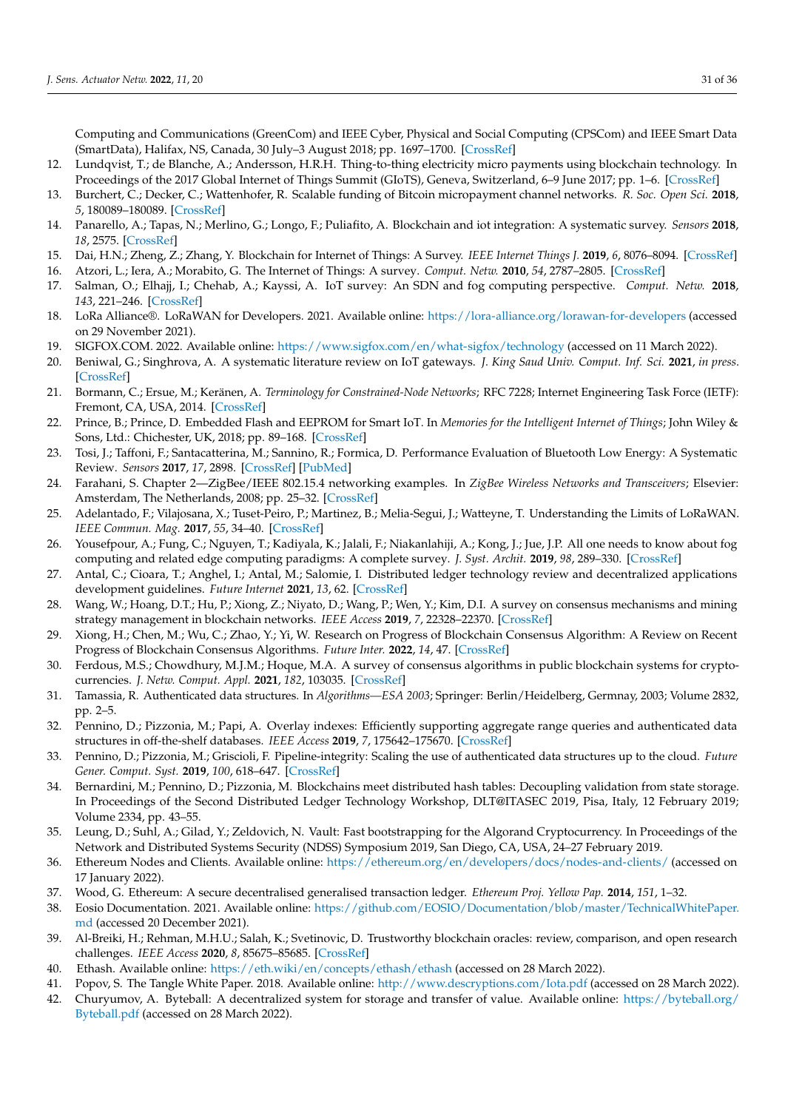Computing and Communications (GreenCom) and IEEE Cyber, Physical and Social Computing (CPSCom) and IEEE Smart Data (SmartData), Halifax, NS, Canada, 30 July–3 August 2018; pp. 1697–1700. [\[CrossRef\]](http://dx.doi.org/10.1109/Cybermatics_2018.2018.00283)

- 12. Lundqvist, T.; de Blanche, A.; Andersson, H.R.H. Thing-to-thing electricity micro payments using blockchain technology. In Proceedings of the 2017 Global Internet of Things Summit (GIoTS), Geneva, Switzerland, 6–9 June 2017; pp. 1–6. [\[CrossRef\]](http://dx.doi.org/10.1109/GIOTS.2017.8016254)
- <span id="page-30-0"></span>13. Burchert, C.; Decker, C.; Wattenhofer, R. Scalable funding of Bitcoin micropayment channel networks. *R. Soc. Open Sci.* **2018**, *5*, 180089–180089. [\[CrossRef\]](http://dx.doi.org/10.1098/rsos.180089)
- <span id="page-30-1"></span>14. Panarello, A.; Tapas, N.; Merlino, G.; Longo, F.; Puliafito, A. Blockchain and iot integration: A systematic survey. *Sensors* **2018**, *18*, 2575. [\[CrossRef\]](http://dx.doi.org/10.3390/s18082575)
- <span id="page-30-2"></span>15. Dai, H.N.; Zheng, Z.; Zhang, Y. Blockchain for Internet of Things: A Survey. *IEEE Internet Things J.* **2019**, *6*, 8076–8094. [\[CrossRef\]](http://dx.doi.org/10.1109/JIOT.2019.2920987)
- <span id="page-30-3"></span>16. Atzori, L.; Iera, A.; Morabito, G. The Internet of Things: A survey. *Comput. Netw.* **2010**, *54*, 2787–2805. [\[CrossRef\]](http://dx.doi.org/10.1016/j.comnet.2010.05.010)
- <span id="page-30-4"></span>17. Salman, O.; Elhajj, I.; Chehab, A.; Kayssi, A. IoT survey: An SDN and fog computing perspective. *Comput. Netw.* **2018**, *143*, 221–246. [\[CrossRef\]](http://dx.doi.org/10.1016/j.comnet.2018.07.020)
- <span id="page-30-5"></span>18. LoRa Alliance®. LoRaWAN for Developers. 2021. Available online: <https://lora-alliance.org/lorawan-for-developers> (accessed on 29 November 2021).
- <span id="page-30-6"></span>19. SIGFOX.COM. 2022. Available online: <https://www.sigfox.com/en/what-sigfox/technology> (accessed on 11 March 2022).
- <span id="page-30-7"></span>20. Beniwal, G.; Singhrova, A. A systematic literature review on IoT gateways. *J. King Saud Univ. Comput. Inf. Sci.* **2021**, *in press*. [\[CrossRef\]](http://dx.doi.org/10.1016/j.jksuci.2021.11.007)
- <span id="page-30-8"></span>21. Bormann, C.; Ersue, M.; Keränen, A. *Terminology for Constrained-Node Networks*; RFC 7228; Internet Engineering Task Force (IETF): Fremont, CA, USA, 2014. [\[CrossRef\]](http://dx.doi.org/10.17487/RFC7228)
- <span id="page-30-9"></span>22. Prince, B.; Prince, D. Embedded Flash and EEPROM for Smart IoT. In *Memories for the Intelligent Internet of Things*; John Wiley & Sons, Ltd.: Chichester, UK, 2018; pp. 89–168. [\[CrossRef\]](http://dx.doi.org/10.1002/9781119298922.ch3)
- <span id="page-30-10"></span>23. Tosi, J.; Taffoni, F.; Santacatterina, M.; Sannino, R.; Formica, D. Performance Evaluation of Bluetooth Low Energy: A Systematic Review. *Sensors* **2017**, *17*, 2898. [\[CrossRef\]](http://dx.doi.org/10.3390/s17122898) [\[PubMed\]](http://www.ncbi.nlm.nih.gov/pubmed/29236085)
- <span id="page-30-11"></span>24. Farahani, S. Chapter 2—ZigBee/IEEE 802.15.4 networking examples. In *ZigBee Wireless Networks and Transceivers*; Elsevier: Amsterdam, The Netherlands, 2008; pp. 25–32. [\[CrossRef\]](http://dx.doi.org/10.1016/B978-0-7506-8393-7.00002-9)
- <span id="page-30-12"></span>25. Adelantado, F.; Vilajosana, X.; Tuset-Peiro, P.; Martinez, B.; Melia-Segui, J.; Watteyne, T. Understanding the Limits of LoRaWAN. *IEEE Commun. Mag.* **2017**, *55*, 34–40. [\[CrossRef\]](http://dx.doi.org/10.1109/MCOM.2017.1600613)
- <span id="page-30-13"></span>26. Yousefpour, A.; Fung, C.; Nguyen, T.; Kadiyala, K.; Jalali, F.; Niakanlahiji, A.; Kong, J.; Jue, J.P. All one needs to know about fog computing and related edge computing paradigms: A complete survey. *J. Syst. Archit.* **2019**, *98*, 289–330. [\[CrossRef\]](http://dx.doi.org/10.1016/j.sysarc.2019.02.009)
- <span id="page-30-14"></span>27. Antal, C.; Cioara, T.; Anghel, I.; Antal, M.; Salomie, I. Distributed ledger technology review and decentralized applications development guidelines. *Future Internet* **2021**, *13*, 62. [\[CrossRef\]](http://dx.doi.org/10.3390/fi13030062)
- <span id="page-30-15"></span>28. Wang, W.; Hoang, D.T.; Hu, P.; Xiong, Z.; Niyato, D.; Wang, P.; Wen, Y.; Kim, D.I. A survey on consensus mechanisms and mining strategy management in blockchain networks. *IEEE Access* **2019**, *7*, 22328–22370. [\[CrossRef\]](http://dx.doi.org/10.1109/ACCESS.2019.2896108)
- 29. Xiong, H.; Chen, M.; Wu, C.; Zhao, Y.; Yi, W. Research on Progress of Blockchain Consensus Algorithm: A Review on Recent Progress of Blockchain Consensus Algorithms. *Future Inter.* **2022**, *14*, 47. [\[CrossRef\]](http://dx.doi.org/10.3390/fi14020047)
- <span id="page-30-16"></span>30. Ferdous, M.S.; Chowdhury, M.J.M.; Hoque, M.A. A survey of consensus algorithms in public blockchain systems for cryptocurrencies. *J. Netw. Comput. Appl.* **2021**, *182*, 103035. [\[CrossRef\]](http://dx.doi.org/10.1016/j.jnca.2021.103035)
- <span id="page-30-17"></span>31. Tamassia, R. Authenticated data structures. In *Algorithms—ESA 2003*; Springer: Berlin/Heidelberg, Germnay, 2003; Volume 2832, pp. 2–5.
- 32. Pennino, D.; Pizzonia, M.; Papi, A. Overlay indexes: Efficiently supporting aggregate range queries and authenticated data structures in off-the-shelf databases. *IEEE Access* **2019**, *7*, 175642–175670. [\[CrossRef\]](http://dx.doi.org/10.1109/ACCESS.2019.2957346)
- <span id="page-30-18"></span>33. Pennino, D.; Pizzonia, M.; Griscioli, F. Pipeline-integrity: Scaling the use of authenticated data structures up to the cloud. *Future Gener. Comput. Syst.* **2019**, *100*, 618–647. [\[CrossRef\]](http://dx.doi.org/10.1016/j.future.2019.05.018)
- <span id="page-30-19"></span>34. Bernardini, M.; Pennino, D.; Pizzonia, M. Blockchains meet distributed hash tables: Decoupling validation from state storage. In Proceedings of the Second Distributed Ledger Technology Workshop, DLT@ITASEC 2019, Pisa, Italy, 12 February 2019; Volume 2334, pp. 43–55.
- <span id="page-30-27"></span>35. Leung, D.; Suhl, A.; Gilad, Y.; Zeldovich, N. Vault: Fast bootstrapping for the Algorand Cryptocurrency. In Proceedings of the Network and Distributed Systems Security (NDSS) Symposium 2019, San Diego, CA, USA, 24–27 February 2019.
- <span id="page-30-20"></span>36. Ethereum Nodes and Clients. Available online: <https://ethereum.org/en/developers/docs/nodes-and-clients/> (accessed on 17 January 2022).
- <span id="page-30-21"></span>37. Wood, G. Ethereum: A secure decentralised generalised transaction ledger. *Ethereum Proj. Yellow Pap.* **2014**, *151*, 1–32.
- <span id="page-30-22"></span>38. Eosio Documentation. 2021. Available online: [https://github.com/EOSIO/Documentation/blob/master/TechnicalWhitePaper.](https://github.com/EOSIO/Documentation/blob/master/ TechnicalWhitePaper.md) [md](https://github.com/EOSIO/Documentation/blob/master/ TechnicalWhitePaper.md) (accessed 20 December 2021).
- <span id="page-30-23"></span>39. Al-Breiki, H.; Rehman, M.H.U.; Salah, K.; Svetinovic, D. Trustworthy blockchain oracles: review, comparison, and open research challenges. *IEEE Access* **2020**, *8*, 85675–85685. [\[CrossRef\]](http://dx.doi.org/10.1109/ACCESS.2020.2992698)
- <span id="page-30-24"></span>40. Ethash. Available online: <https://eth.wiki/en/concepts/ethash/ethash> (accessed on 28 March 2022).
- <span id="page-30-26"></span><span id="page-30-25"></span>41. Popov, S. The Tangle White Paper. 2018. Available online: <http://www.descryptions.com/Iota.pdf> (accessed on 28 March 2022). 42. Churyumov, A. Byteball: A decentralized system for storage and transfer of value. Available online: [https://byteball.org/](https://byteball. org/Byteball. pdf)
- [Byteball.pdf](https://byteball. org/Byteball. pdf) (accessed on 28 March 2022).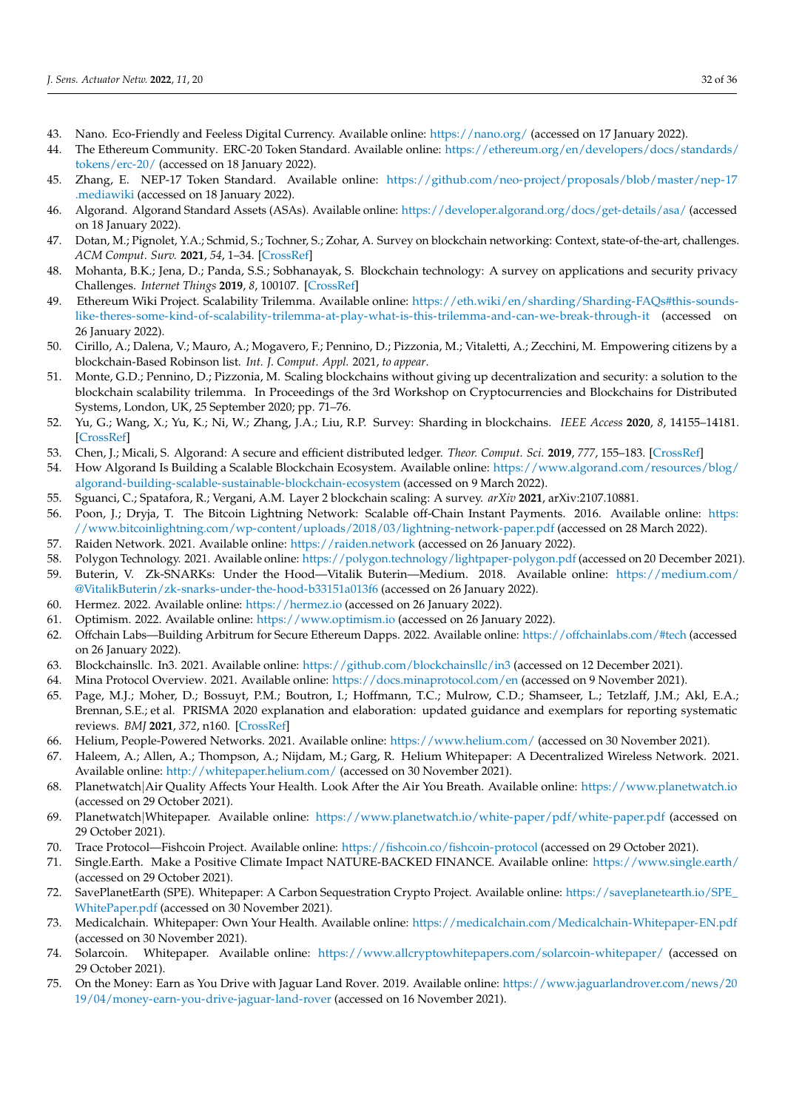- <span id="page-31-0"></span>43. Nano. Eco-Friendly and Feeless Digital Currency. Available online: <https://nano.org/> (accessed on 17 January 2022).
- <span id="page-31-1"></span>44. The Ethereum Community. ERC-20 Token Standard. Available online: [https://ethereum.org/en/developers/docs/standards/](https://ethereum.org/en/developers/docs/standards/tokens/erc-20/) [tokens/erc-20/](https://ethereum.org/en/developers/docs/standards/tokens/erc-20/) (accessed on 18 January 2022).
- <span id="page-31-2"></span>45. Zhang, E. NEP-17 Token Standard. Available online: [https://github.com/neo-project/proposals/blob/master/nep-17](https://github.com/neo-project/proposals/blob/master/nep-17.mediawiki) [.mediawiki](https://github.com/neo-project/proposals/blob/master/nep-17.mediawiki) (accessed on 18 January 2022).
- <span id="page-31-3"></span>46. Algorand. Algorand Standard Assets (ASAs). Available online: <https://developer.algorand.org/docs/get-details/asa/> (accessed on 18 January 2022).
- <span id="page-31-4"></span>47. Dotan, M.; Pignolet, Y.A.; Schmid, S.; Tochner, S.; Zohar, A. Survey on blockchain networking: Context, state-of-the-art, challenges. *ACM Comput. Surv.* **2021**, *54*, 1–34. [\[CrossRef\]](http://dx.doi.org/10.1145/3453161)
- <span id="page-31-5"></span>48. Mohanta, B.K.; Jena, D.; Panda, S.S.; Sobhanayak, S. Blockchain technology: A survey on applications and security privacy Challenges. *Internet Things* **2019**, *8*, 100107. [\[CrossRef\]](http://dx.doi.org/10.1016/j.iot.2019.100107)
- <span id="page-31-6"></span>49. Ethereum Wiki Project. Scalability Trilemma. Available online: [https://eth.wiki/en/sharding/Sharding-FAQs#this-sounds](https://eth.wiki/en/sharding/Sharding-FAQs#this-sounds-like-theres-some-kind-of-scalability-trilemma-at-play-what-is-this-trilemma-and-can-we-break-through-it)[like-theres-some-kind-of-scalability-trilemma-at-play-what-is-this-trilemma-and-can-we-break-through-it](https://eth.wiki/en/sharding/Sharding-FAQs#this-sounds-like-theres-some-kind-of-scalability-trilemma-at-play-what-is-this-trilemma-and-can-we-break-through-it) (accessed on 26 January 2022).
- <span id="page-31-7"></span>50. Cirillo, A.; Dalena, V.; Mauro, A.; Mogavero, F.; Pennino, D.; Pizzonia, M.; Vitaletti, A.; Zecchini, M. Empowering citizens by a blockchain-Based Robinson list. *Int. J. Comput. Appl.* 2021, *to appear*.
- <span id="page-31-8"></span>51. Monte, G.D.; Pennino, D.; Pizzonia, M. Scaling blockchains without giving up decentralization and security: a solution to the blockchain scalability trilemma. In Proceedings of the 3rd Workshop on Cryptocurrencies and Blockchains for Distributed Systems, London, UK, 25 September 2020; pp. 71–76.
- <span id="page-31-9"></span>52. Yu, G.; Wang, X.; Yu, K.; Ni, W.; Zhang, J.A.; Liu, R.P. Survey: Sharding in blockchains. *IEEE Access* **2020**, *8*, 14155–14181. [\[CrossRef\]](http://dx.doi.org/10.1109/ACCESS.2020.2965147)
- <span id="page-31-10"></span>53. Chen, J.; Micali, S. Algorand: A secure and efficient distributed ledger. *Theor. Comput. Sci.* **2019**, *777*, 155–183. [\[CrossRef\]](http://dx.doi.org/10.1016/j.tcs.2019.02.001)
- <span id="page-31-11"></span>54. How Algorand Is Building a Scalable Blockchain Ecosystem. Available online: [https://www.algorand.com/resources/blog/](https://www.algorand.com/resources/blog/algorand-building-scalable-sustainable-blockchain-ecosystem) [algorand-building-scalable-sustainable-blockchain-ecosystem](https://www.algorand.com/resources/blog/algorand-building-scalable-sustainable-blockchain-ecosystem) (accessed on 9 March 2022).
- <span id="page-31-12"></span>55. Sguanci, C.; Spatafora, R.; Vergani, A.M. Layer 2 blockchain scaling: A survey. *arXiv* **2021**, arXiv:2107.10881.
- <span id="page-31-13"></span>56. Poon, J.; Dryja, T. The Bitcoin Lightning Network: Scalable off-Chain Instant Payments. 2016. Available online: [https:](https://www.bitcoinlightning.com/wp-content/uploads/2018/03/lightning-network-paper.pdf) [//www.bitcoinlightning.com/wp-content/uploads/2018/03/lightning-network-paper.pdf](https://www.bitcoinlightning.com/wp-content/uploads/2018/03/lightning-network-paper.pdf) (accessed on 28 March 2022).
- <span id="page-31-14"></span>57. Raiden Network. 2021. Available online: <https://raiden.network> (accessed on 26 January 2022).
- <span id="page-31-15"></span>58. Polygon Technology. 2021. Available online: <https://polygon.technology/lightpaper-polygon.pdf> (accessed on 20 December 2021).
- <span id="page-31-16"></span>59. Buterin, V. Zk-SNARKs: Under the Hood—Vitalik Buterin—Medium. 2018. Available online: [https://medium.com/](https://medium.com/@VitalikButerin/zk-snarks-under-the-hood-b33151a013f6) [@VitalikButerin/zk-snarks-under-the-hood-b33151a013f6](https://medium.com/@VitalikButerin/zk-snarks-under-the-hood-b33151a013f6) (accessed on 26 January 2022).
- <span id="page-31-17"></span>60. Hermez. 2022. Available online: <https://hermez.io> (accessed on 26 January 2022).
- <span id="page-31-18"></span>61. Optimism. 2022. Available online: <https://www.optimism.io> (accessed on 26 January 2022).
- <span id="page-31-19"></span>62. Offchain Labs—Building Arbitrum for Secure Ethereum Dapps. 2022. Available online: <https://offchainlabs.com/#tech> (accessed on 26 January 2022).
- <span id="page-31-20"></span>63. Blockchainsllc. In3. 2021. Available online: <https://github.com/blockchainsllc/in3> (accessed on 12 December 2021).
- <span id="page-31-21"></span>64. Mina Protocol Overview. 2021. Available online: <https://docs.minaprotocol.com/en> (accessed on 9 November 2021).
- <span id="page-31-22"></span>65. Page, M.J.; Moher, D.; Bossuyt, P.M.; Boutron, I.; Hoffmann, T.C.; Mulrow, C.D.; Shamseer, L.; Tetzlaff, J.M.; Akl, E.A.; Brennan, S.E.; et al. PRISMA 2020 explanation and elaboration: updated guidance and exemplars for reporting systematic reviews. *BMJ* **2021**, *372*, n160. [\[CrossRef\]](http://dx.doi.org/10.1136/bmj.n160)
- <span id="page-31-23"></span>66. Helium, People-Powered Networks. 2021. Available online: <https://www.helium.com/> (accessed on 30 November 2021).
- <span id="page-31-24"></span>67. Haleem, A.; Allen, A.; Thompson, A.; Nijdam, M.; Garg, R. Helium Whitepaper: A Decentralized Wireless Network. 2021. Available online: <http://whitepaper.helium.com/> (accessed on 30 November 2021).
- <span id="page-31-25"></span>68. Planetwatch|Air Quality Affects Your Health. Look After the Air You Breath. Available online: <https://www.planetwatch.io> (accessed on 29 October 2021).
- <span id="page-31-26"></span>69. Planetwatch|Whitepaper. Available online: <https://www.planetwatch.io/white-paper/pdf/white-paper.pdf> (accessed on 29 October 2021).
- <span id="page-31-27"></span>70. Trace Protocol—Fishcoin Project. Available online: <https://fishcoin.co/fishcoin-protocol> (accessed on 29 October 2021).
- <span id="page-31-28"></span>71. Single.Earth. Make a Positive Climate Impact NATURE-BACKED FINANCE. Available online: <https://www.single.earth/> (accessed on 29 October 2021).
- <span id="page-31-29"></span>72. SavePlanetEarth (SPE). Whitepaper: A Carbon Sequestration Crypto Project. Available online: [https://saveplanetearth.io/SPE\\_](https://saveplanetearth.io/SPE_WhitePaper.pdf) [WhitePaper.pdf](https://saveplanetearth.io/SPE_WhitePaper.pdf) (accessed on 30 November 2021).
- <span id="page-31-30"></span>73. Medicalchain. Whitepaper: Own Your Health. Available online: <https://medicalchain.com/Medicalchain-Whitepaper-EN.pdf> (accessed on 30 November 2021).
- <span id="page-31-31"></span>74. Solarcoin. Whitepaper. Available online: <https://www.allcryptowhitepapers.com/solarcoin-whitepaper/> (accessed on 29 October 2021).
- <span id="page-31-32"></span>75. On the Money: Earn as You Drive with Jaguar Land Rover. 2019. Available online: [https://www.jaguarlandrover.com/news/20](https://www.jaguarlandrover.com/news/2019/04/money-earn-you- drive-jaguar-land-rover) [19/04/money-earn-you-drive-jaguar-land-rover](https://www.jaguarlandrover.com/news/2019/04/money-earn-you- drive-jaguar-land-rover) (accessed on 16 November 2021).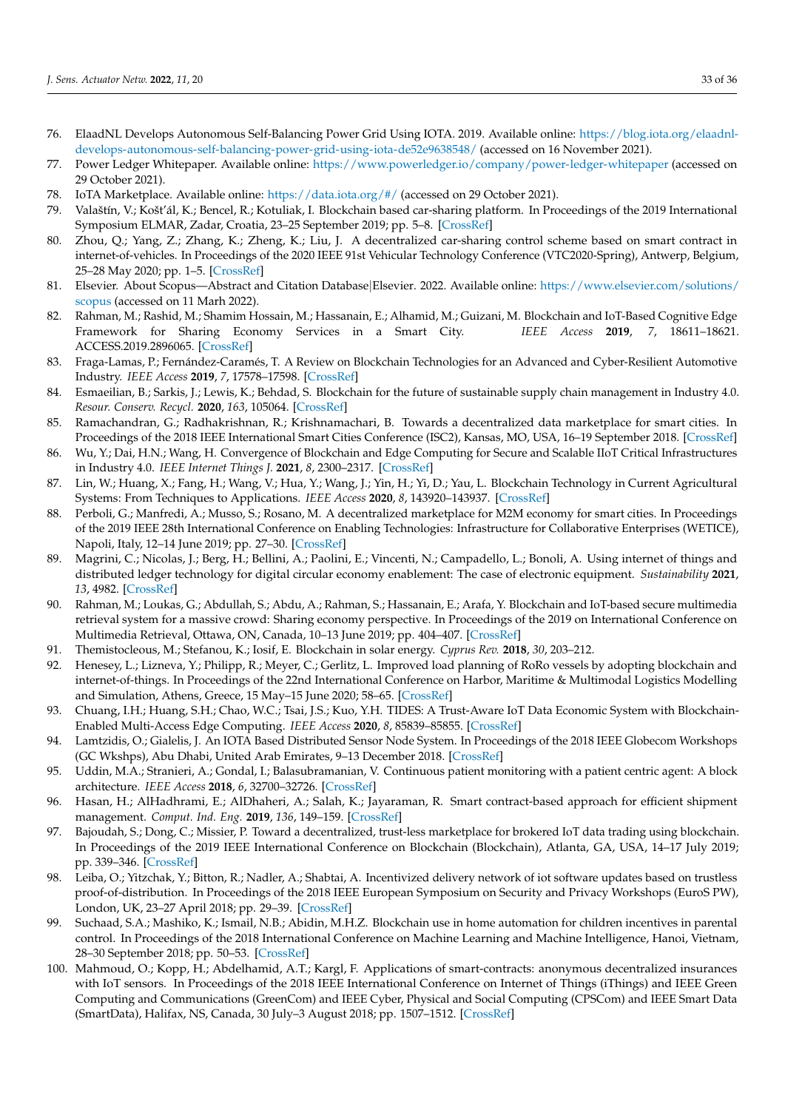- <span id="page-32-0"></span>76. ElaadNL Develops Autonomous Self-Balancing Power Grid Using IOTA. 2019. Available online: [https://blog.iota.org/elaadnl](https://blog.iota.org/elaadnl-develops-autonomous-self-balancing-power-grid-using-iota-de52e9638548/)[develops-autonomous-self-balancing-power-grid-using-iota-de52e9638548/](https://blog.iota.org/elaadnl-develops-autonomous-self-balancing-power-grid-using-iota-de52e9638548/) (accessed on 16 November 2021).
- <span id="page-32-1"></span>77. Power Ledger Whitepaper. Available online: <https://www.powerledger.io/company/power-ledger-whitepaper> (accessed on 29 October 2021).
- <span id="page-32-2"></span>78. IoTA Marketplace. Available online: <https://data.iota.org/#/> (accessed on 29 October 2021).
- <span id="page-32-3"></span>79. Valaštín, V.; Košt'ál, K.; Bencel, R.; Kotuliak, I. Blockchain based car-sharing platform. In Proceedings of the 2019 International Symposium ELMAR, Zadar, Croatia, 23–25 September 2019; pp. 5–8. [\[CrossRef\]](http://dx.doi.org/10.1109/ELMAR.2019.8918650)
- <span id="page-32-4"></span>80. Zhou, Q.; Yang, Z.; Zhang, K.; Zheng, K.; Liu, J. A decentralized car-sharing control scheme based on smart contract in internet-of-vehicles. In Proceedings of the 2020 IEEE 91st Vehicular Technology Conference (VTC2020-Spring), Antwerp, Belgium, 25–28 May 2020; pp. 1–5. [\[CrossRef\]](http://dx.doi.org/10.1109/VTC2020-Spring48590.2020.9129439)
- <span id="page-32-5"></span>81. Elsevier. About Scopus—Abstract and Citation Database|Elsevier. 2022. Available online: [https://www.elsevier.com/solutions/](https://www.elsevier.com/solutions/scopus) [scopus](https://www.elsevier.com/solutions/scopus) (accessed on 11 Marh 2022).
- <span id="page-32-6"></span>82. Rahman, M.; Rashid, M.; Shamim Hossain, M.; Hassanain, E.; Alhamid, M.; Guizani, M. Blockchain and IoT-Based Cognitive Edge Framework for Sharing Economy Services in a Smart City. *IEEE Access* **2019**, *7*, 18611–18621. ACCESS.2019.2896065. [\[CrossRef\]](http://dx.doi.org/10.1109/ACCESS.2019.2896065)
- <span id="page-32-15"></span>83. Fraga-Lamas, P.; Fernández-Caramés, T. A Review on Blockchain Technologies for an Advanced and Cyber-Resilient Automotive Industry. *IEEE Access* **2019**, *7*, 17578–17598. [\[CrossRef\]](http://dx.doi.org/10.1109/ACCESS.2019.2895302)
- <span id="page-32-8"></span>84. Esmaeilian, B.; Sarkis, J.; Lewis, K.; Behdad, S. Blockchain for the future of sustainable supply chain management in Industry 4.0. *Resour. Conserv. Recycl.* **2020**, *163*, 105064. [\[CrossRef\]](http://dx.doi.org/10.1016/j.resconrec.2020.105064)
- <span id="page-32-9"></span>85. Ramachandran, G.; Radhakrishnan, R.; Krishnamachari, B. Towards a decentralized data marketplace for smart cities. In Proceedings of the 2018 IEEE International Smart Cities Conference (ISC2), Kansas, MO, USA, 16–19 September 2018. [\[CrossRef\]](http://dx.doi.org/10.1109/ISC2.2018.8656952)
- 86. Wu, Y.; Dai, H.N.; Wang, H. Convergence of Blockchain and Edge Computing for Secure and Scalable IIoT Critical Infrastructures in Industry 4.0. *IEEE Internet Things J.* **2021**, *8*, 2300–2317. [\[CrossRef\]](http://dx.doi.org/10.1109/JIOT.2020.3025916)
- 87. Lin, W.; Huang, X.; Fang, H.; Wang, V.; Hua, Y.; Wang, J.; Yin, H.; Yi, D.; Yau, L. Blockchain Technology in Current Agricultural Systems: From Techniques to Applications. *IEEE Access* **2020**, *8*, 143920–143937. [\[CrossRef\]](http://dx.doi.org/10.1109/ACCESS.2020.3014522)
- <span id="page-32-17"></span>88. Perboli, G.; Manfredi, A.; Musso, S.; Rosano, M. A decentralized marketplace for M2M economy for smart cities. In Proceedings of the 2019 IEEE 28th International Conference on Enabling Technologies: Infrastructure for Collaborative Enterprises (WETICE), Napoli, Italy, 12–14 June 2019; pp. 27–30. [\[CrossRef\]](http://dx.doi.org/10.1109/WETICE.2019.00014)
- <span id="page-32-19"></span>89. Magrini, C.; Nicolas, J.; Berg, H.; Bellini, A.; Paolini, E.; Vincenti, N.; Campadello, L.; Bonoli, A. Using internet of things and distributed ledger technology for digital circular economy enablement: The case of electronic equipment. *Sustainability* **2021**, *13*, 4982. [\[CrossRef\]](http://dx.doi.org/10.3390/su13094982)
- <span id="page-32-18"></span>90. Rahman, M.; Loukas, G.; Abdullah, S.; Abdu, A.; Rahman, S.; Hassanain, E.; Arafa, Y. Blockchain and IoT-based secure multimedia retrieval system for a massive crowd: Sharing economy perspective. In Proceedings of the 2019 on International Conference on Multimedia Retrieval, Ottawa, ON, Canada, 10–13 June 2019; pp. 404–407. [\[CrossRef\]](http://dx.doi.org/10.1145/3323873.3326924)
- <span id="page-32-16"></span>91. Themistocleous, M.; Stefanou, K.; Iosif, E. Blockchain in solar energy. *Cyprus Rev.* **2018**, *30*, 203–212.
- 92. Henesey, L.; Lizneva, Y.; Philipp, R.; Meyer, C.; Gerlitz, L. Improved load planning of RoRo vessels by adopting blockchain and internet-of-things. In Proceedings of the 22nd International Conference on Harbor, Maritime & Multimodal Logistics Modelling and Simulation, Athens, Greece, 15 May–15 June 2020; 58–65. [\[CrossRef\]](http://dx.doi.org/10.46354/i3m.2020.hms.009)
- 93. Chuang, I.H.; Huang, S.H.; Chao, W.C.; Tsai, J.S.; Kuo, Y.H. TIDES: A Trust-Aware IoT Data Economic System with Blockchain-Enabled Multi-Access Edge Computing. *IEEE Access* **2020**, *8*, 85839–85855. [\[CrossRef\]](http://dx.doi.org/10.1109/ACCESS.2020.2991267)
- <span id="page-32-12"></span>94. Lamtzidis, O.; Gialelis, J. An IOTA Based Distributed Sensor Node System. In Proceedings of the 2018 IEEE Globecom Workshops (GC Wkshps), Abu Dhabi, United Arab Emirates, 9–13 December 2018. [\[CrossRef\]](http://dx.doi.org/10.1109/GLOCOMW.2018.8644153)
- <span id="page-32-11"></span>95. Uddin, M.A.; Stranieri, A.; Gondal, I.; Balasubramanian, V. Continuous patient monitoring with a patient centric agent: A block architecture. *IEEE Access* **2018**, *6*, 32700–32726. [\[CrossRef\]](http://dx.doi.org/10.1109/ACCESS.2018.2846779)
- <span id="page-32-10"></span>96. Hasan, H.; AlHadhrami, E.; AlDhaheri, A.; Salah, K.; Jayaraman, R. Smart contract-based approach for efficient shipment management. *Comput. Ind. Eng.* **2019**, *136*, 149–159. [\[CrossRef\]](http://dx.doi.org/10.1016/j.cie.2019.07.022)
- <span id="page-32-13"></span>97. Bajoudah, S.; Dong, C.; Missier, P. Toward a decentralized, trust-less marketplace for brokered IoT data trading using blockchain. In Proceedings of the 2019 IEEE International Conference on Blockchain (Blockchain), Atlanta, GA, USA, 14–17 July 2019; pp. 339–346. [\[CrossRef\]](http://dx.doi.org/10.1109/Blockchain.2019.00053)
- <span id="page-32-7"></span>98. Leiba, O.; Yitzchak, Y.; Bitton, R.; Nadler, A.; Shabtai, A. Incentivized delivery network of iot software updates based on trustless proof-of-distribution. In Proceedings of the 2018 IEEE European Symposium on Security and Privacy Workshops (EuroS PW), London, UK, 23–27 April 2018; pp. 29–39. [\[CrossRef\]](http://dx.doi.org/10.1109/EuroSPW.2018.00011)
- <span id="page-32-14"></span>99. Suchaad, S.A.; Mashiko, K.; Ismail, N.B.; Abidin, M.H.Z. Blockchain use in home automation for children incentives in parental control. In Proceedings of the 2018 International Conference on Machine Learning and Machine Intelligence, Hanoi, Vietnam, 28–30 September 2018; pp. 50–53. [\[CrossRef\]](http://dx.doi.org/10.1145/3278312.3278326)
- <span id="page-32-20"></span>100. Mahmoud, O.; Kopp, H.; Abdelhamid, A.T.; Kargl, F. Applications of smart-contracts: anonymous decentralized insurances with IoT sensors. In Proceedings of the 2018 IEEE International Conference on Internet of Things (iThings) and IEEE Green Computing and Communications (GreenCom) and IEEE Cyber, Physical and Social Computing (CPSCom) and IEEE Smart Data (SmartData), Halifax, NS, Canada, 30 July–3 August 2018; pp. 1507–1512. [\[CrossRef\]](http://dx.doi.org/10.1109/Cybermatics_2018.2018.00254)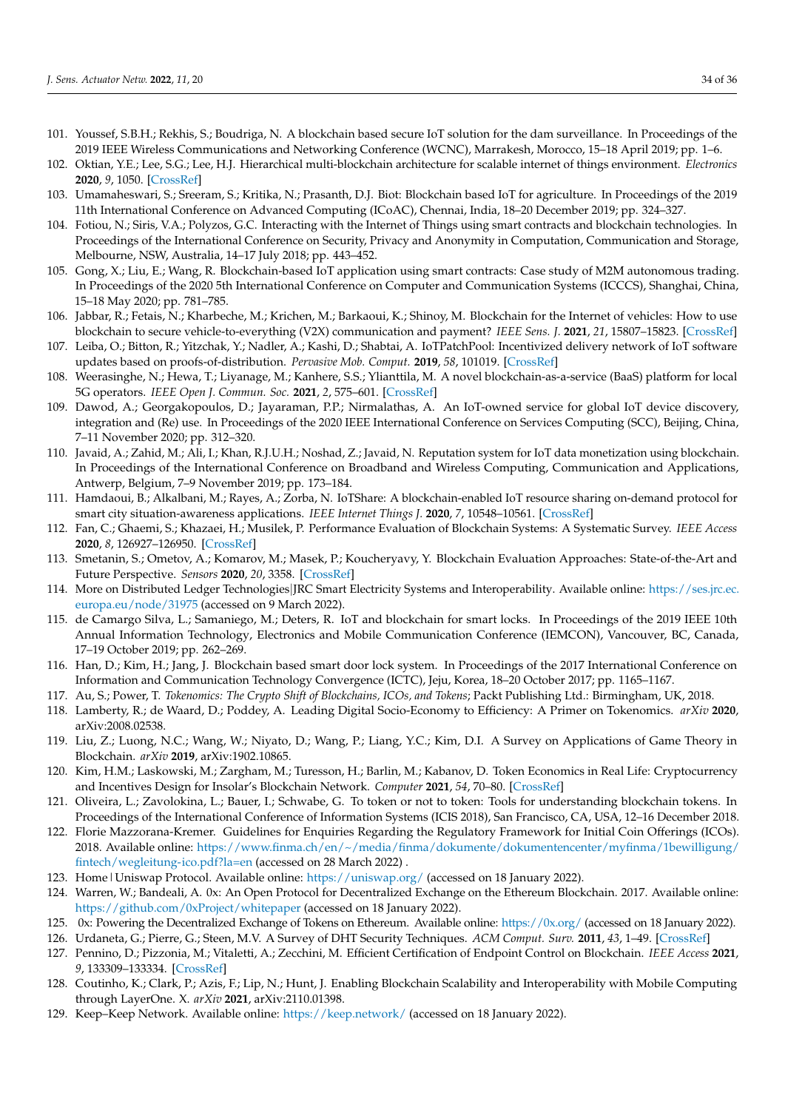- <span id="page-33-3"></span>101. Youssef, S.B.H.; Rekhis, S.; Boudriga, N. A blockchain based secure IoT solution for the dam surveillance. In Proceedings of the 2019 IEEE Wireless Communications and Networking Conference (WCNC), Marrakesh, Morocco, 15–18 April 2019; pp. 1–6.
- <span id="page-33-9"></span>102. Oktian, Y.E.; Lee, S.G.; Lee, H.J. Hierarchical multi-blockchain architecture for scalable internet of things environment. *Electronics* **2020**, *9*, 1050. [\[CrossRef\]](http://dx.doi.org/10.3390/electronics9061050)
- <span id="page-33-4"></span>103. Umamaheswari, S.; Sreeram, S.; Kritika, N.; Prasanth, D.J. Biot: Blockchain based IoT for agriculture. In Proceedings of the 2019 11th International Conference on Advanced Computing (ICoAC), Chennai, India, 18–20 December 2019; pp. 324–327.
- <span id="page-33-10"></span>104. Fotiou, N.; Siris, V.A.; Polyzos, G.C. Interacting with the Internet of Things using smart contracts and blockchain technologies. In Proceedings of the International Conference on Security, Privacy and Anonymity in Computation, Communication and Storage, Melbourne, NSW, Australia, 14–17 July 2018; pp. 443–452.
- <span id="page-33-6"></span>105. Gong, X.; Liu, E.; Wang, R. Blockchain-based IoT application using smart contracts: Case study of M2M autonomous trading. In Proceedings of the 2020 5th International Conference on Computer and Communication Systems (ICCCS), Shanghai, China, 15–18 May 2020; pp. 781–785.
- <span id="page-33-7"></span>106. Jabbar, R.; Fetais, N.; Kharbeche, M.; Krichen, M.; Barkaoui, K.; Shinoy, M. Blockchain for the Internet of vehicles: How to use blockchain to secure vehicle-to-everything (V2X) communication and payment? *IEEE Sens. J.* **2021**, *21*, 15807–15823. [\[CrossRef\]](http://dx.doi.org/10.1109/JSEN.2021.3062219)
- <span id="page-33-1"></span>107. Leiba, O.; Bitton, R.; Yitzchak, Y.; Nadler, A.; Kashi, D.; Shabtai, A. IoTPatchPool: Incentivized delivery network of IoT software updates based on proofs-of-distribution. *Pervasive Mob. Comput.* **2019**, *58*, 101019. [\[CrossRef\]](http://dx.doi.org/10.1016/j.pmcj.2019.04.010)
- <span id="page-33-2"></span>108. Weerasinghe, N.; Hewa, T.; Liyanage, M.; Kanhere, S.S.; Ylianttila, M. A novel blockchain-as-a-service (BaaS) platform for local 5G operators. *IEEE Open J. Commun. Soc.* **2021**, *2*, 575–601. [\[CrossRef\]](http://dx.doi.org/10.1109/OJCOMS.2021.3066284)
- <span id="page-33-8"></span>109. Dawod, A.; Georgakopoulos, D.; Jayaraman, P.P.; Nirmalathas, A. An IoT-owned service for global IoT device discovery, integration and (Re) use. In Proceedings of the 2020 IEEE International Conference on Services Computing (SCC), Beijing, China, 7–11 November 2020; pp. 312–320.
- <span id="page-33-5"></span>110. Javaid, A.; Zahid, M.; Ali, I.; Khan, R.J.U.H.; Noshad, Z.; Javaid, N. Reputation system for IoT data monetization using blockchain. In Proceedings of the International Conference on Broadband and Wireless Computing, Communication and Applications, Antwerp, Belgium, 7–9 November 2019; pp. 173–184.
- <span id="page-33-0"></span>111. Hamdaoui, B.; Alkalbani, M.; Rayes, A.; Zorba, N. IoTShare: A blockchain-enabled IoT resource sharing on-demand protocol for smart city situation-awareness applications. *IEEE Internet Things J.* **2020**, *7*, 10548–10561. [\[CrossRef\]](http://dx.doi.org/10.1109/JIOT.2020.3004441)
- <span id="page-33-11"></span>112. Fan, C.; Ghaemi, S.; Khazaei, H.; Musilek, P. Performance Evaluation of Blockchain Systems: A Systematic Survey. *IEEE Access* **2020**, *8*, 126927–126950. [\[CrossRef\]](http://dx.doi.org/10.1109/ACCESS.2020.3006078)
- <span id="page-33-12"></span>113. Smetanin, S.; Ometov, A.; Komarov, M.; Masek, P.; Koucheryavy, Y. Blockchain Evaluation Approaches: State-of-the-Art and Future Perspective. *Sensors* **2020**, *20*, 3358. [\[CrossRef\]](http://dx.doi.org/10.3390/s20123358)
- <span id="page-33-13"></span>114. More on Distributed Ledger Technologies|JRC Smart Electricity Systems and Interoperability. Available online: [https://ses.jrc.ec.](https://ses.jrc.ec.europa.eu/node/31975) [europa.eu/node/31975](https://ses.jrc.ec.europa.eu/node/31975) (accessed on 9 March 2022).
- <span id="page-33-14"></span>115. de Camargo Silva, L.; Samaniego, M.; Deters, R. IoT and blockchain for smart locks. In Proceedings of the 2019 IEEE 10th Annual Information Technology, Electronics and Mobile Communication Conference (IEMCON), Vancouver, BC, Canada, 17–19 October 2019; pp. 262–269.
- <span id="page-33-15"></span>116. Han, D.; Kim, H.; Jang, J. Blockchain based smart door lock system. In Proceedings of the 2017 International Conference on Information and Communication Technology Convergence (ICTC), Jeju, Korea, 18–20 October 2017; pp. 1165–1167.
- <span id="page-33-16"></span>117. Au, S.; Power, T. *Tokenomics: The Crypto Shift of Blockchains, ICOs, and Tokens*; Packt Publishing Ltd.: Birmingham, UK, 2018.
- 118. Lamberty, R.; de Waard, D.; Poddey, A. Leading Digital Socio-Economy to Efficiency: A Primer on Tokenomics. *arXiv* **2020**, arXiv:2008.02538.
- 119. Liu, Z.; Luong, N.C.; Wang, W.; Niyato, D.; Wang, P.; Liang, Y.C.; Kim, D.I. A Survey on Applications of Game Theory in Blockchain. *arXiv* **2019**, arXiv:1902.10865.
- <span id="page-33-17"></span>120. Kim, H.M.; Laskowski, M.; Zargham, M.; Turesson, H.; Barlin, M.; Kabanov, D. Token Economics in Real Life: Cryptocurrency and Incentives Design for Insolar's Blockchain Network. *Computer* **2021**, *54*, 70–80. [\[CrossRef\]](http://dx.doi.org/10.1109/MC.2020.2996572)
- <span id="page-33-18"></span>121. Oliveira, L.; Zavolokina, L.; Bauer, I.; Schwabe, G. To token or not to token: Tools for understanding blockchain tokens. In Proceedings of the International Conference of Information Systems (ICIS 2018), San Francisco, CA, USA, 12–16 December 2018.
- <span id="page-33-19"></span>122. Florie Mazzorana-Kremer. Guidelines for Enquiries Regarding the Regulatory Framework for Initial Coin Offerings (ICOs). 2018. Available online: [https://www.finma.ch/en/~/media/finma/dokumente/dokumentencenter/myfinma/1bewilligung/](https://www.finma.ch/en/~/media/finma/dokumente/dokumentencenter/myfinma/1bewilligung/fintech/wegleitung-ico.pdf?la=en) [fintech/wegleitung-ico.pdf?la=en](https://www.finma.ch/en/~/media/finma/dokumente/dokumentencenter/myfinma/1bewilligung/fintech/wegleitung-ico.pdf?la=en) (accessed on 28 March 2022) .
- <span id="page-33-20"></span>123. Home|Uniswap Protocol. Available online: <https://uniswap.org/> (accessed on 18 January 2022).
- <span id="page-33-21"></span>124. Warren, W.; Bandeali, A. 0x: An Open Protocol for Decentralized Exchange on the Ethereum Blockchain. 2017. Available online: <https://github.com/0xProject/whitepaper> (accessed on 18 January 2022).
- <span id="page-33-23"></span><span id="page-33-22"></span>125. 0x: Powering the Decentralized Exchange of Tokens on Ethereum. Available online: <https://0x.org/> (accessed on 18 January 2022).
- 126. Urdaneta, G.; Pierre, G.; Steen, M.V. A Survey of DHT Security Techniques. *ACM Comput. Surv.* **2011**, *43*, 1–49. [\[CrossRef\]](http://dx.doi.org/10.1145/1883612.1883615)
- <span id="page-33-24"></span>127. Pennino, D.; Pizzonia, M.; Vitaletti, A.; Zecchini, M. Efficient Certification of Endpoint Control on Blockchain. *IEEE Access* **2021**, *9*, 133309–133334. [\[CrossRef\]](http://dx.doi.org/10.1109/ACCESS.2021.3115343)
- <span id="page-33-25"></span>128. Coutinho, K.; Clark, P.; Azis, F.; Lip, N.; Hunt, J. Enabling Blockchain Scalability and Interoperability with Mobile Computing through LayerOne. X. *arXiv* **2021**, arXiv:2110.01398.
- <span id="page-33-26"></span>129. Keep–Keep Network. Available online: <https://keep.network/> (accessed on 18 January 2022).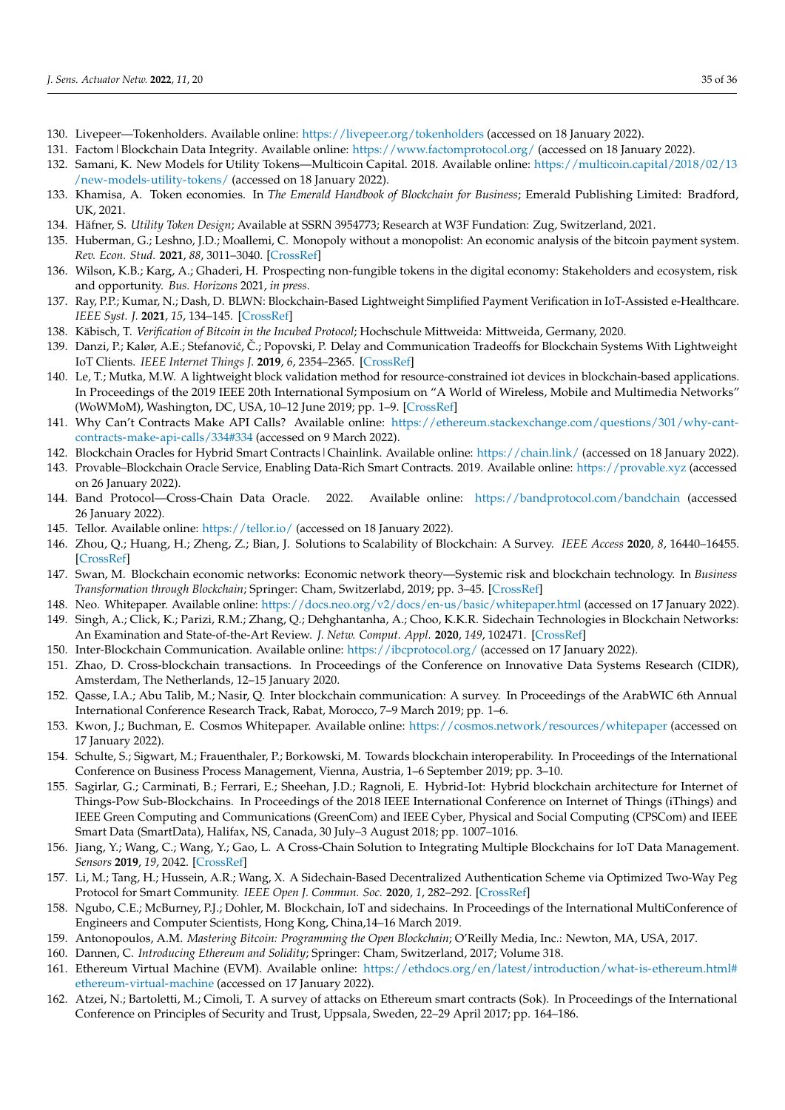- <span id="page-34-0"></span>130. Livepeer—Tokenholders. Available online: <https://livepeer.org/tokenholders> (accessed on 18 January 2022).
- <span id="page-34-1"></span>131. Factom|Blockchain Data Integrity. Available online: <https://www.factomprotocol.org/> (accessed on 18 January 2022).
- <span id="page-34-2"></span>132. Samani, K. New Models for Utility Tokens—Multicoin Capital. 2018. Available online: [https://multicoin.capital/2018/02/13](https://multicoin.capital/2018/02/13/new-models-utility-tokens/) [/new-models-utility-tokens/](https://multicoin.capital/2018/02/13/new-models-utility-tokens/) (accessed on 18 January 2022).
- <span id="page-34-3"></span>133. Khamisa, A. Token economies. In *The Emerald Handbook of Blockchain for Business*; Emerald Publishing Limited: Bradford, UK, 2021.
- <span id="page-34-4"></span>134. Häfner, S. *Utility Token Design*; Available at SSRN 3954773; Research at W3F Fundation: Zug, Switzerland, 2021.
- <span id="page-34-5"></span>135. Huberman, G.; Leshno, J.D.; Moallemi, C. Monopoly without a monopolist: An economic analysis of the bitcoin payment system. *Rev. Econ. Stud.* **2021**, *88*, 3011–3040. [\[CrossRef\]](http://dx.doi.org/10.1093/restud/rdab014)
- <span id="page-34-6"></span>136. Wilson, K.B.; Karg, A.; Ghaderi, H. Prospecting non-fungible tokens in the digital economy: Stakeholders and ecosystem, risk and opportunity. *Bus. Horizons* 2021, *in press*.
- <span id="page-34-7"></span>137. Ray, P.P.; Kumar, N.; Dash, D. BLWN: Blockchain-Based Lightweight Simplified Payment Verification in IoT-Assisted e-Healthcare. *IEEE Syst. J.* **2021**, *15*, 134–145. [\[CrossRef\]](http://dx.doi.org/10.1109/JSYST.2020.2968614)
- <span id="page-34-8"></span>138. Käbisch, T. *Verification of Bitcoin in the Incubed Protocol*; Hochschule Mittweida: Mittweida, Germany, 2020.
- <span id="page-34-9"></span>139. Danzi, P.; Kalør, A.E.; Stefanović, Č.; Popovski, P. Delay and Communication Tradeoffs for Blockchain Systems With Lightweight IoT Clients. *IEEE Internet Things J.* **2019**, *6*, 2354–2365. [\[CrossRef\]](http://dx.doi.org/10.1109/JIOT.2019.2906615)
- <span id="page-34-10"></span>140. Le, T.; Mutka, M.W. A lightweight block validation method for resource-constrained iot devices in blockchain-based applications. In Proceedings of the 2019 IEEE 20th International Symposium on "A World of Wireless, Mobile and Multimedia Networks" (WoWMoM), Washington, DC, USA, 10–12 June 2019; pp. 1–9. [\[CrossRef\]](http://dx.doi.org/10.1109/WoWMoM.2019.8792979)
- <span id="page-34-11"></span>141. Why Can't Contracts Make API Calls? Available online: [https://ethereum.stackexchange.com/questions/301/why-cant](https://ethereum.stackexchange.com/questions/301/why-cant-contracts-make-api-calls/334#334)[contracts-make-api-calls/334#334](https://ethereum.stackexchange.com/questions/301/why-cant-contracts-make-api-calls/334#334) (accessed on 9 March 2022).
- <span id="page-34-12"></span>142. Blockchain Oracles for Hybrid Smart Contracts|Chainlink. Available online: <https://chain.link/> (accessed on 18 January 2022).
- <span id="page-34-13"></span>143. Provable–Blockchain Oracle Service, Enabling Data-Rich Smart Contracts. 2019. Available online: <https://provable.xyz> (accessed on 26 January 2022).
- <span id="page-34-14"></span>144. Band Protocol—Cross-Chain Data Oracle. 2022. Available online: <https://bandprotocol.com/bandchain> (accessed 26 January 2022).
- <span id="page-34-15"></span>145. Tellor. Available online: <https://tellor.io/> (accessed on 18 January 2022).
- <span id="page-34-16"></span>146. Zhou, Q.; Huang, H.; Zheng, Z.; Bian, J. Solutions to Scalability of Blockchain: A Survey. *IEEE Access* **2020**, *8*, 16440–16455. [\[CrossRef\]](http://dx.doi.org/10.1109/ACCESS.2020.2967218)
- <span id="page-34-17"></span>147. Swan, M. Blockchain economic networks: Economic network theory—Systemic risk and blockchain technology. In *Business Transformation through Blockchain*; Springer: Cham, Switzerlabd, 2019; pp. 3–45. [\[CrossRef\]](http://dx.doi.org/10.1007/978-3-319-98911-2_1)
- <span id="page-34-18"></span>148. Neo. Whitepaper. Available online: <https://docs.neo.org/v2/docs/en-us/basic/whitepaper.html> (accessed on 17 January 2022).
- <span id="page-34-19"></span>149. Singh, A.; Click, K.; Parizi, R.M.; Zhang, Q.; Dehghantanha, A.; Choo, K.K.R. Sidechain Technologies in Blockchain Networks: An Examination and State-of-the-Art Review. *J. Netw. Comput. Appl.* **2020**, *149*, 102471. [\[CrossRef\]](http://dx.doi.org/10.1016/j.jnca.2019.102471)
- <span id="page-34-20"></span>150. Inter-Blockchain Communication. Available online: <https://ibcprotocol.org/> (accessed on 17 January 2022).
- 151. Zhao, D. Cross-blockchain transactions. In Proceedings of the Conference on Innovative Data Systems Research (CIDR), Amsterdam, The Netherlands, 12–15 January 2020.
- 152. Qasse, I.A.; Abu Talib, M.; Nasir, Q. Inter blockchain communication: A survey. In Proceedings of the ArabWIC 6th Annual International Conference Research Track, Rabat, Morocco, 7–9 March 2019; pp. 1–6.
- 153. Kwon, J.; Buchman, E. Cosmos Whitepaper. Available online: <https://cosmos.network/resources/whitepaper> (accessed on 17 January 2022).
- <span id="page-34-21"></span>154. Schulte, S.; Sigwart, M.; Frauenthaler, P.; Borkowski, M. Towards blockchain interoperability. In Proceedings of the International Conference on Business Process Management, Vienna, Austria, 1–6 September 2019; pp. 3–10.
- <span id="page-34-22"></span>155. Sagirlar, G.; Carminati, B.; Ferrari, E.; Sheehan, J.D.; Ragnoli, E. Hybrid-Iot: Hybrid blockchain architecture for Internet of Things-Pow Sub-Blockchains. In Proceedings of the 2018 IEEE International Conference on Internet of Things (iThings) and IEEE Green Computing and Communications (GreenCom) and IEEE Cyber, Physical and Social Computing (CPSCom) and IEEE Smart Data (SmartData), Halifax, NS, Canada, 30 July–3 August 2018; pp. 1007–1016.
- 156. Jiang, Y.; Wang, C.; Wang, Y.; Gao, L. A Cross-Chain Solution to Integrating Multiple Blockchains for IoT Data Management. *Sensors* **2019**, *19*, 2042. [\[CrossRef\]](http://dx.doi.org/10.3390/s19092042)
- 157. Li, M.; Tang, H.; Hussein, A.R.; Wang, X. A Sidechain-Based Decentralized Authentication Scheme via Optimized Two-Way Peg Protocol for Smart Community. *IEEE Open J. Commun. Soc.* **2020**, *1*, 282–292. [\[CrossRef\]](http://dx.doi.org/10.1109/OJCOMS.2020.2972742)
- <span id="page-34-23"></span>158. Ngubo, C.E.; McBurney, P.J.; Dohler, M. Blockchain, IoT and sidechains. In Proceedings of the International MultiConference of Engineers and Computer Scientists, Hong Kong, China,14–16 March 2019.
- <span id="page-34-24"></span>159. Antonopoulos, A.M. *Mastering Bitcoin: Programming the Open Blockchain*; O'Reilly Media, Inc.: Newton, MA, USA, 2017.
- <span id="page-34-25"></span>160. Dannen, C. *Introducing Ethereum and Solidity*; Springer: Cham, Switzerland, 2017; Volume 318.
- <span id="page-34-26"></span>161. Ethereum Virtual Machine (EVM). Available online: [https://ethdocs.org/en/latest/introduction/what-is-ethereum.html#](https://ethdocs.org/en/latest/introduction/what-is-ethereum.html#ethereum-virtual-machine) [ethereum-virtual-machine](https://ethdocs.org/en/latest/introduction/what-is-ethereum.html#ethereum-virtual-machine) (accessed on 17 January 2022).
- <span id="page-34-27"></span>162. Atzei, N.; Bartoletti, M.; Cimoli, T. A survey of attacks on Ethereum smart contracts (Sok). In Proceedings of the International Conference on Principles of Security and Trust, Uppsala, Sweden, 22–29 April 2017; pp. 164–186.